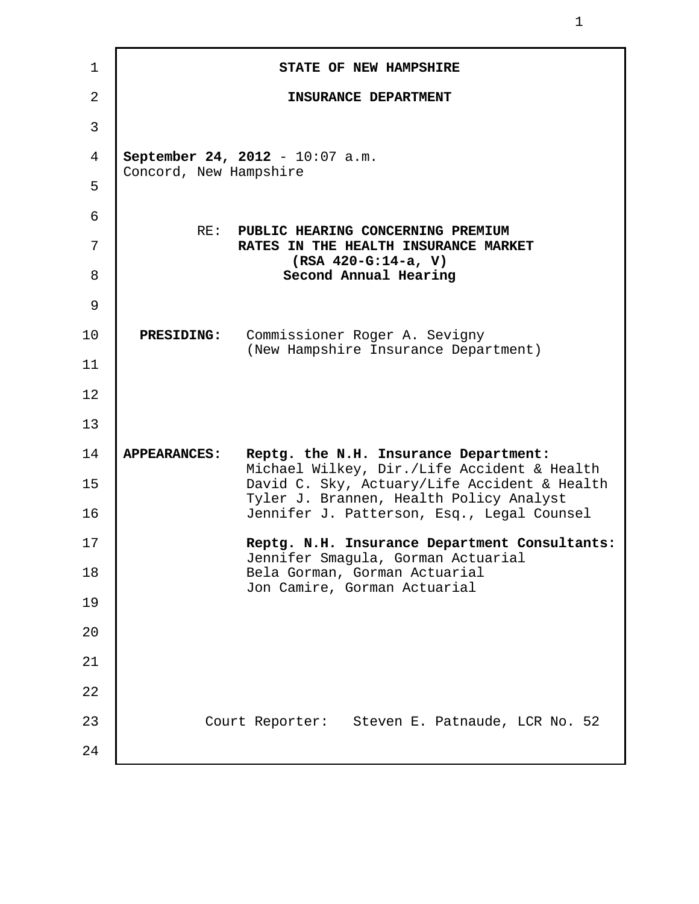| 1              |                        | STATE OF NEW HAMPSHIRE                                                                  |
|----------------|------------------------|-----------------------------------------------------------------------------------------|
| $\overline{2}$ |                        | INSURANCE DEPARTMENT                                                                    |
| 3              |                        |                                                                                         |
| 4              | Concord, New Hampshire | September 24, 2012 - 10:07 a.m.                                                         |
| 5              |                        |                                                                                         |
| 6              | RE:                    | PUBLIC HEARING CONCERNING PREMIUM                                                       |
| 7              |                        | RATES IN THE HEALTH INSURANCE MARKET<br>$(RSA 420-G:14-a, V)$                           |
| 8              |                        | Second Annual Hearing                                                                   |
| 9              |                        |                                                                                         |
| 10             | <b>PRESIDING:</b>      | Commissioner Roger A. Sevigny<br>(New Hampshire Insurance Department)                   |
| 11             |                        |                                                                                         |
| 12             |                        |                                                                                         |
| 13             |                        |                                                                                         |
| 14             | <b>APPEARANCES:</b>    | Reptg. the N.H. Insurance Department:<br>Michael Wilkey, Dir./Life Accident & Health    |
| 15             |                        | David C. Sky, Actuary/Life Accident & Health<br>Tyler J. Brannen, Health Policy Analyst |
| 16             |                        | Jennifer J. Patterson, Esq., Legal Counsel                                              |
| 17             |                        | Reptg. N.H. Insurance Department Consultants:<br>Jennifer Smagula, Gorman Actuarial     |
| 18             |                        | Bela Gorman, Gorman Actuarial<br>Jon Camire, Gorman Actuarial                           |
| 19             |                        |                                                                                         |
| 20             |                        |                                                                                         |
| 21             |                        |                                                                                         |
| 22             |                        |                                                                                         |
| 23             |                        | Court Reporter: Steven E. Patnaude, LCR No. 52                                          |
| 24             |                        |                                                                                         |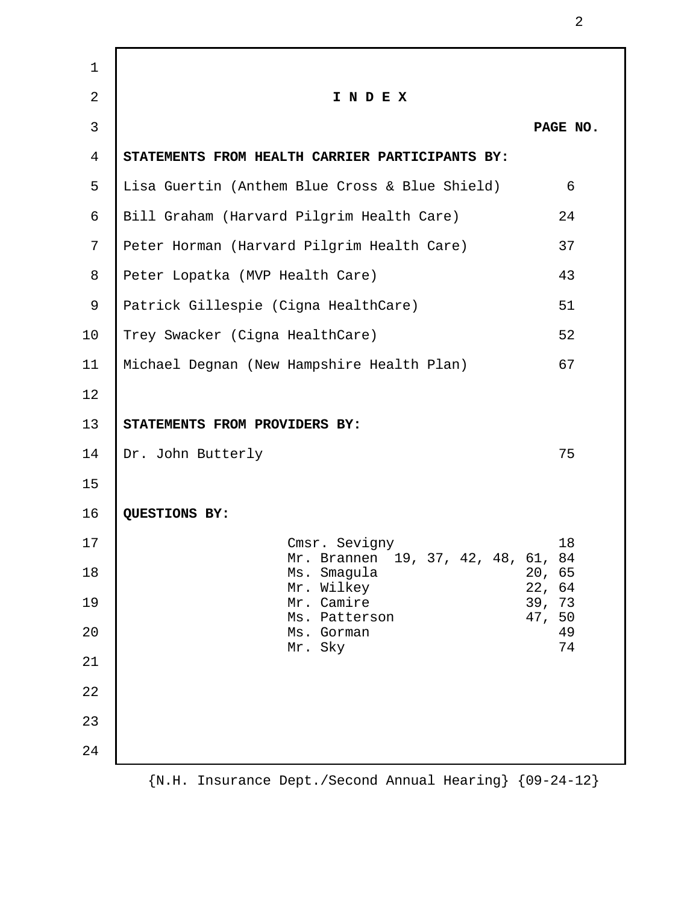| $\mathbf 1$    |                                                     |                  |
|----------------|-----------------------------------------------------|------------------|
| $\overline{2}$ | INDEX                                               |                  |
| 3              |                                                     | PAGE NO.         |
| $\overline{4}$ | STATEMENTS FROM HEALTH CARRIER PARTICIPANTS BY:     |                  |
| 5              | Lisa Guertin (Anthem Blue Cross & Blue Shield)      | 6                |
| 6              | Bill Graham (Harvard Pilgrim Health Care)           | 24               |
| 7              | Peter Horman (Harvard Pilgrim Health Care)          | 37               |
| 8              | Peter Lopatka (MVP Health Care)                     | 43               |
| 9              | Patrick Gillespie (Cigna HealthCare)                | 51               |
| 10             | Trey Swacker (Cigna HealthCare)                     | 52               |
| 11             | Michael Degnan (New Hampshire Health Plan)          | 67               |
| 12             |                                                     |                  |
| 13             | STATEMENTS FROM PROVIDERS BY:                       |                  |
| 14             | Dr. John Butterly                                   | 75               |
| 15             |                                                     |                  |
| 16             | QUESTIONS BY:                                       |                  |
| 17             | Cmsr. Sevigny<br>Mr. Brannen 19, 37, 42, 48, 61, 84 | 18               |
| 18             | Ms. Smagula<br>Mr. Wilkey                           | 20, 65<br>22, 64 |
| 19             | Mr. Camire                                          | 39, 73<br>47, 50 |
| 20             | Ms. Patterson<br>Ms. Gorman                         | 49<br>74         |
| 21             | Mr. Sky                                             |                  |
| 22             |                                                     |                  |
| 23             |                                                     |                  |
| 24             |                                                     |                  |
|                |                                                     |                  |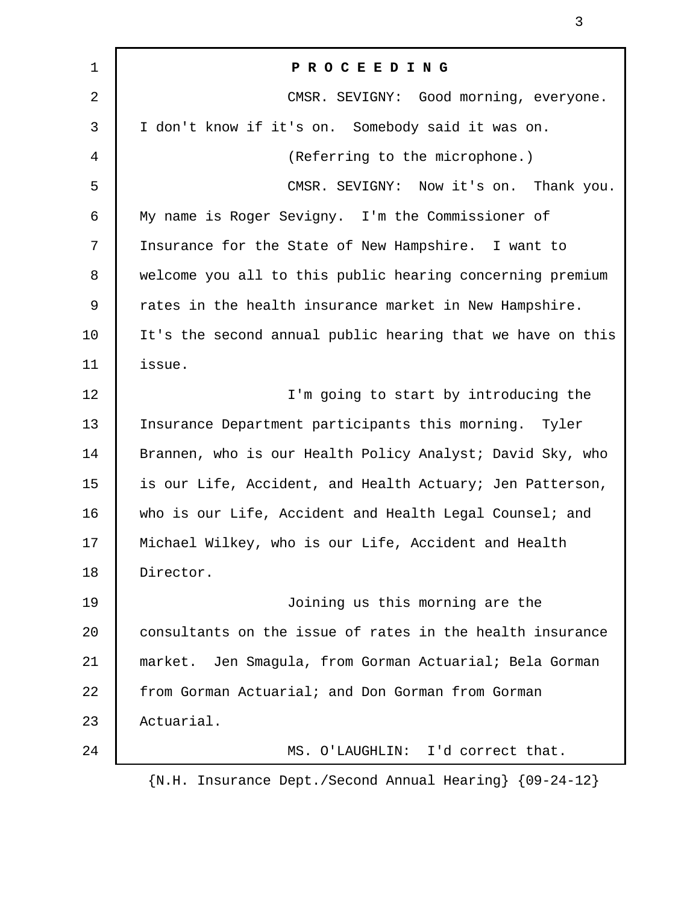| 1  | PROCEEDING                                                      |  |
|----|-----------------------------------------------------------------|--|
| 2  | CMSR. SEVIGNY: Good morning, everyone.                          |  |
| 3  | I don't know if it's on. Somebody said it was on.               |  |
| 4  | (Referring to the microphone.)                                  |  |
| 5  | CMSR. SEVIGNY: Now it's on. Thank you.                          |  |
| 6  | My name is Roger Sevigny. I'm the Commissioner of               |  |
| 7  | Insurance for the State of New Hampshire. I want to             |  |
| 8  | welcome you all to this public hearing concerning premium       |  |
| 9  | rates in the health insurance market in New Hampshire.          |  |
| 10 | It's the second annual public hearing that we have on this      |  |
| 11 | issue.                                                          |  |
| 12 | I'm going to start by introducing the                           |  |
| 13 | Insurance Department participants this morning. Tyler           |  |
| 14 | Brannen, who is our Health Policy Analyst; David Sky, who       |  |
| 15 | is our Life, Accident, and Health Actuary; Jen Patterson,       |  |
| 16 | who is our Life, Accident and Health Legal Counsel; and         |  |
| 17 | Michael Wilkey, who is our Life, Accident and Health            |  |
| 18 | Director.                                                       |  |
| 19 | Joining us this morning are the                                 |  |
| 20 | consultants on the issue of rates in the health insurance       |  |
| 21 | Jen Smagula, from Gorman Actuarial; Bela Gorman<br>market.      |  |
| 22 | from Gorman Actuarial; and Don Gorman from Gorman               |  |
| 23 | Actuarial.                                                      |  |
| 24 | MS. O'LAUGHLIN: I'd correct that.                               |  |
|    | $\{N.H. Insurance Dept./Second Annual Hearing\}$ $\{09-24-12\}$ |  |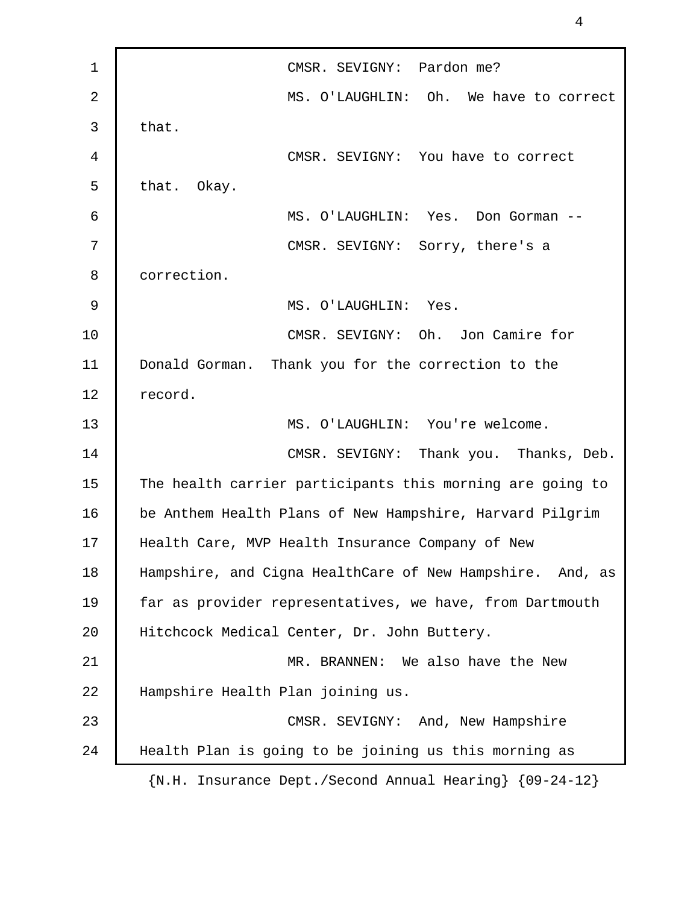1 | CMSR. SEVIGNY: Pardon me? 2 MS. O'LAUGHLIN: Oh. We have to correct  $3$  that. 4 CMSR. SEVIGNY: You have to correct 5 that. Okay. 6 MS. O'LAUGHLIN: Yes. Don Gorman -- 7 CMSR. SEVIGNY: Sorry, there's a 8 correction. 9 MS. O'LAUGHLIN: Yes. 10 | CMSR. SEVIGNY: Oh. Jon Camire for 11 Donald Gorman. Thank you for the correction to the 12 record. 13 MS. O'LAUGHLIN: You're welcome. 14 CMSR. SEVIGNY: Thank you. Thanks, Deb. 15 The health carrier participants this morning are going to 16 | be Anthem Health Plans of New Hampshire, Harvard Pilgrim 17 Health Care, MVP Health Insurance Company of New 18 Hampshire, and Cigna HealthCare of New Hampshire. And, as 19 | far as provider representatives, we have, from Dartmouth 20 Hitchcock Medical Center, Dr. John Buttery. 21 MR. BRANNEN: We also have the New 22 Hampshire Health Plan joining us. 23 CMSR. SEVIGNY: And, New Hampshire 24 Health Plan is going to be joining us this morning as {N.H. Insurance Dept./Second Annual Hearing} {09-24-12}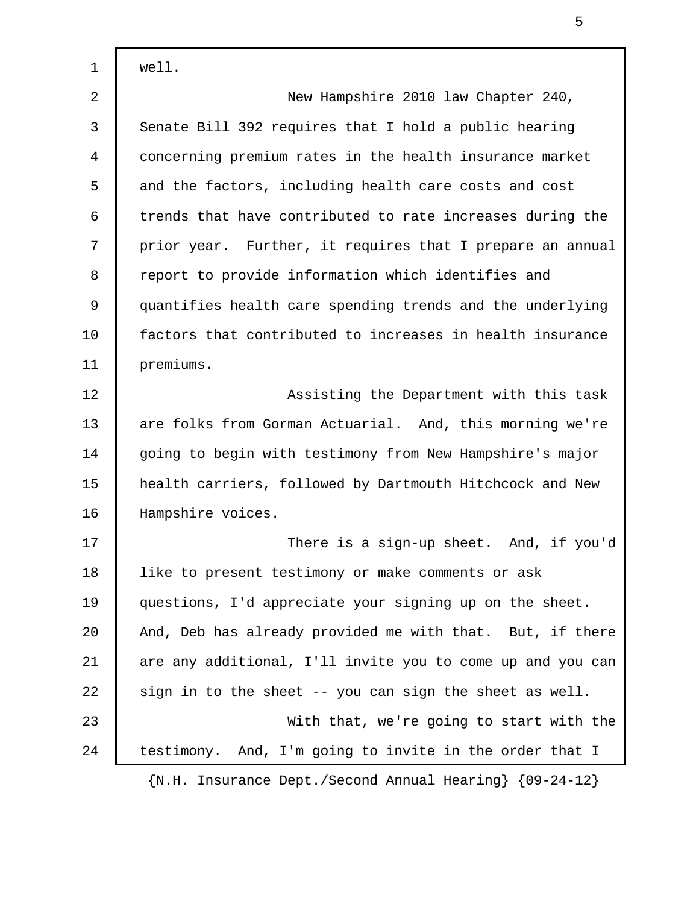1 well. 2 New Hampshire 2010 law Chapter 240, 3 Senate Bill 392 requires that I hold a public hearing 4 concerning premium rates in the health insurance market 5 and the factors, including health care costs and cost 6 trends that have contributed to rate increases during the 7 | prior year. Further, it requires that I prepare an annual 8 report to provide information which identifies and 9 quantifies health care spending trends and the underlying 10 factors that contributed to increases in health insurance 11 premiums. 12 | Assisting the Department with this task 13 are folks from Gorman Actuarial. And, this morning we're 14 going to begin with testimony from New Hampshire's major 15 health carriers, followed by Dartmouth Hitchcock and New 16 | Hampshire voices. 17 There is a sign-up sheet. And, if you'd 18 like to present testimony or make comments or ask 19 questions, I'd appreciate your signing up on the sheet. 20 And, Deb has already provided me with that. But, if there 21 are any additional, I'll invite you to come up and you can 22  $\vert$  sign in to the sheet -- you can sign the sheet as well. 23 With that, we're going to start with the 24 testimony. And, I'm going to invite in the order that I {N.H. Insurance Dept./Second Annual Hearing} {09-24-12}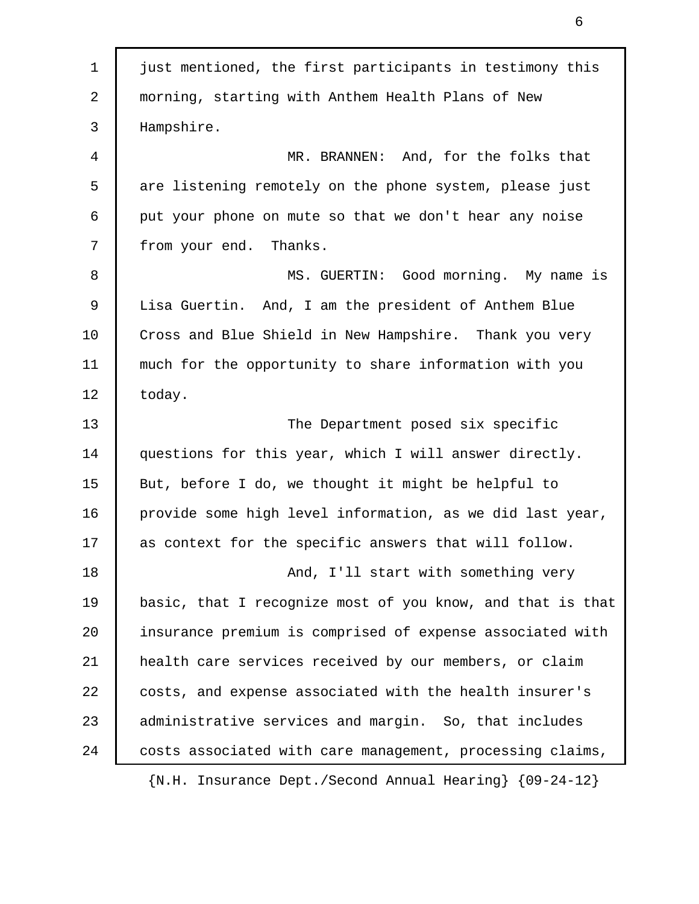1 just mentioned, the first participants in testimony this 2 morning, starting with Anthem Health Plans of New 3 Hampshire. 4 MR. BRANNEN: And, for the folks that 5 are listening remotely on the phone system, please just 6 put your phone on mute so that we don't hear any noise 7 from your end. Thanks. 8 MS. GUERTIN: Good morning. My name is 9 Lisa Guertin. And, I am the president of Anthem Blue 10 Cross and Blue Shield in New Hampshire. Thank you very 11 much for the opportunity to share information with you 12 | today. 13 The Department posed six specific 14 questions for this year, which I will answer directly. 15 | But, before I do, we thought it might be helpful to 16 provide some high level information, as we did last year, 17 as context for the specific answers that will follow. 18 **And, I'll start with something very** 19 basic, that I recognize most of you know, and that is that 20 insurance premium is comprised of expense associated with 21 health care services received by our members, or claim 22 costs, and expense associated with the health insurer's 23 administrative services and margin. So, that includes 24 | costs associated with care management, processing claims, {N.H. Insurance Dept./Second Annual Hearing} {09-24-12}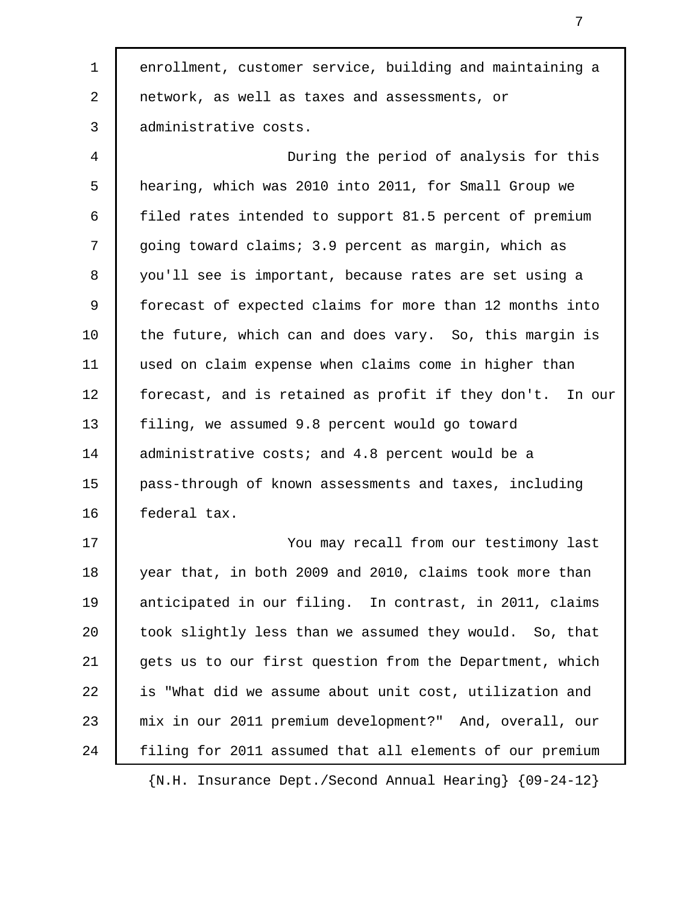1 enrollment, customer service, building and maintaining a 2 network, as well as taxes and assessments, or 3 administrative costs.

 4 During the period of analysis for this 5 hearing, which was 2010 into 2011, for Small Group we 6 filed rates intended to support 81.5 percent of premium 7 going toward claims; 3.9 percent as margin, which as 8 you'll see is important, because rates are set using a 9 forecast of expected claims for more than 12 months into 10 the future, which can and does vary. So, this margin is 11 used on claim expense when claims come in higher than 12 forecast, and is retained as profit if they don't. In our 13 filing, we assumed 9.8 percent would go toward 14 administrative costs; and 4.8 percent would be a 15 pass-through of known assessments and taxes, including 16 federal tax.

17 You may recall from our testimony last 18 year that, in both 2009 and 2010, claims took more than 19 | anticipated in our filing. In contrast, in 2011, claims 20 took slightly less than we assumed they would. So, that 21 gets us to our first question from the Department, which 22 is "What did we assume about unit cost, utilization and 23 mix in our 2011 premium development?" And, overall, our 24 filing for 2011 assumed that all elements of our premium

{N.H. Insurance Dept./Second Annual Hearing} {09-24-12}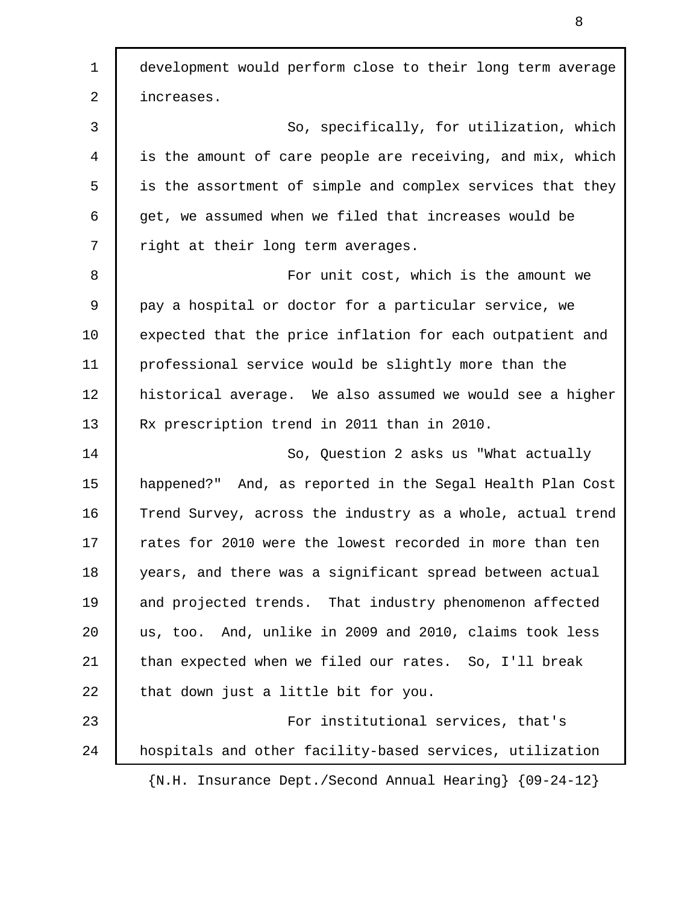1 development would perform close to their long term average 2 | increases. 3 So, specifically, for utilization, which 4 is the amount of care people are receiving, and mix, which 5 is the assortment of simple and complex services that they 6 get, we assumed when we filed that increases would be 7 Tright at their long term averages. 8 **8** For unit cost, which is the amount we 9 pay a hospital or doctor for a particular service, we 10 expected that the price inflation for each outpatient and 11 professional service would be slightly more than the 12 historical average. We also assumed we would see a higher 13 Rx prescription trend in 2011 than in 2010. 14 So, Question 2 asks us "What actually 15 happened?" And, as reported in the Segal Health Plan Cost 16 Trend Survey, across the industry as a whole, actual trend 17 Trates for 2010 were the lowest recorded in more than ten 18 years, and there was a significant spread between actual 19 and projected trends. That industry phenomenon affected 20 us, too. And, unlike in 2009 and 2010, claims took less 21 than expected when we filed our rates. So, I'll break 22 that down just a little bit for you. 23 **For institutional services, that's** 24 hospitals and other facility-based services, utilization {N.H. Insurance Dept./Second Annual Hearing} {09-24-12}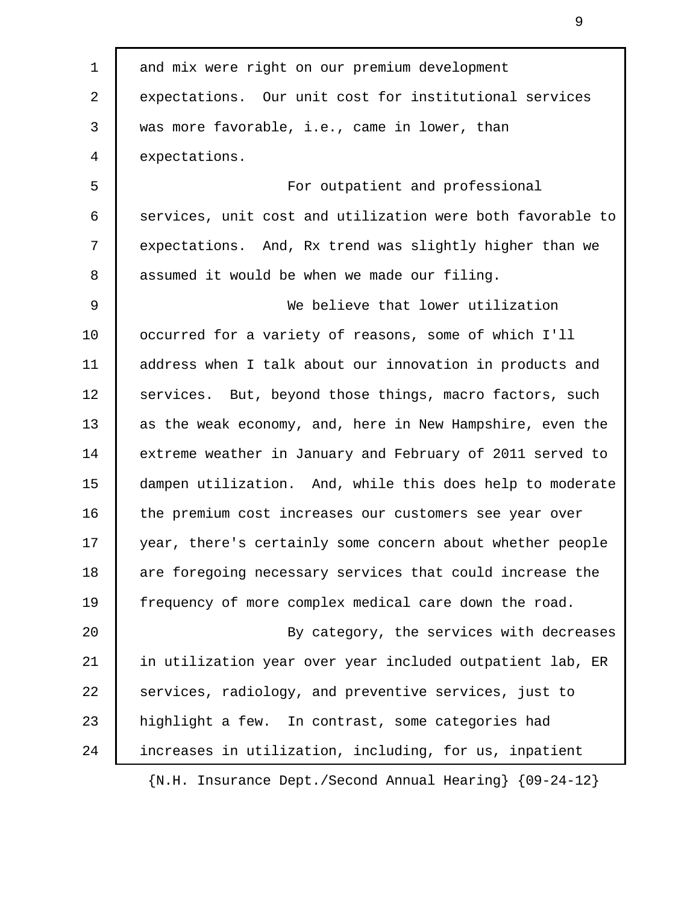1 and mix were right on our premium development 2 expectations. Our unit cost for institutional services 3 was more favorable, i.e., came in lower, than 4 expectations. 5 For outpatient and professional 6 services, unit cost and utilization were both favorable to 7 expectations. And, Rx trend was slightly higher than we 8 assumed it would be when we made our filing. 9 We believe that lower utilization 10 | occurred for a variety of reasons, some of which I'll 11 | address when I talk about our innovation in products and 12 | services. But, beyond those things, macro factors, such 13 as the weak economy, and, here in New Hampshire, even the 14 extreme weather in January and February of 2011 served to 15 dampen utilization. And, while this does help to moderate 16 the premium cost increases our customers see year over 17 year, there's certainly some concern about whether people 18 are foregoing necessary services that could increase the 19 frequency of more complex medical care down the road. 20 By category, the services with decreases 21 in utilization year over year included outpatient lab, ER 22 Services, radiology, and preventive services, just to 23 | highlight a few. In contrast, some categories had 24 increases in utilization, including, for us, inpatient {N.H. Insurance Dept./Second Annual Hearing} {09-24-12}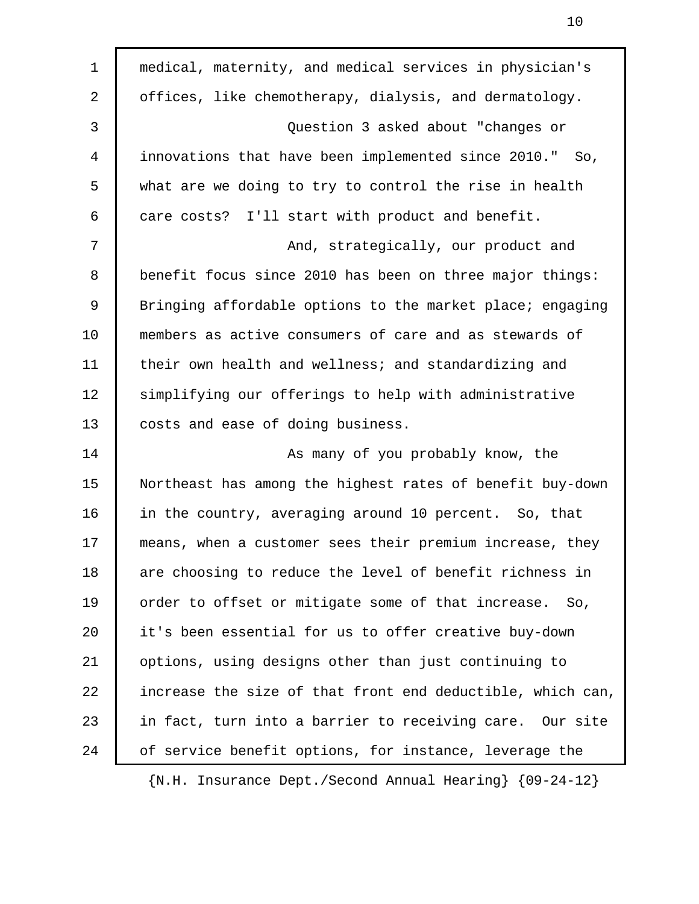| $\mathbf 1$ | medical, maternity, and medical services in physician's    |
|-------------|------------------------------------------------------------|
| 2           | offices, like chemotherapy, dialysis, and dermatology.     |
| 3           | Question 3 asked about "changes or                         |
| 4           | innovations that have been implemented since 2010." So,    |
| 5           | what are we doing to try to control the rise in health     |
| 6           | care costs? I'll start with product and benefit.           |
| 7           | And, strategically, our product and                        |
| 8           | benefit focus since 2010 has been on three major things:   |
| 9           | Bringing affordable options to the market place; engaging  |
| 10          | members as active consumers of care and as stewards of     |
| 11          | their own health and wellness; and standardizing and       |
| 12          | simplifying our offerings to help with administrative      |
| 13          | costs and ease of doing business.                          |
| 14          | As many of you probably know, the                          |
| 15          | Northeast has among the highest rates of benefit buy-down  |
| 16          | in the country, averaging around 10 percent. So, that      |
| 17          | means, when a customer sees their premium increase, they   |
| 18          | are choosing to reduce the level of benefit richness in    |
| 19          | order to offset or mitigate some of that increase. So,     |
| 20          | it's been essential for us to offer creative buy-down      |
| 21          | options, using designs other than just continuing to       |
| 22          | increase the size of that front end deductible, which can, |
| 23          | in fact, turn into a barrier to receiving care. Our site   |
| 24          | of service benefit options, for instance, leverage the     |
|             |                                                            |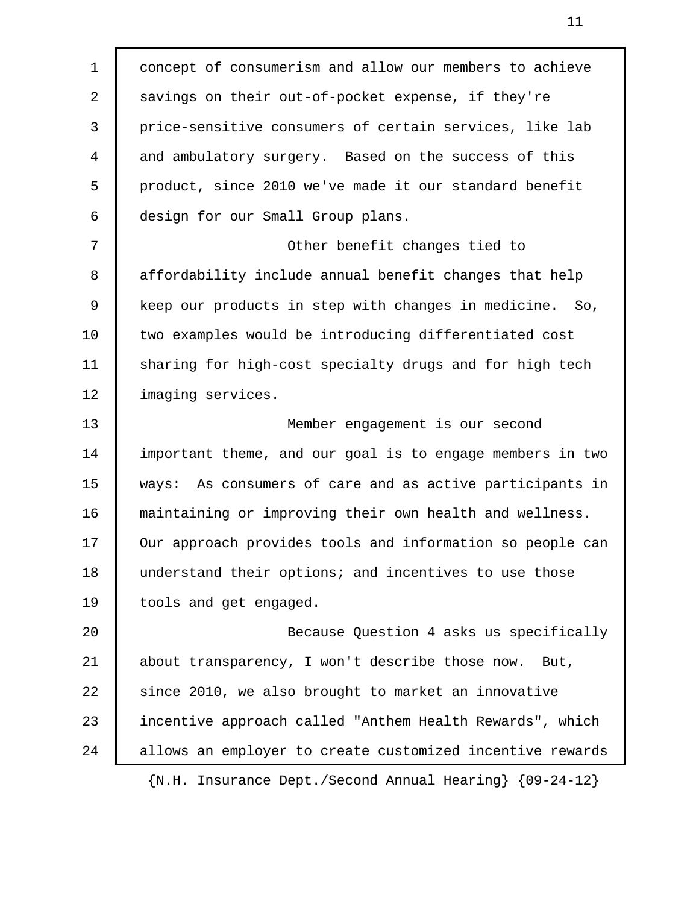1 concept of consumerism and allow our members to achieve 2 savings on their out-of-pocket expense, if they're 3 price-sensitive consumers of certain services, like lab 4 and ambulatory surgery. Based on the success of this 5 product, since 2010 we've made it our standard benefit 6 design for our Small Group plans. 7 | Cher benefit changes tied to 8 affordability include annual benefit changes that help 9 keep our products in step with changes in medicine. So, 10 two examples would be introducing differentiated cost 11 sharing for high-cost specialty drugs and for high tech 12 | imaging services. 13 Member engagement is our second 14 important theme, and our goal is to engage members in two 15 ways: As consumers of care and as active participants in 16 maintaining or improving their own health and wellness. 17 Our approach provides tools and information so people can 18 understand their options; and incentives to use those 19 tools and get engaged. 20 Because Question 4 asks us specifically 21 about transparency, I won't describe those now. But, 22 since 2010, we also brought to market an innovative 23 incentive approach called "Anthem Health Rewards", which 24 allows an employer to create customized incentive rewards {N.H. Insurance Dept./Second Annual Hearing} {09-24-12}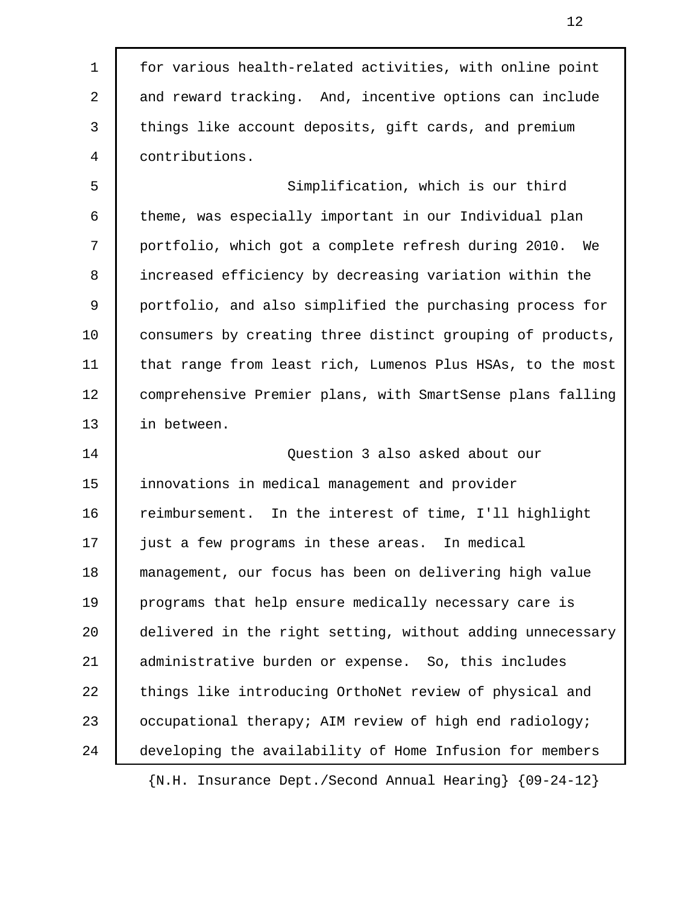1 for various health-related activities, with online point 2 and reward tracking. And, incentive options can include 3 things like account deposits, gift cards, and premium 4 contributions.

 5 Simplification, which is our third 6 theme, was especially important in our Individual plan 7 portfolio, which got a complete refresh during 2010. We 8 increased efficiency by decreasing variation within the 9 portfolio, and also simplified the purchasing process for 10 | consumers by creating three distinct grouping of products, 11 that range from least rich, Lumenos Plus HSAs, to the most 12 comprehensive Premier plans, with SmartSense plans falling 13 in between.

14 Question 3 also asked about our 15 innovations in medical management and provider 16 reimbursement. In the interest of time, I'll highlight 17 just a few programs in these areas. In medical 18 management, our focus has been on delivering high value 19 programs that help ensure medically necessary care is 20 delivered in the right setting, without adding unnecessary 21 administrative burden or expense. So, this includes 22 things like introducing OrthoNet review of physical and 23 | occupational therapy; AIM review of high end radiology; 24 developing the availability of Home Infusion for members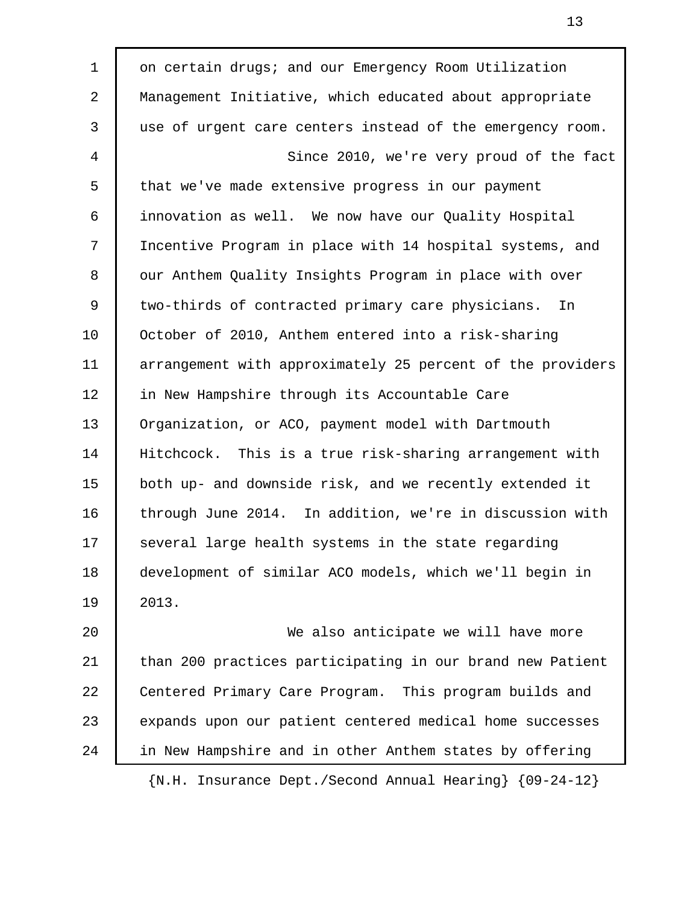1 on certain drugs; and our Emergency Room Utilization 2 Management Initiative, which educated about appropriate 3 use of urgent care centers instead of the emergency room. 4 Since 2010, we're very proud of the fact 5 that we've made extensive progress in our payment 6 innovation as well. We now have our Quality Hospital 7 Incentive Program in place with 14 hospital systems, and 8 | our Anthem Quality Insights Program in place with over 9 two-thirds of contracted primary care physicians. In 10 October of 2010, Anthem entered into a risk-sharing 11 arrangement with approximately 25 percent of the providers 12 in New Hampshire through its Accountable Care 13 Organization, or ACO, payment model with Dartmouth 14 Hitchcock. This is a true risk-sharing arrangement with 15 both up- and downside risk, and we recently extended it 16 through June 2014. In addition, we're in discussion with 17 Several large health systems in the state regarding 18 development of similar ACO models, which we'll begin in 19 2013. 20 We also anticipate we will have more

21 than 200 practices participating in our brand new Patient 22 Centered Primary Care Program. This program builds and 23 expands upon our patient centered medical home successes 24 in New Hampshire and in other Anthem states by offering

{N.H. Insurance Dept./Second Annual Hearing} {09-24-12}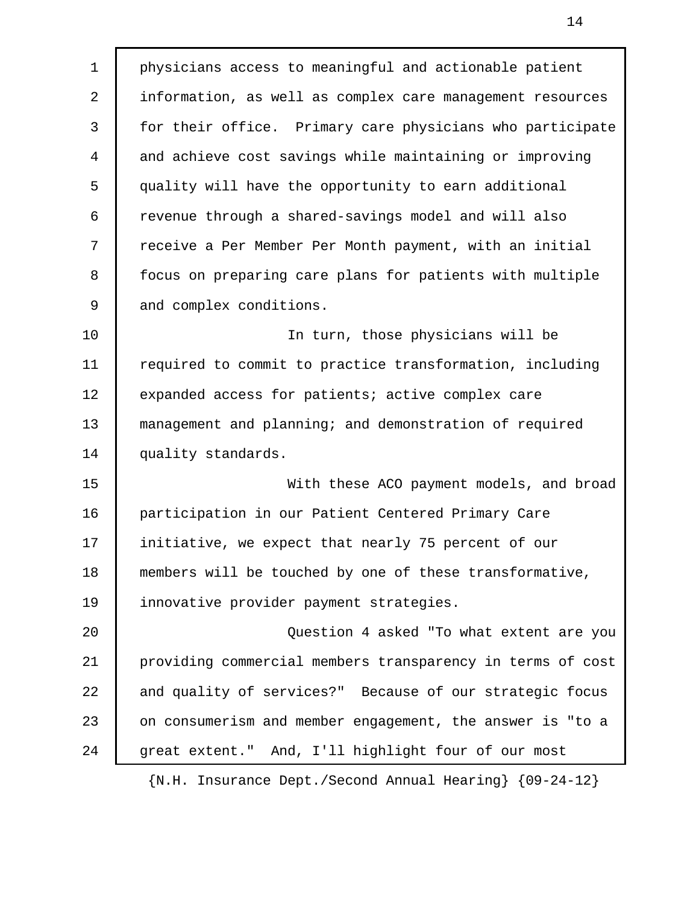1 physicians access to meaningful and actionable patient 2 information, as well as complex care management resources 3 for their office. Primary care physicians who participate 4 and achieve cost savings while maintaining or improving 5 quality will have the opportunity to earn additional 6 revenue through a shared-savings model and will also 7 receive a Per Member Per Month payment, with an initial 8 focus on preparing care plans for patients with multiple 9 and complex conditions. 10 | The turn, those physicians will be 11 required to commit to practice transformation, including 12 expanded access for patients; active complex care 13 management and planning; and demonstration of required 14 quality standards. 15 With these ACO payment models, and broad 16 participation in our Patient Centered Primary Care 17 initiative, we expect that nearly 75 percent of our 18 members will be touched by one of these transformative, 19 innovative provider payment strategies.

20 Question 4 asked "To what extent are you 21 providing commercial members transparency in terms of cost 22 and quality of services?" Because of our strategic focus 23 on consumerism and member engagement, the answer is "to a 24 | great extent." And, I'll highlight four of our most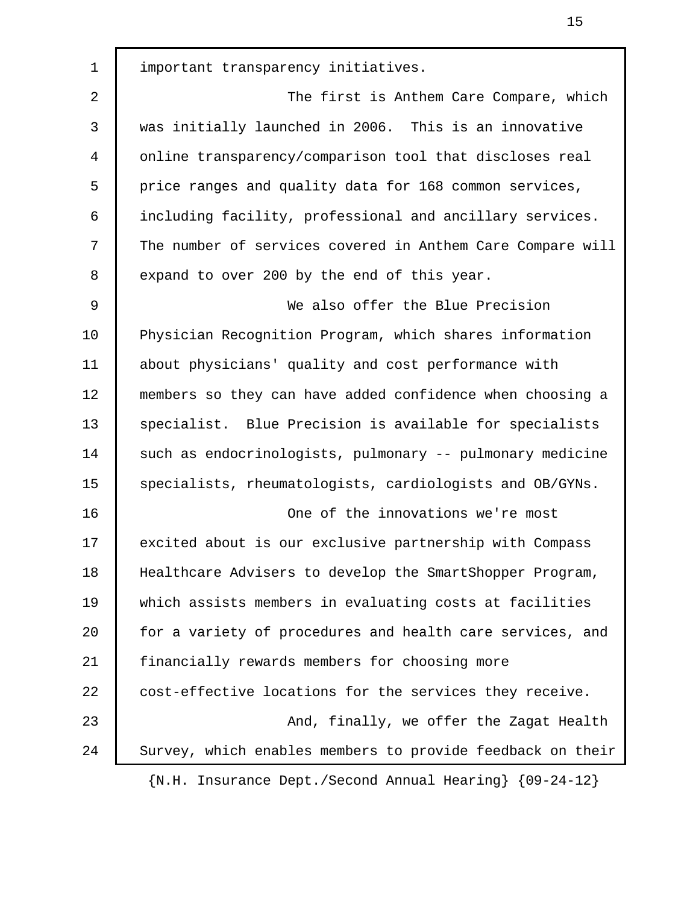1 important transparency initiatives. 2 The first is Anthem Care Compare, which 3 was initially launched in 2006. This is an innovative 4 online transparency/comparison tool that discloses real 5 price ranges and quality data for 168 common services, 6 including facility, professional and ancillary services. 7 The number of services covered in Anthem Care Compare will 8 expand to over 200 by the end of this year. 9 We also offer the Blue Precision 10 Physician Recognition Program, which shares information 11 about physicians' quality and cost performance with 12 members so they can have added confidence when choosing a 13 Specialist. Blue Precision is available for specialists 14 such as endocrinologists, pulmonary -- pulmonary medicine 15 | specialists, rheumatologists, cardiologists and OB/GYNs. 16 One of the innovations we're most 17 excited about is our exclusive partnership with Compass 18 Healthcare Advisers to develop the SmartShopper Program, 19 which assists members in evaluating costs at facilities 20 for a variety of procedures and health care services, and 21 financially rewards members for choosing more 22 cost-effective locations for the services they receive. 23 And, finally, we offer the Zagat Health 24 Survey, which enables members to provide feedback on their {N.H. Insurance Dept./Second Annual Hearing} {09-24-12}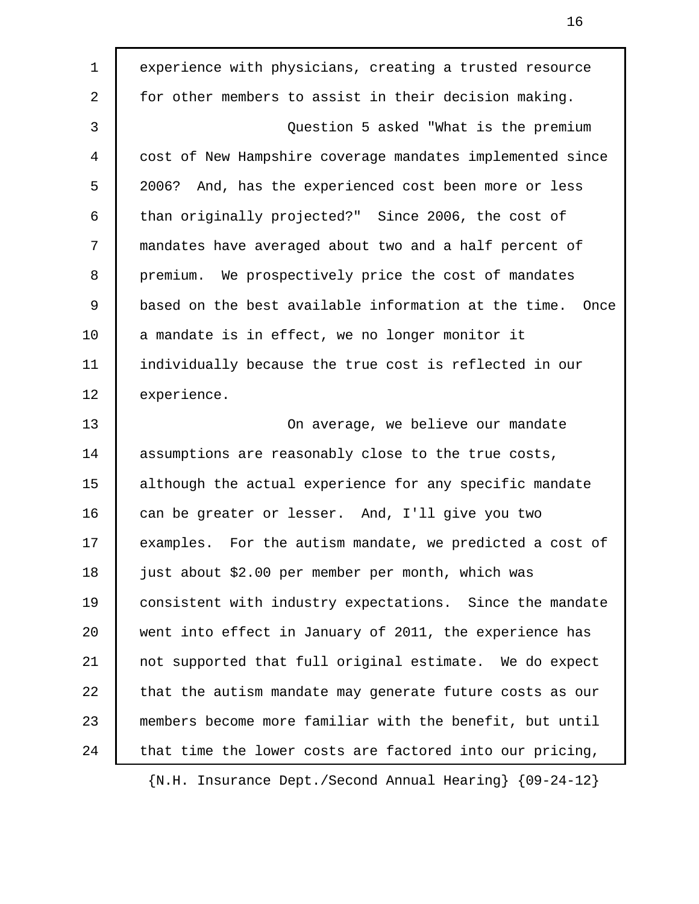1 experience with physicians, creating a trusted resource 2 for other members to assist in their decision making. 3 Question 5 asked "What is the premium 4 cost of New Hampshire coverage mandates implemented since 5 2006? And, has the experienced cost been more or less 6 than originally projected?" Since 2006, the cost of 7 mandates have averaged about two and a half percent of 8 premium. We prospectively price the cost of mandates 9 based on the best available information at the time. Once 10 a mandate is in effect, we no longer monitor it 11 individually because the true cost is reflected in our 12 experience. 13 On average, we believe our mandate 14 assumptions are reasonably close to the true costs, 15 although the actual experience for any specific mandate 16 can be greater or lesser. And, I'll give you two 17 examples. For the autism mandate, we predicted a cost of 18 just about \$2.00 per member per month, which was 19 consistent with industry expectations. Since the mandate 20 went into effect in January of 2011, the experience has 21 not supported that full original estimate. We do expect 22 that the autism mandate may generate future costs as our 23 members become more familiar with the benefit, but until 24 that time the lower costs are factored into our pricing,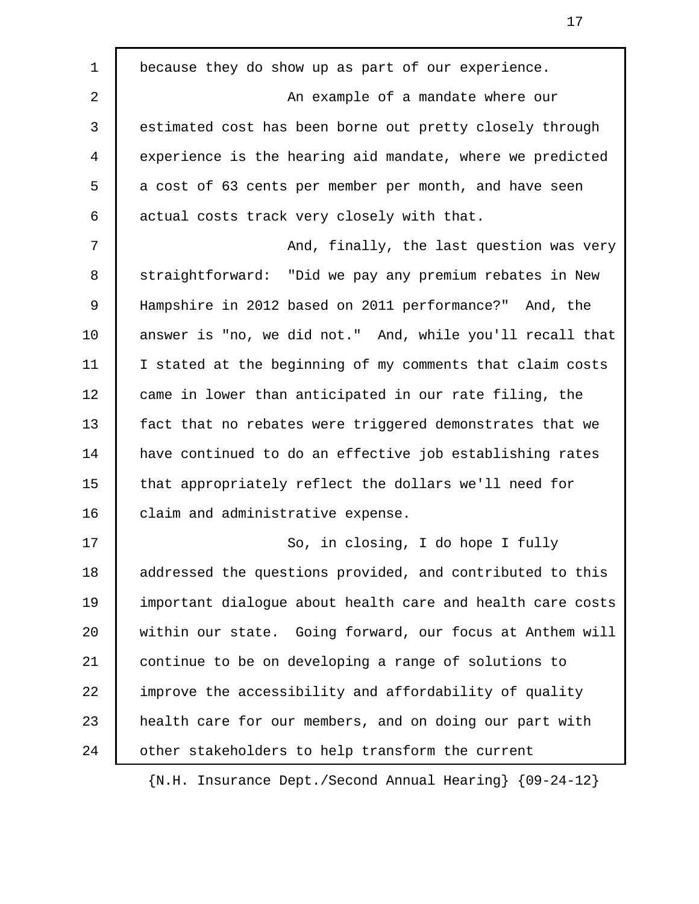1 because they do show up as part of our experience. 2 **An example of a mandate where our**  3 estimated cost has been borne out pretty closely through 4 experience is the hearing aid mandate, where we predicted 5 a cost of 63 cents per member per month, and have seen 6 actual costs track very closely with that. 7 **Term in tenso and, finally, the last question was very** 8 straightforward: "Did we pay any premium rebates in New 9 Hampshire in 2012 based on 2011 performance?" And, the 10 answer is "no, we did not." And, while you'll recall that 11 I stated at the beginning of my comments that claim costs 12 came in lower than anticipated in our rate filing, the 13 fact that no rebates were triggered demonstrates that we 14 have continued to do an effective job establishing rates 15 that appropriately reflect the dollars we'll need for 16 | claim and administrative expense. 17 | So, in closing, I do hope I fully 18 addressed the questions provided, and contributed to this 19 important dialogue about health care and health care costs 20 within our state. Going forward, our focus at Anthem will 21 continue to be on developing a range of solutions to 22 improve the accessibility and affordability of quality 23 | health care for our members, and on doing our part with 24 other stakeholders to help transform the current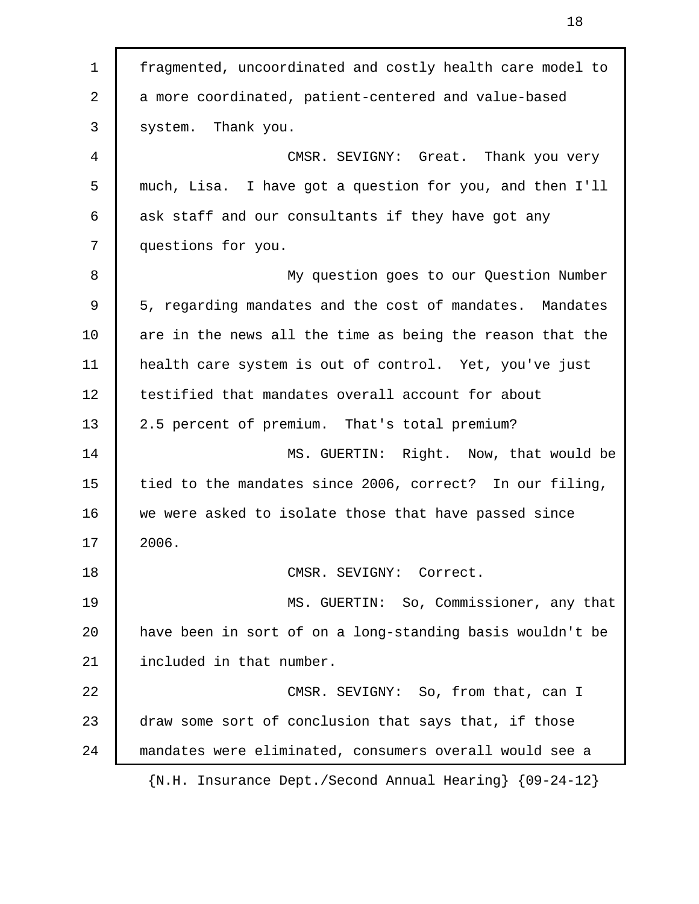1 fragmented, uncoordinated and costly health care model to 2 a more coordinated, patient-centered and value-based 3 system. Thank you. 4 CMSR. SEVIGNY: Great. Thank you very 5 much, Lisa. I have got a question for you, and then I'll 6 ask staff and our consultants if they have got any 7 questions for you. 8 My question goes to our Question Number 9 5, regarding mandates and the cost of mandates. Mandates 10 are in the news all the time as being the reason that the 11 health care system is out of control. Yet, you've just 12 testified that mandates overall account for about 13 2.5 percent of premium. That's total premium? 14 MS. GUERTIN: Right. Now, that would be 15 tied to the mandates since 2006, correct? In our filing, 16 we were asked to isolate those that have passed since 17 2006. 18 CMSR. SEVIGNY: Correct. 19 MS. GUERTIN: So, Commissioner, any that 20 have been in sort of on a long-standing basis wouldn't be 21 included in that number. 22 CMSR. SEVIGNY: So, from that, can I 23 draw some sort of conclusion that says that, if those 24 mandates were eliminated, consumers overall would see a {N.H. Insurance Dept./Second Annual Hearing} {09-24-12}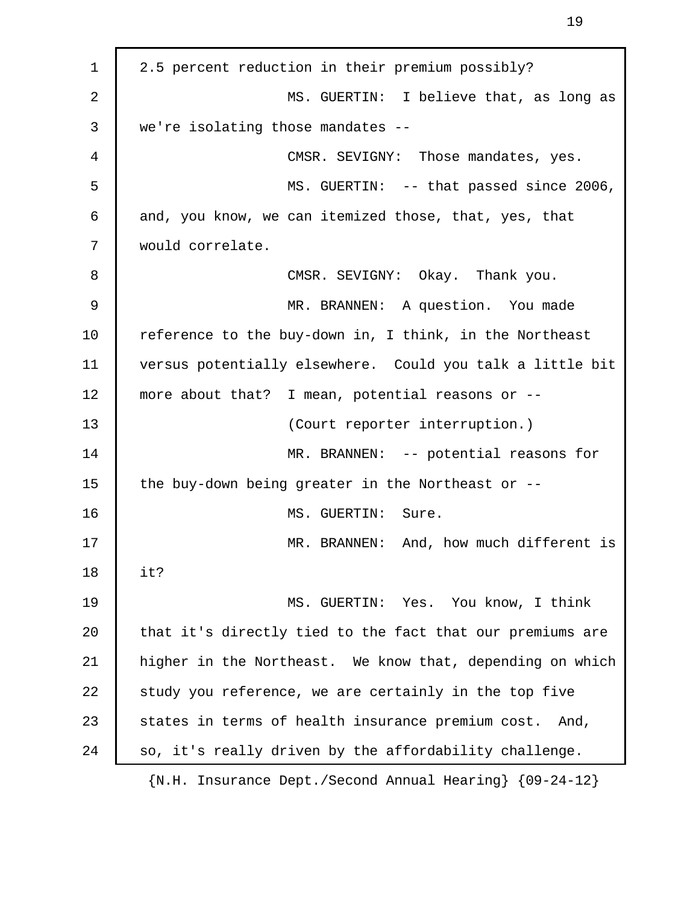1 2.5 percent reduction in their premium possibly? 2 MS. GUERTIN: I believe that, as long as 3 we're isolating those mandates -- 4 CMSR. SEVIGNY: Those mandates, yes. 5 MS. GUERTIN: -- that passed since 2006, 6 and, you know, we can itemized those, that, yes, that 7 would correlate. 8 CMSR. SEVIGNY: Okay. Thank you. 9 MR. BRANNEN: A question. You made 10 | reference to the buy-down in, I think, in the Northeast 11 versus potentially elsewhere. Could you talk a little bit 12 more about that? I mean, potential reasons or -- 13 (Court reporter interruption.) 14 MR. BRANNEN: -- potential reasons for 15  $\parallel$  the buy-down being greater in the Northeast or --16 MS. GUERTIN: Sure. 17 MR. BRANNEN: And, how much different is 18 it? 19 MS. GUERTIN: Yes. You know, I think 20 that it's directly tied to the fact that our premiums are 21 higher in the Northeast. We know that, depending on which 22 study you reference, we are certainly in the top five 23 States in terms of health insurance premium cost. And, 24 | so, it's really driven by the affordability challenge.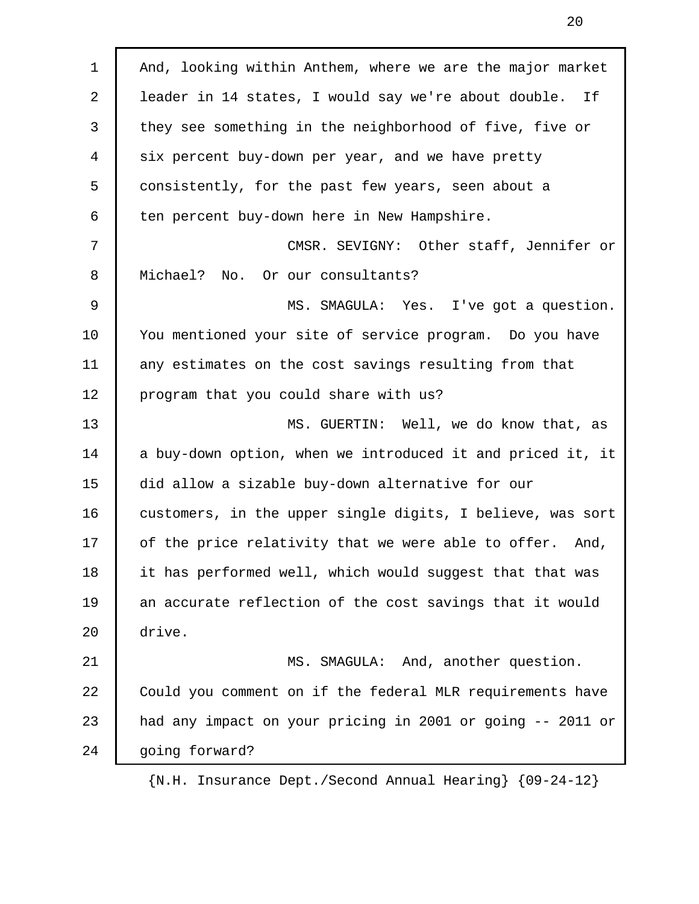1 | And, looking within Anthem, where we are the major market 2 leader in 14 states, I would say we're about double. If 3 they see something in the neighborhood of five, five or 4 six percent buy-down per year, and we have pretty 5 consistently, for the past few years, seen about a 6 ten percent buy-down here in New Hampshire. 7 CMSR. SEVIGNY: Other staff, Jennifer or 8 | Michael? No. Or our consultants? 9 MS. SMAGULA: Yes. I've got a question. 10 You mentioned your site of service program. Do you have 11 any estimates on the cost savings resulting from that 12 | program that you could share with us? 13 MS. GUERTIN: Well, we do know that, as 14 a buy-down option, when we introduced it and priced it, it 15 did allow a sizable buy-down alternative for our 16 customers, in the upper single digits, I believe, was sort 17 | of the price relativity that we were able to offer. And, 18 it has performed well, which would suggest that that was 19 an accurate reflection of the cost savings that it would 20 drive. 21 MS. SMAGULA: And, another question. 22 Could you comment on if the federal MLR requirements have 23 | had any impact on your pricing in 2001 or going -- 2011 or 24 | going forward?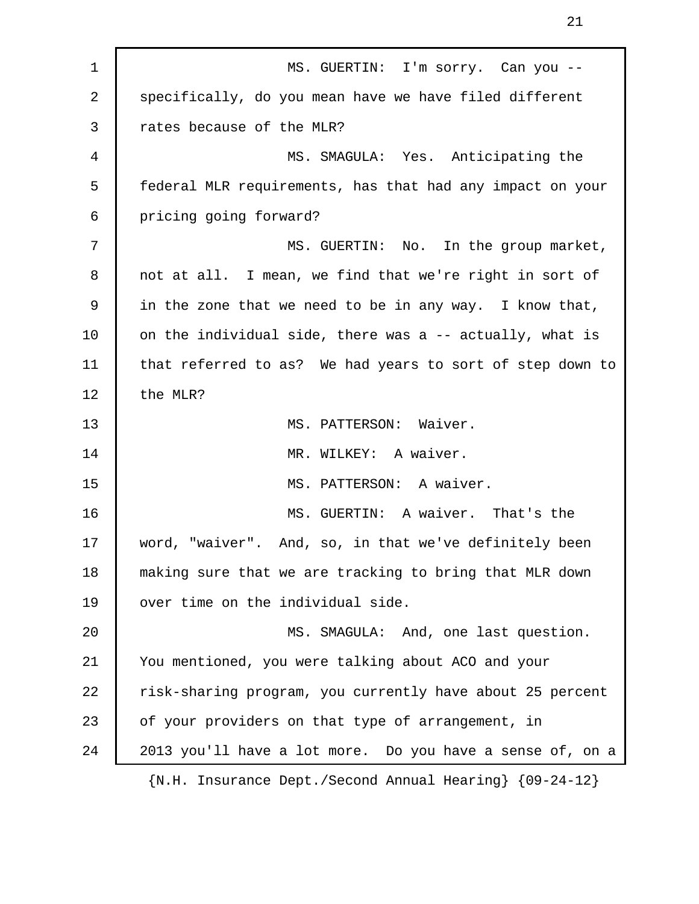1 | MS. GUERTIN: I'm sorry. Can you --2 specifically, do you mean have we have filed different 3 Trates because of the MLR? 4 MS. SMAGULA: Yes. Anticipating the 5 federal MLR requirements, has that had any impact on your 6 pricing going forward? 7 MS. GUERTIN: No. In the group market, 8 not at all. I mean, we find that we're right in sort of 9 in the zone that we need to be in any way. I know that, 10 on the individual side, there was a -- actually, what is 11 that referred to as? We had years to sort of step down to 12 the MLR? 13 MS. PATTERSON: Waiver. 14 MR. WILKEY: A waiver. 15 MS. PATTERSON: A waiver. 16 **MS. GUERTIN:** A waiver. That's the 17 word, "waiver". And, so, in that we've definitely been 18 making sure that we are tracking to bring that MLR down 19 | over time on the individual side. 20 | MS. SMAGULA: And, one last question. 21 You mentioned, you were talking about ACO and your 22 | risk-sharing program, you currently have about 25 percent 23 of your providers on that type of arrangement, in 24 2013 you'll have a lot more. Do you have a sense of, on a {N.H. Insurance Dept./Second Annual Hearing} {09-24-12}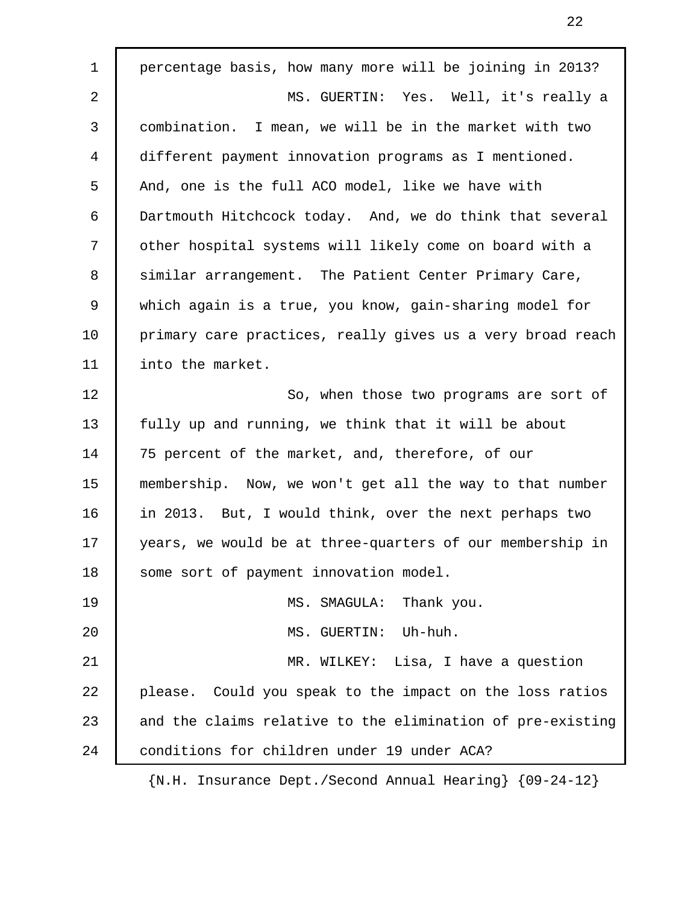1 percentage basis, how many more will be joining in 2013? 2 MS. GUERTIN: Yes. Well, it's really a 3 combination. I mean, we will be in the market with two 4 different payment innovation programs as I mentioned. 5 And, one is the full ACO model, like we have with 6 Dartmouth Hitchcock today. And, we do think that several 7 other hospital systems will likely come on board with a 8 | similar arrangement. The Patient Center Primary Care, 9 which again is a true, you know, gain-sharing model for 10 | primary care practices, really gives us a very broad reach 11 | into the market. 12 | So, when those two programs are sort of 13 fully up and running, we think that it will be about 14 75 percent of the market, and, therefore, of our 15 membership. Now, we won't get all the way to that number 16 in 2013. But, I would think, over the next perhaps two 17 | years, we would be at three-quarters of our membership in 18 some sort of payment innovation model. 19 | MS. SMAGULA: Thank you. 20 MS. GUERTIN: Uh-huh. 21 | MR. WILKEY: Lisa, I have a question 22 please. Could you speak to the impact on the loss ratios 23 and the claims relative to the elimination of pre-existing 24 | conditions for children under 19 under ACA?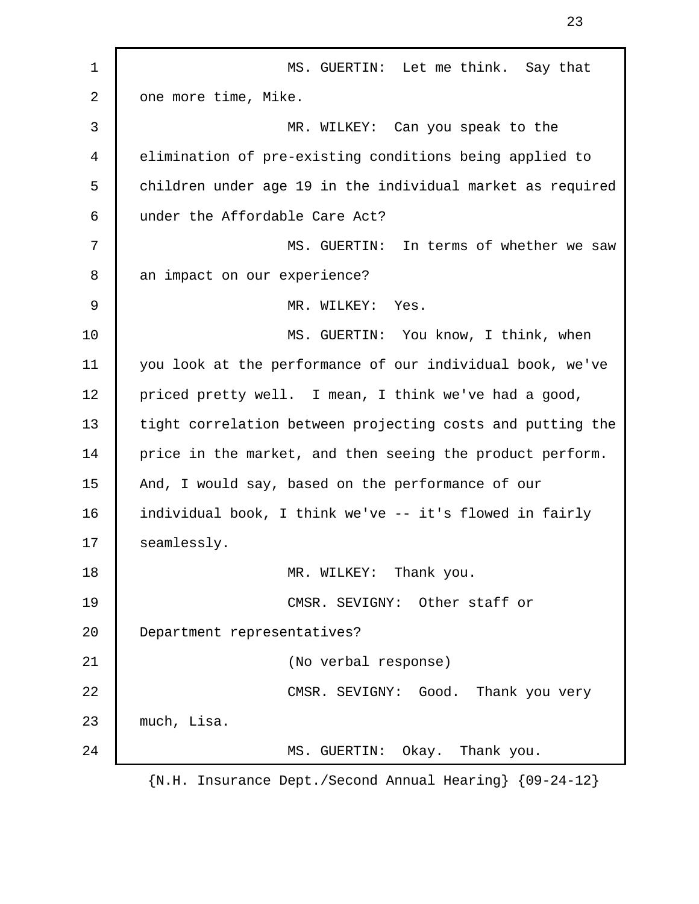1 | MS. GUERTIN: Let me think. Say that 2 one more time, Mike. 3 MR. WILKEY: Can you speak to the 4 elimination of pre-existing conditions being applied to 5 children under age 19 in the individual market as required 6 under the Affordable Care Act? 7 MS. GUERTIN: In terms of whether we saw 8 an impact on our experience? 9 MR. WILKEY: Yes. 10 MS. GUERTIN: You know, I think, when 11 you look at the performance of our individual book, we've 12 | priced pretty well. I mean, I think we've had a good, 13 tight correlation between projecting costs and putting the 14 price in the market, and then seeing the product perform. 15 | And, I would say, based on the performance of our 16 individual book, I think we've -- it's flowed in fairly 17 | seamlessly. 18 MR. WILKEY: Thank you. 19 CMSR. SEVIGNY: Other staff or 20 Department representatives? 21 (No verbal response) 22 CMSR. SEVIGNY: Good. Thank you very 23 much, Lisa. 24 | MS. GUERTIN: Okay. Thank you. {N.H. Insurance Dept./Second Annual Hearing} {09-24-12}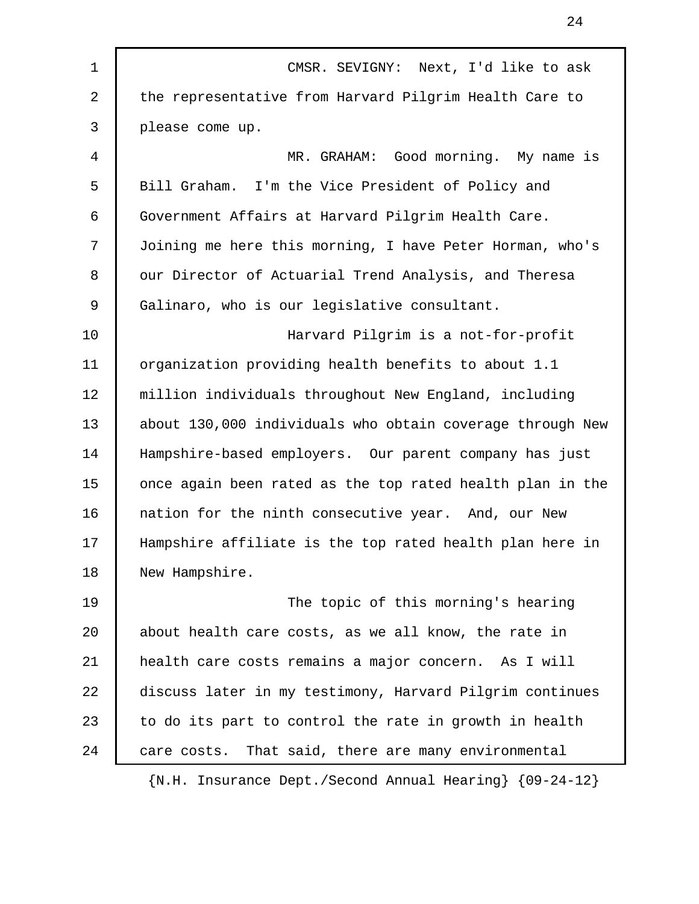1 CMSR. SEVIGNY: Next, I'd like to ask 2 the representative from Harvard Pilgrim Health Care to 3 please come up. 4 MR. GRAHAM: Good morning. My name is 5 Bill Graham. I'm the Vice President of Policy and 6 Government Affairs at Harvard Pilgrim Health Care. 7 Joining me here this morning, I have Peter Horman, who's 8 | our Director of Actuarial Trend Analysis, and Theresa 9 | Galinaro, who is our legislative consultant. 10 Harvard Pilgrim is a not-for-profit 11 organization providing health benefits to about 1.1 12 million individuals throughout New England, including 13 about 130,000 individuals who obtain coverage through New 14 Hampshire-based employers. Our parent company has just 15 | once again been rated as the top rated health plan in the 16 | nation for the ninth consecutive year. And, our New 17 Hampshire affiliate is the top rated health plan here in 18 New Hampshire. 19 The topic of this morning's hearing 20 about health care costs, as we all know, the rate in 21 health care costs remains a major concern. As I will 22 discuss later in my testimony, Harvard Pilgrim continues 23  $\vert$  to do its part to control the rate in growth in health 24 care costs. That said, there are many environmental {N.H. Insurance Dept./Second Annual Hearing} {09-24-12}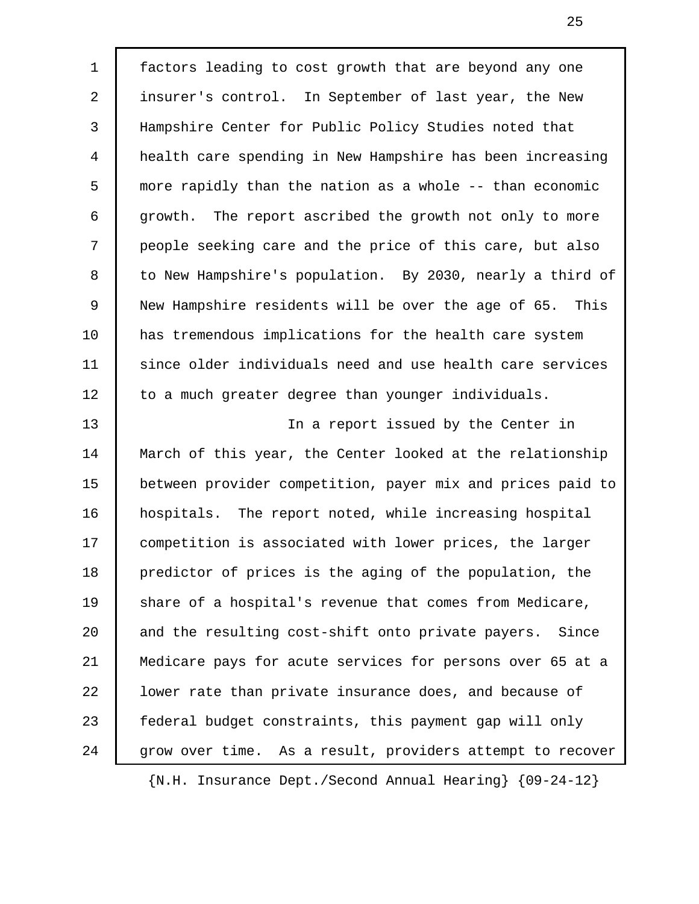1 factors leading to cost growth that are beyond any one 2 insurer's control. In September of last year, the New 3 Hampshire Center for Public Policy Studies noted that 4 health care spending in New Hampshire has been increasing 5 more rapidly than the nation as a whole -- than economic 6 growth. The report ascribed the growth not only to more 7 people seeking care and the price of this care, but also 8 to New Hampshire's population. By 2030, nearly a third of 9 New Hampshire residents will be over the age of 65. This 10 has tremendous implications for the health care system 11 since older individuals need and use health care services 12 to a much greater degree than younger individuals. 13 In a report issued by the Center in 14 March of this year, the Center looked at the relationship

15 between provider competition, payer mix and prices paid to 16 hospitals. The report noted, while increasing hospital 17 competition is associated with lower prices, the larger 18 predictor of prices is the aging of the population, the 19 Share of a hospital's revenue that comes from Medicare, 20 and the resulting cost-shift onto private payers. Since 21 Medicare pays for acute services for persons over 65 at a 22 **l** lower rate than private insurance does, and because of 23 Federal budget constraints, this payment gap will only 24 | grow over time. As a result, providers attempt to recover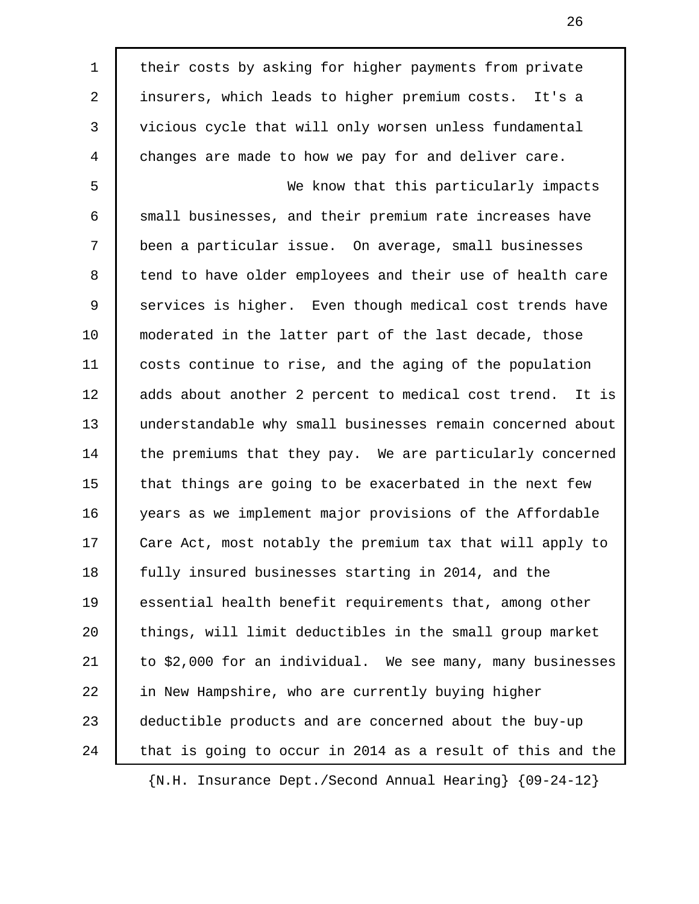1 | their costs by asking for higher payments from private 2 insurers, which leads to higher premium costs. It's a 3 vicious cycle that will only worsen unless fundamental 4 changes are made to how we pay for and deliver care. 5 We know that this particularly impacts 6 small businesses, and their premium rate increases have 7 been a particular issue. On average, small businesses 8 tend to have older employees and their use of health care 9 Services is higher. Even though medical cost trends have 10 moderated in the latter part of the last decade, those 11 costs continue to rise, and the aging of the population 12 adds about another 2 percent to medical cost trend. It is 13 understandable why small businesses remain concerned about 14 the premiums that they pay. We are particularly concerned 15 that things are going to be exacerbated in the next few 16 years as we implement major provisions of the Affordable 17 Care Act, most notably the premium tax that will apply to 18 fully insured businesses starting in 2014, and the 19 essential health benefit requirements that, among other 20 things, will limit deductibles in the small group market 21 to \$2,000 for an individual. We see many, many businesses 22 in New Hampshire, who are currently buying higher 23 deductible products and are concerned about the buy-up 24 that is going to occur in 2014 as a result of this and the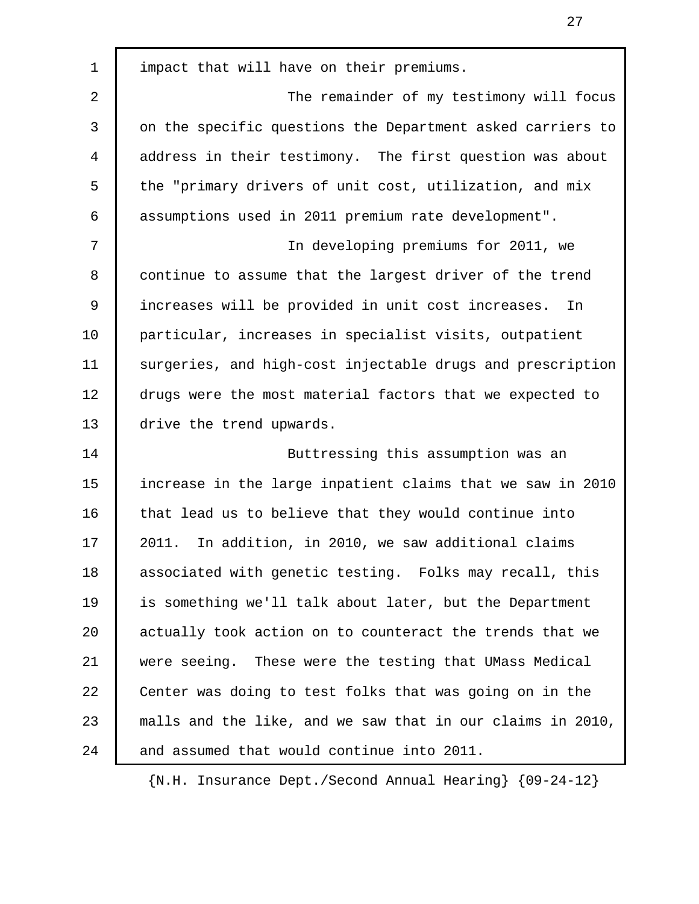1 impact that will have on their premiums. 2 The remainder of my testimony will focus 3 on the specific questions the Department asked carriers to 4 address in their testimony. The first question was about 5 the "primary drivers of unit cost, utilization, and mix 6 assumptions used in 2011 premium rate development". 7 In developing premiums for 2011, we 8 | continue to assume that the largest driver of the trend 9 increases will be provided in unit cost increases. In 10 particular, increases in specialist visits, outpatient 11 surgeries, and high-cost injectable drugs and prescription 12 drugs were the most material factors that we expected to 13 drive the trend upwards. 14 Buttressing this assumption was an 15 increase in the large inpatient claims that we saw in 2010 16 that lead us to believe that they would continue into 17 2011. In addition, in 2010, we saw additional claims 18 associated with genetic testing. Folks may recall, this 19 is something we'll talk about later, but the Department 20 actually took action on to counteract the trends that we 21 were seeing. These were the testing that UMass Medical 22 Center was doing to test folks that was going on in the 23 malls and the like, and we saw that in our claims in 2010, 24 and assumed that would continue into 2011.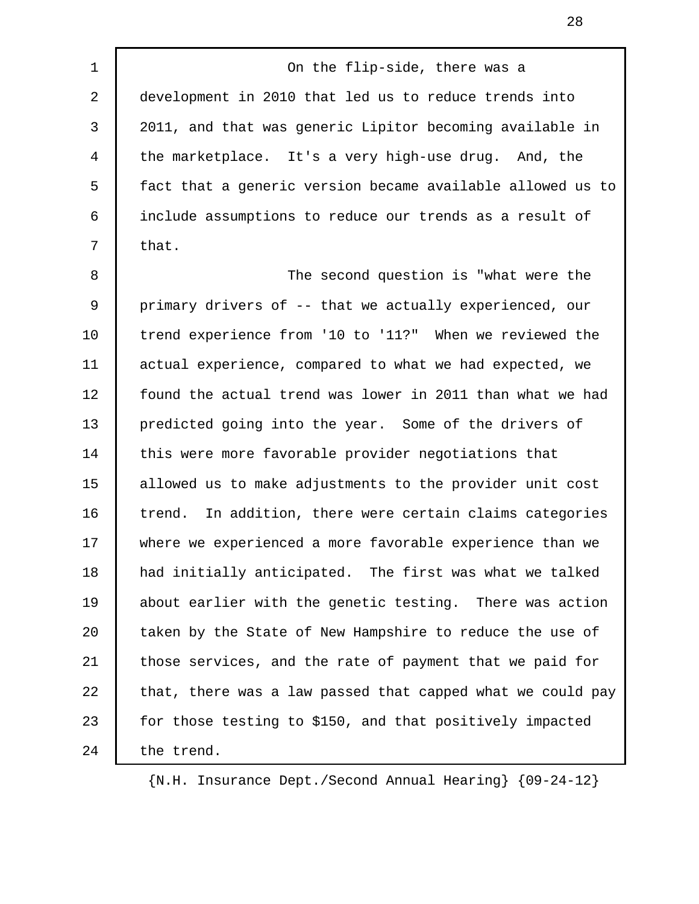1 On the flip-side, there was a

 2 development in 2010 that led us to reduce trends into 3 2011, and that was generic Lipitor becoming available in 4 the marketplace. It's a very high-use drug. And, the 5 fact that a generic version became available allowed us to 6 include assumptions to reduce our trends as a result of  $7 \mid \text{that.}$ 

8 The second question is "what were the 9 primary drivers of -- that we actually experienced, our 10 trend experience from '10 to '11?" When we reviewed the 11 actual experience, compared to what we had expected, we 12 found the actual trend was lower in 2011 than what we had 13 predicted going into the year. Some of the drivers of 14 this were more favorable provider negotiations that 15 allowed us to make adjustments to the provider unit cost 16 trend. In addition, there were certain claims categories 17 where we experienced a more favorable experience than we 18 had initially anticipated. The first was what we talked 19 about earlier with the genetic testing. There was action 20 taken by the State of New Hampshire to reduce the use of 21 those services, and the rate of payment that we paid for 22 that, there was a law passed that capped what we could pay 23 for those testing to \$150, and that positively impacted 24 the trend.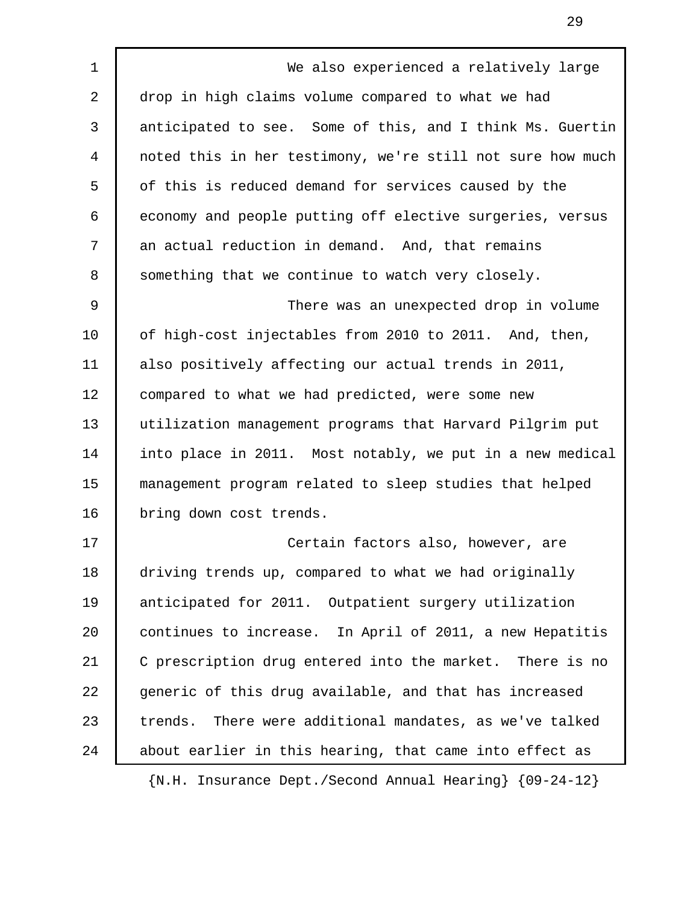1 We also experienced a relatively large 2 drop in high claims volume compared to what we had 3 anticipated to see. Some of this, and I think Ms. Guertin 4 noted this in her testimony, we're still not sure how much 5 of this is reduced demand for services caused by the 6 economy and people putting off elective surgeries, versus 7 an actual reduction in demand. And, that remains 8 Something that we continue to watch very closely. 9 There was an unexpected drop in volume 10 of high-cost injectables from 2010 to 2011. And, then, 11 also positively affecting our actual trends in 2011, 12 compared to what we had predicted, were some new 13 utilization management programs that Harvard Pilgrim put 14 into place in 2011. Most notably, we put in a new medical 15 management program related to sleep studies that helped 16 | bring down cost trends. 17 Certain factors also, however, are 18 driving trends up, compared to what we had originally 19 anticipated for 2011. Outpatient surgery utilization 20 continues to increase. In April of 2011, a new Hepatitis 21 C prescription drug entered into the market. There is no 22 generic of this drug available, and that has increased 23 trends. There were additional mandates, as we've talked 24 about earlier in this hearing, that came into effect as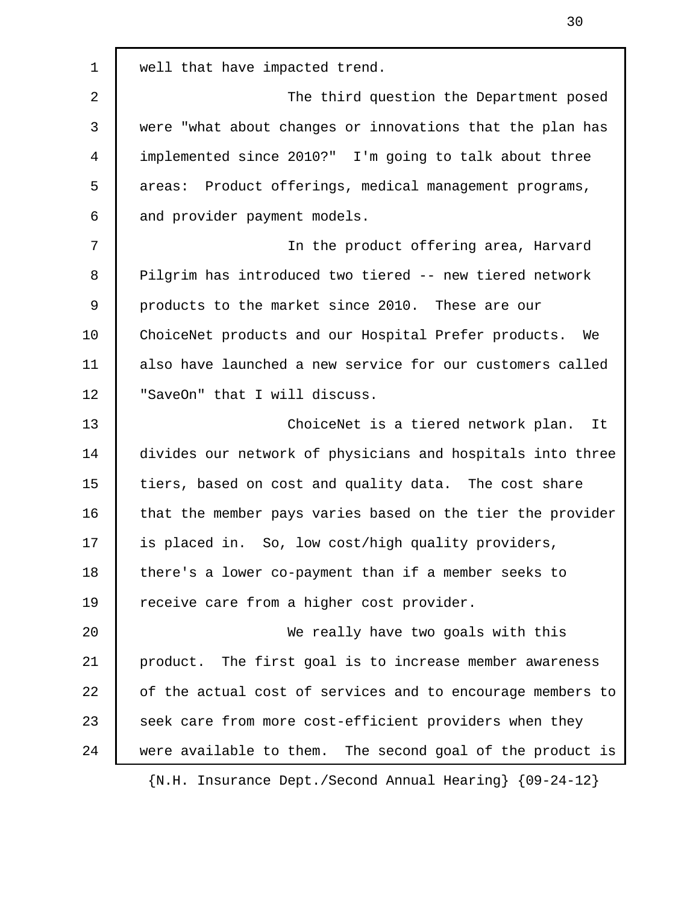1 well that have impacted trend. 2 The third question the Department posed 3 were "what about changes or innovations that the plan has 4 implemented since 2010?" I'm going to talk about three 5 areas: Product offerings, medical management programs, 6 and provider payment models. 7 In the product offering area, Harvard 8 Pilgrim has introduced two tiered -- new tiered network 9 products to the market since 2010. These are our 10 ChoiceNet products and our Hospital Prefer products. We 11 also have launched a new service for our customers called 12 | "SaveOn" that I will discuss. 13 ChoiceNet is a tiered network plan. It 14 divides our network of physicians and hospitals into three 15 tiers, based on cost and quality data. The cost share 16 that the member pays varies based on the tier the provider 17 is placed in. So, low cost/high quality providers, 18 there's a lower co-payment than if a member seeks to 19 Teceive care from a higher cost provider. 20 | We really have two goals with this 21 product. The first goal is to increase member awareness 22 of the actual cost of services and to encourage members to 23 seek care from more cost-efficient providers when they 24 were available to them. The second goal of the product is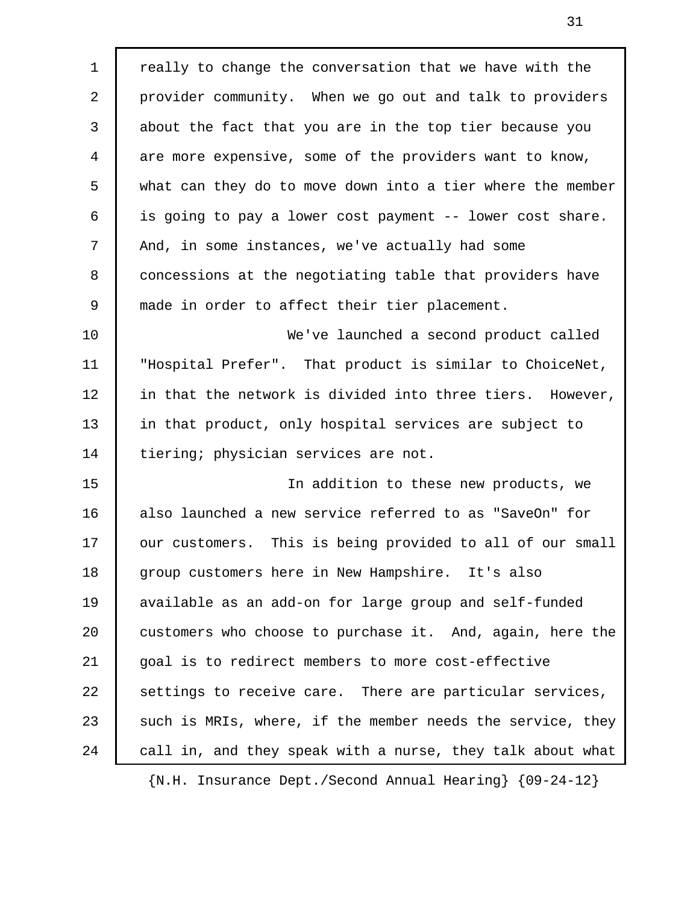1 | really to change the conversation that we have with the 2 provider community. When we go out and talk to providers 3 about the fact that you are in the top tier because you 4 are more expensive, some of the providers want to know, 5 what can they do to move down into a tier where the member 6 is going to pay a lower cost payment -- lower cost share. 7 And, in some instances, we've actually had some 8 concessions at the negotiating table that providers have 9 made in order to affect their tier placement. 10 We've launched a second product called 11 "Hospital Prefer". That product is similar to ChoiceNet, 12 in that the network is divided into three tiers. However, 13 in that product, only hospital services are subject to 14 tiering; physician services are not. 15 In addition to these new products, we 16 also launched a new service referred to as "SaveOn" for 17 | our customers. This is being provided to all of our small 18 group customers here in New Hampshire. It's also 19 available as an add-on for large group and self-funded 20 customers who choose to purchase it. And, again, here the 21 goal is to redirect members to more cost-effective 22 settings to receive care. There are particular services, 23 such is MRIs, where, if the member needs the service, they 24 call in, and they speak with a nurse, they talk about what {N.H. Insurance Dept./Second Annual Hearing} {09-24-12}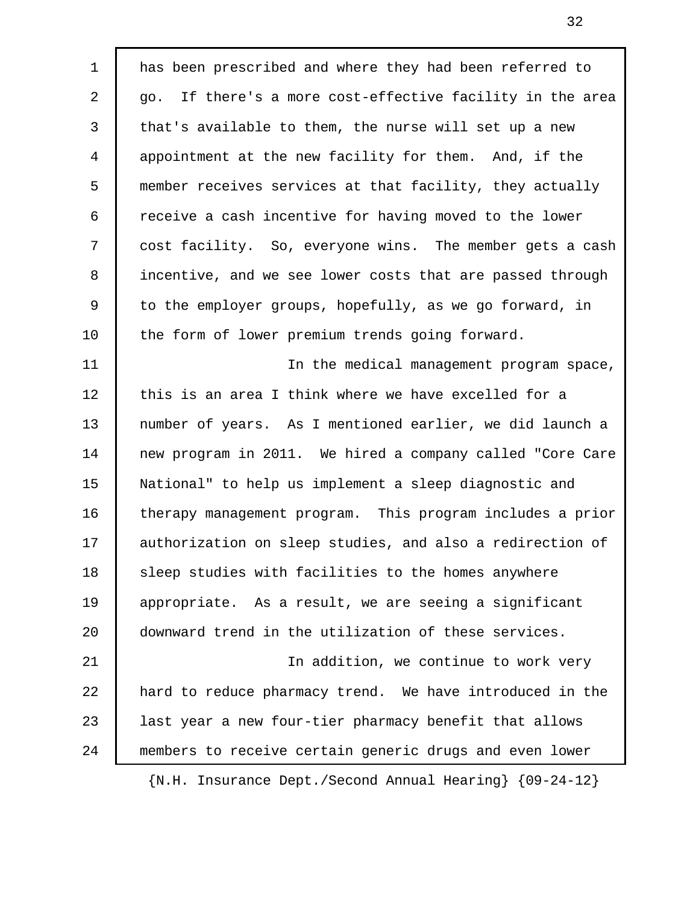1 | has been prescribed and where they had been referred to 2 | go. If there's a more cost-effective facility in the area 3 that's available to them, the nurse will set up a new 4 appointment at the new facility for them. And, if the 5 member receives services at that facility, they actually 6 receive a cash incentive for having moved to the lower 7 cost facility. So, everyone wins. The member gets a cash 8 incentive, and we see lower costs that are passed through 9 to the employer groups, hopefully, as we go forward, in 10 the form of lower premium trends going forward. 11 In the medical management program space, 12 this is an area I think where we have excelled for a 13 number of years. As I mentioned earlier, we did launch a 14 new program in 2011. We hired a company called "Core Care 15 National" to help us implement a sleep diagnostic and 16 therapy management program. This program includes a prior 17 | authorization on sleep studies, and also a redirection of 18 Sleep studies with facilities to the homes anywhere 19 appropriate. As a result, we are seeing a significant 20 downward trend in the utilization of these services. 21 In addition, we continue to work very 22 hard to reduce pharmacy trend. We have introduced in the 23 | last year a new four-tier pharmacy benefit that allows 24 members to receive certain generic drugs and even lower {N.H. Insurance Dept./Second Annual Hearing} {09-24-12}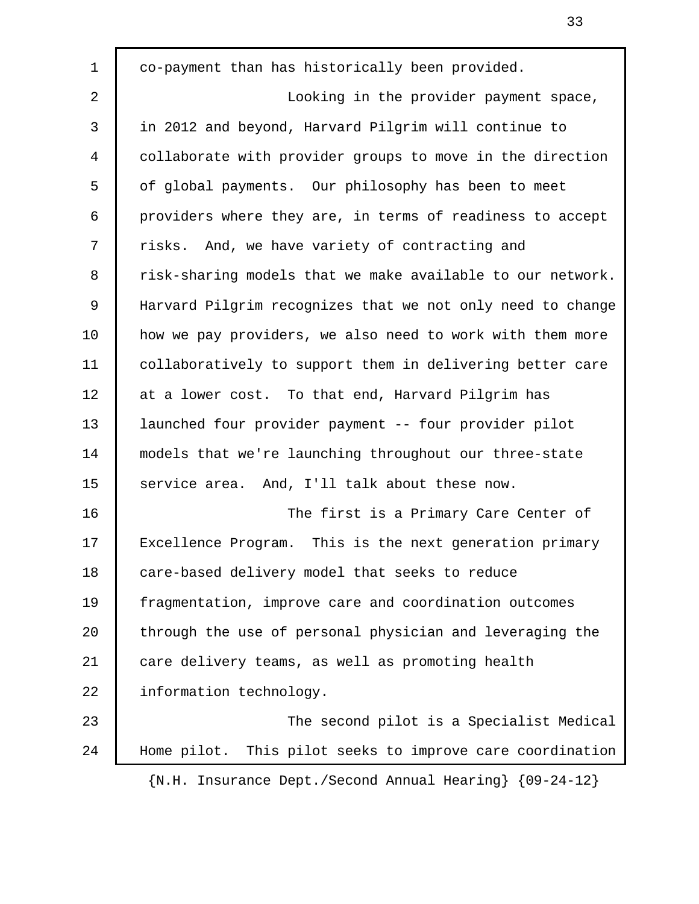1 co-payment than has historically been provided. 2 Looking in the provider payment space, 3 in 2012 and beyond, Harvard Pilgrim will continue to 4 collaborate with provider groups to move in the direction 5 of global payments. Our philosophy has been to meet 6 providers where they are, in terms of readiness to accept 7 | risks. And, we have variety of contracting and 8 | risk-sharing models that we make available to our network. 9 Harvard Pilgrim recognizes that we not only need to change 10 how we pay providers, we also need to work with them more 11 collaboratively to support them in delivering better care 12 at a lower cost. To that end, Harvard Pilgrim has 13 launched four provider payment -- four provider pilot 14 models that we're launching throughout our three-state 15 service area. And, I'll talk about these now. 16 The first is a Primary Care Center of 17 Excellence Program. This is the next generation primary 18 care-based delivery model that seeks to reduce 19 fragmentation, improve care and coordination outcomes 20 through the use of personal physician and leveraging the 21 care delivery teams, as well as promoting health 22 | information technology. 23 **The second pilot is a Specialist Medical** 24 Home pilot. This pilot seeks to improve care coordination {N.H. Insurance Dept./Second Annual Hearing} {09-24-12}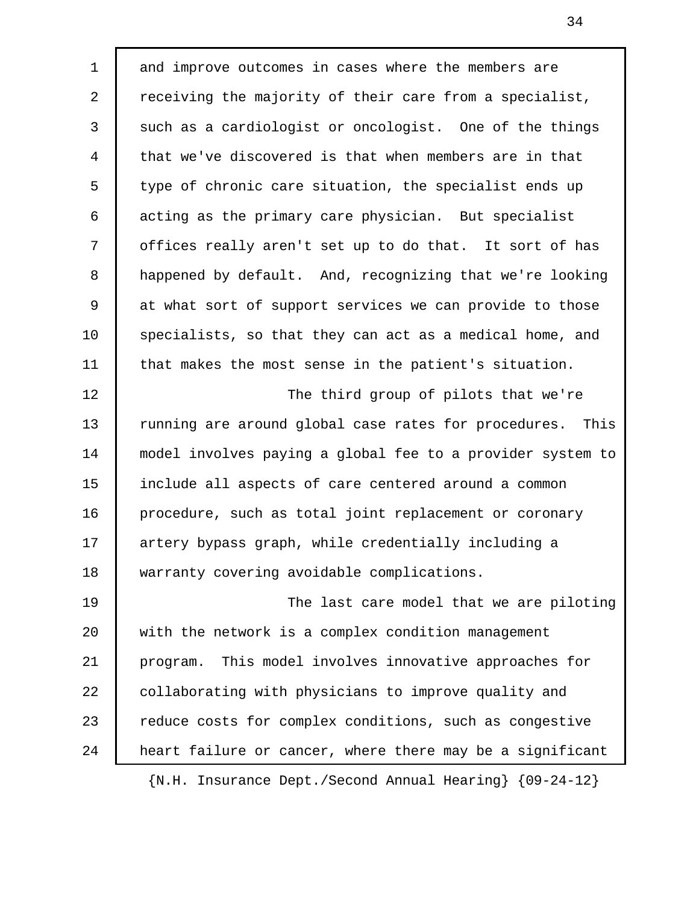1 and improve outcomes in cases where the members are 2 Teceiving the majority of their care from a specialist, 3 such as a cardiologist or oncologist. One of the things 4 that we've discovered is that when members are in that 5 type of chronic care situation, the specialist ends up 6 acting as the primary care physician. But specialist 7 offices really aren't set up to do that. It sort of has 8 happened by default. And, recognizing that we're looking 9 at what sort of support services we can provide to those 10 specialists, so that they can act as a medical home, and 11 that makes the most sense in the patient's situation. 12 The third group of pilots that we're 13 Tunning are around global case rates for procedures. This 14 model involves paying a global fee to a provider system to 15 include all aspects of care centered around a common 16 procedure, such as total joint replacement or coronary 17 artery bypass graph, while credentially including a

18 warranty covering avoidable complications.

19 | The last care model that we are piloting 20 with the network is a complex condition management 21 program. This model involves innovative approaches for 22 collaborating with physicians to improve quality and 23 Teduce costs for complex conditions, such as congestive 24 | heart failure or cancer, where there may be a significant

{N.H. Insurance Dept./Second Annual Hearing} {09-24-12}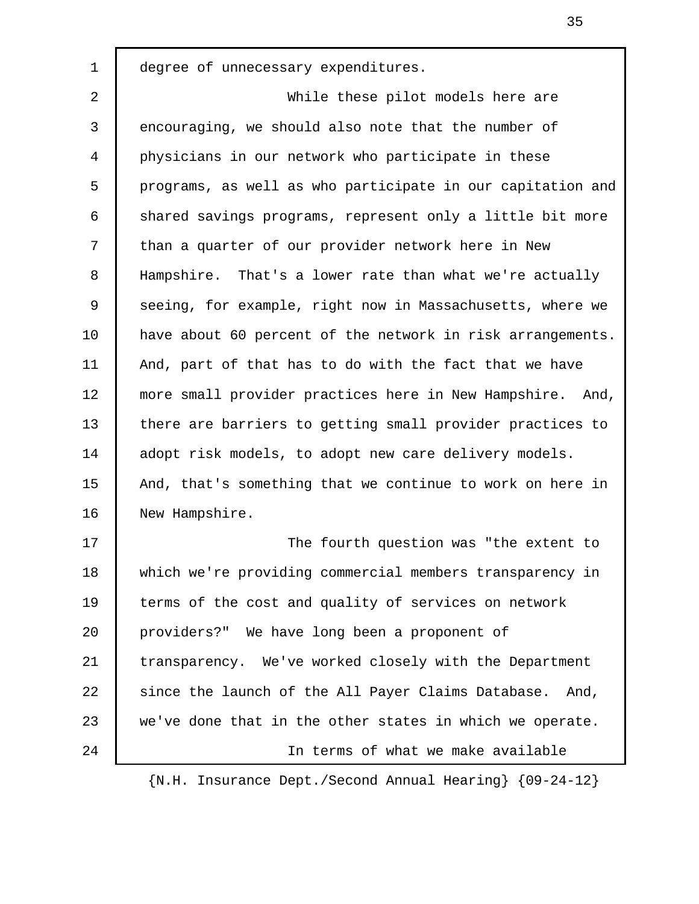1 degree of unnecessary expenditures.

 2 While these pilot models here are 3 encouraging, we should also note that the number of 4 physicians in our network who participate in these 5 programs, as well as who participate in our capitation and 6 shared savings programs, represent only a little bit more 7 than a quarter of our provider network here in New 8 Hampshire. That's a lower rate than what we're actually 9 Seeing, for example, right now in Massachusetts, where we 10 have about 60 percent of the network in risk arrangements. 11 And, part of that has to do with the fact that we have 12 | more small provider practices here in New Hampshire. And, 13 there are barriers to getting small provider practices to 14 adopt risk models, to adopt new care delivery models. 15 | And, that's something that we continue to work on here in 16 New Hampshire.

17 The fourth question was "the extent to 18 which we're providing commercial members transparency in 19 terms of the cost and quality of services on network 20 providers?" We have long been a proponent of 21 transparency. We've worked closely with the Department 22 | since the launch of the All Payer Claims Database. And, 23 we've done that in the other states in which we operate. 24 In terms of what we make available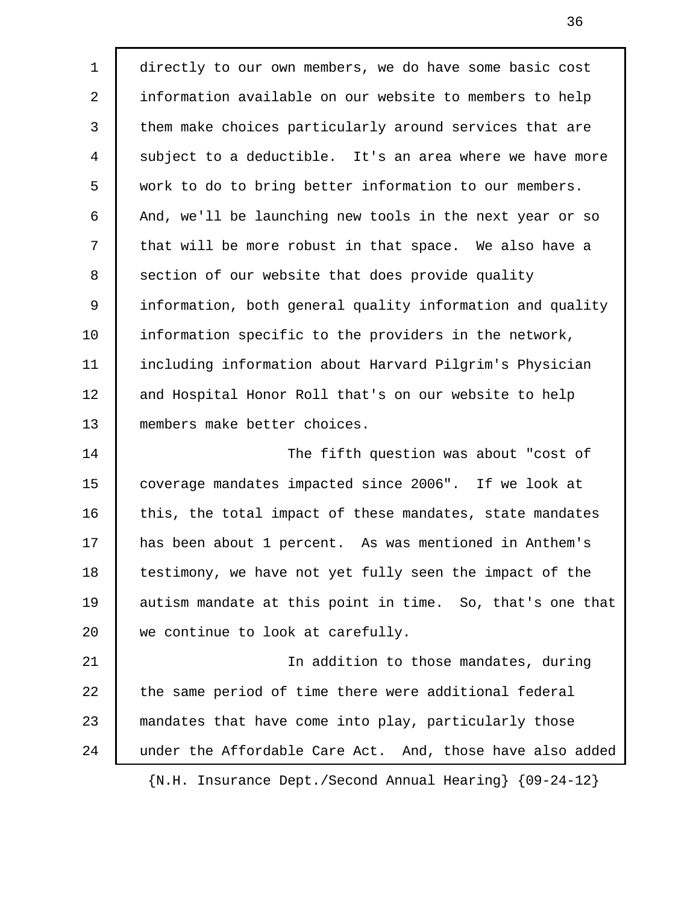1 directly to our own members, we do have some basic cost 2 information available on our website to members to help 3 them make choices particularly around services that are 4 subject to a deductible. It's an area where we have more 5 work to do to bring better information to our members. 6 And, we'll be launching new tools in the next year or so 7 | that will be more robust in that space. We also have a 8 section of our website that does provide quality 9 information, both general quality information and quality 10 information specific to the providers in the network, 11 including information about Harvard Pilgrim's Physician 12 | and Hospital Honor Roll that's on our website to help 13 members make better choices. 14 The fifth question was about "cost of 15 coverage mandates impacted since 2006". If we look at 16 | this, the total impact of these mandates, state mandates 17 has been about 1 percent. As was mentioned in Anthem's 18 testimony, we have not yet fully seen the impact of the 19 autism mandate at this point in time. So, that's one that 20 we continue to look at carefully. 21 In addition to those mandates, during 22 the same period of time there were additional federal 23 mandates that have come into play, particularly those 24 | under the Affordable Care Act. And, those have also added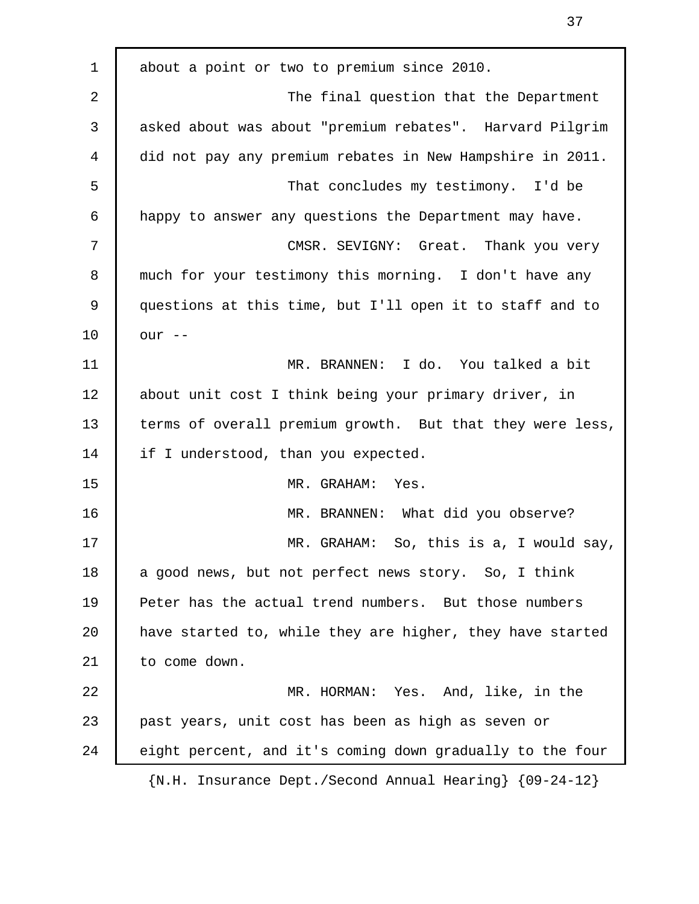1 about a point or two to premium since 2010. 2 The final question that the Department 3 asked about was about "premium rebates". Harvard Pilgrim 4 did not pay any premium rebates in New Hampshire in 2011. 5 That concludes my testimony. I'd be 6 happy to answer any questions the Department may have. 7 CMSR. SEVIGNY: Great. Thank you very 8 much for your testimony this morning. I don't have any 9 questions at this time, but I'll open it to staff and to 10 our -- 11 MR. BRANNEN: I do. You talked a bit 12 | about unit cost I think being your primary driver, in 13 terms of overall premium growth. But that they were less, 14 if I understood, than you expected. 15 MR. GRAHAM: Yes. 16 MR. BRANNEN: What did you observe? 17 MR. GRAHAM: So, this is a, I would say, 18 a good news, but not perfect news story. So, I think 19 Peter has the actual trend numbers. But those numbers 20 have started to, while they are higher, they have started 21 to come down. 22 MR. HORMAN: Yes. And, like, in the 23 past years, unit cost has been as high as seven or 24 eight percent, and it's coming down gradually to the four {N.H. Insurance Dept./Second Annual Hearing} {09-24-12}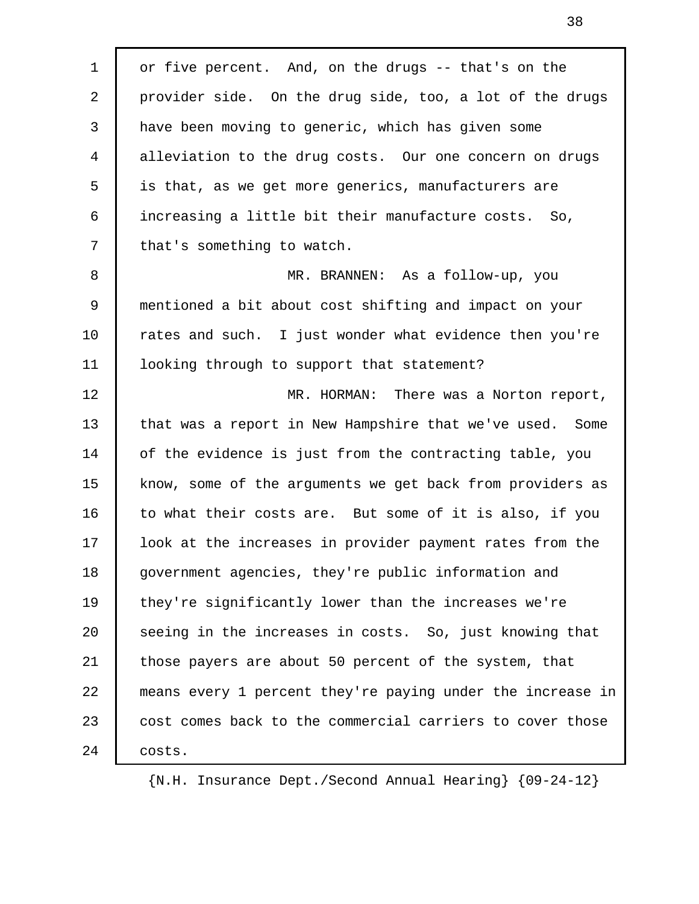1 or five percent. And, on the drugs -- that's on the 2 provider side. On the drug side, too, a lot of the drugs 3 have been moving to generic, which has given some 4 alleviation to the drug costs. Our one concern on drugs 5 is that, as we get more generics, manufacturers are 6 increasing a little bit their manufacture costs. So, 7 that's something to watch. 8 MR. BRANNEN: As a follow-up, you 9 mentioned a bit about cost shifting and impact on your 10 Tates and such. I just wonder what evidence then you're 11 looking through to support that statement? 12 | MR. HORMAN: There was a Norton report, 13 that was a report in New Hampshire that we've used. Some 14 of the evidence is just from the contracting table, you 15 know, some of the arguments we get back from providers as 16 to what their costs are. But some of it is also, if you 17 look at the increases in provider payment rates from the 18 government agencies, they're public information and 19 | they're significantly lower than the increases we're 20 | seeing in the increases in costs. So, just knowing that 21 those payers are about 50 percent of the system, that 22 means every 1 percent they're paying under the increase in 23 cost comes back to the commercial carriers to cover those 24 | costs.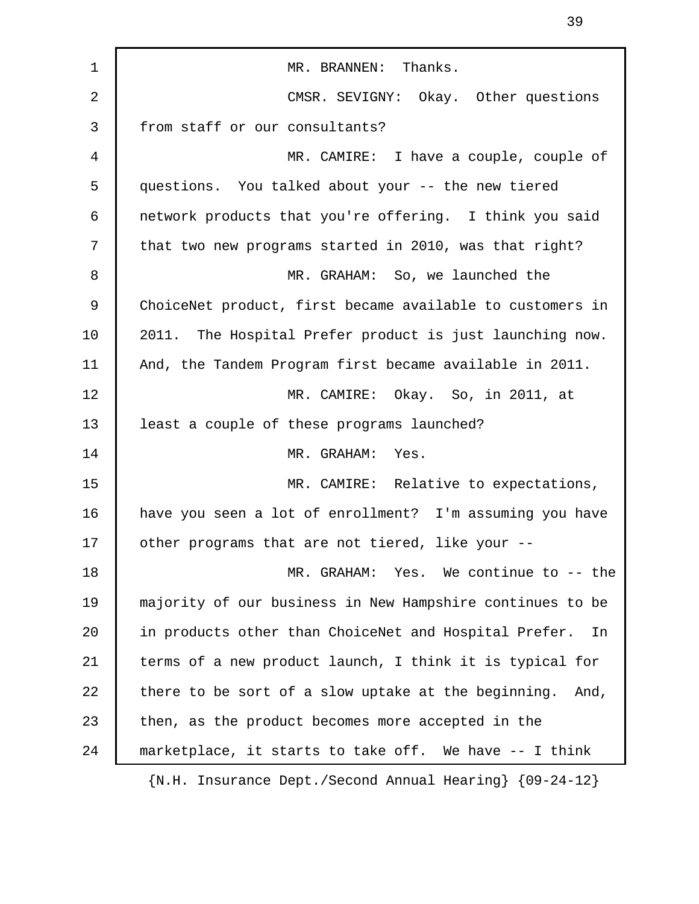| $\mathbf 1$    | MR. BRANNEN: Thanks.                                               |
|----------------|--------------------------------------------------------------------|
| $\overline{2}$ | CMSR. SEVIGNY: Okay. Other questions                               |
| 3              | from staff or our consultants?                                     |
| 4              | MR. CAMIRE: I have a couple, couple of                             |
| 5              | questions. You talked about your -- the new tiered                 |
| 6              | network products that you're offering. I think you said            |
| 7              | that two new programs started in 2010, was that right?             |
| 8              | MR. GRAHAM: So, we launched the                                    |
| 9              | ChoiceNet product, first became available to customers in          |
| 10             | 2011. The Hospital Prefer product is just launching now.           |
| 11             | And, the Tandem Program first became available in 2011.            |
| 12             | MR. CAMIRE: Okay. So, in 2011, at                                  |
| 13             | least a couple of these programs launched?                         |
| 14             | MR. GRAHAM: Yes.                                                   |
| 15             | MR. CAMIRE: Relative to expectations,                              |
| 16             | have you seen a lot of enrollment? I'm assuming you have           |
| 17             | other programs that are not tiered, like your --                   |
| 18             | MR. GRAHAM: Yes. We continue to -- the                             |
| 19             | majority of our business in New Hampshire continues to be          |
| 20             | in products other than ChoiceNet and Hospital Prefer.<br>In        |
| 21             | terms of a new product launch, I think it is typical for           |
| 22             | there to be sort of a slow uptake at the beginning.<br>And,        |
| 23             | then, as the product becomes more accepted in the                  |
| 24             | marketplace, it starts to take off. We have -- I think             |
|                | $\{N.H. Insquare \in Def. / Second Annual Hearing\ } \{09-24-12\}$ |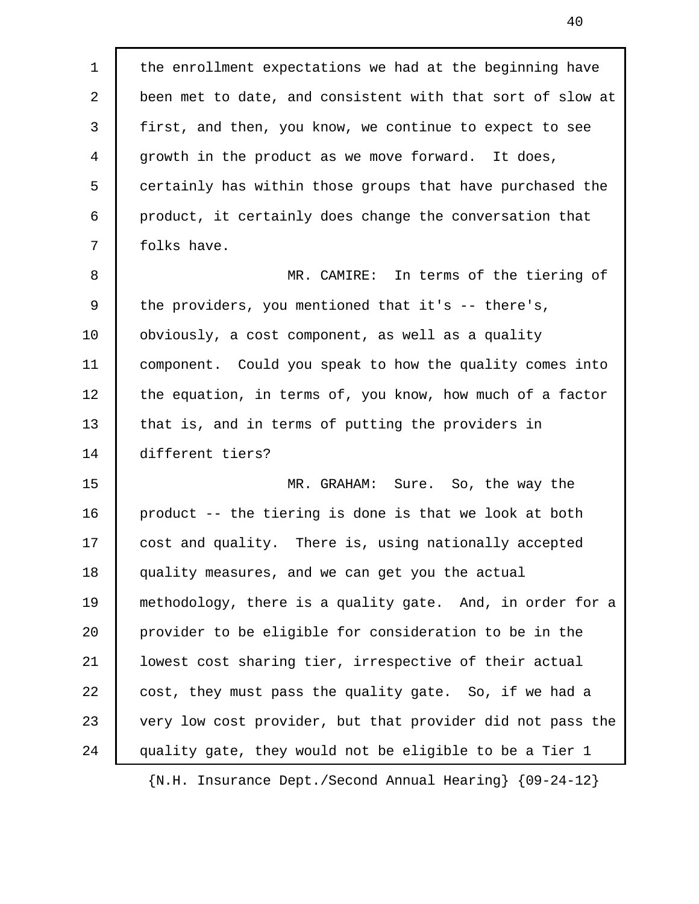1 the enrollment expectations we had at the beginning have 2 been met to date, and consistent with that sort of slow at 3 first, and then, you know, we continue to expect to see 4 growth in the product as we move forward. It does, 5 certainly has within those groups that have purchased the 6 product, it certainly does change the conversation that 7 | folks have. 8 MR. CAMIRE: In terms of the tiering of 9 the providers, you mentioned that it's -- there's, 10 | obviously, a cost component, as well as a quality 11 component. Could you speak to how the quality comes into 12 the equation, in terms of, you know, how much of a factor 13 that is, and in terms of putting the providers in 14 different tiers? 15 MR. GRAHAM: Sure. So, the way the 16 product -- the tiering is done is that we look at both 17 cost and quality. There is, using nationally accepted 18 quality measures, and we can get you the actual 19 methodology, there is a quality gate. And, in order for a 20 provider to be eligible for consideration to be in the 21 lowest cost sharing tier, irrespective of their actual 22 cost, they must pass the quality gate. So, if we had a 23 very low cost provider, but that provider did not pass the 24 quality gate, they would not be eligible to be a Tier 1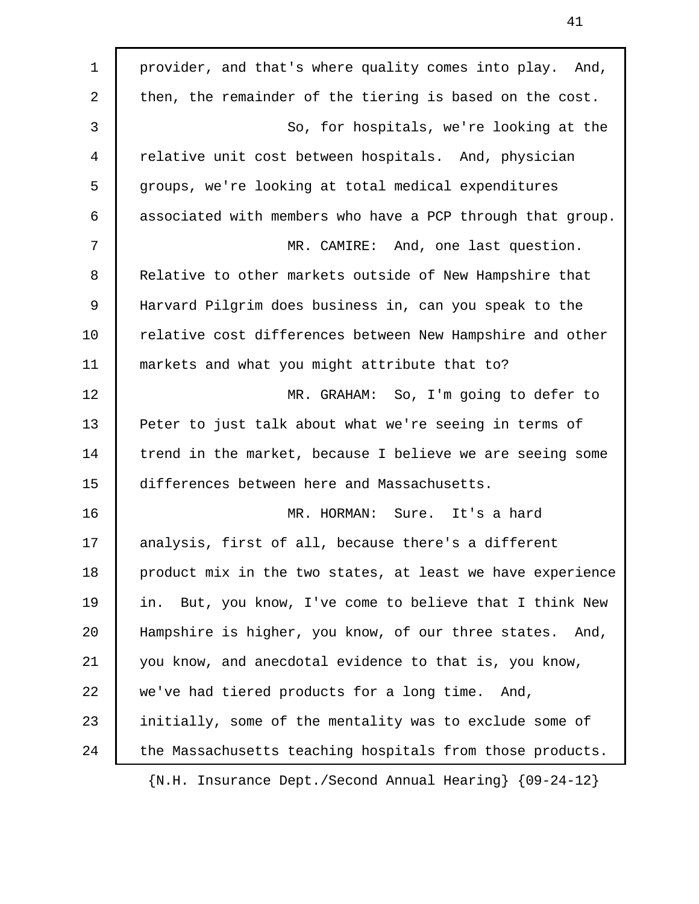1 provider, and that's where quality comes into play. And, 2 then, the remainder of the tiering is based on the cost. 3 So, for hospitals, we're looking at the 4 relative unit cost between hospitals. And, physician 5 groups, we're looking at total medical expenditures 6 associated with members who have a PCP through that group. 7 MR. CAMIRE: And, one last question. 8 | Relative to other markets outside of New Hampshire that 9 Harvard Pilgrim does business in, can you speak to the 10 Telative cost differences between New Hampshire and other 11 markets and what you might attribute that to? 12 | MR. GRAHAM: So, I'm going to defer to 13 Peter to just talk about what we're seeing in terms of 14 trend in the market, because I believe we are seeing some 15 differences between here and Massachusetts. 16 MR. HORMAN: Sure. It's a hard 17 | analysis, first of all, because there's a different 18 product mix in the two states, at least we have experience 19 | in. But, you know, I've come to believe that I think New 20 Hampshire is higher, you know, of our three states. And, 21 you know, and anecdotal evidence to that is, you know, 22 we've had tiered products for a long time. And, 23 initially, some of the mentality was to exclude some of 24 the Massachusetts teaching hospitals from those products.

41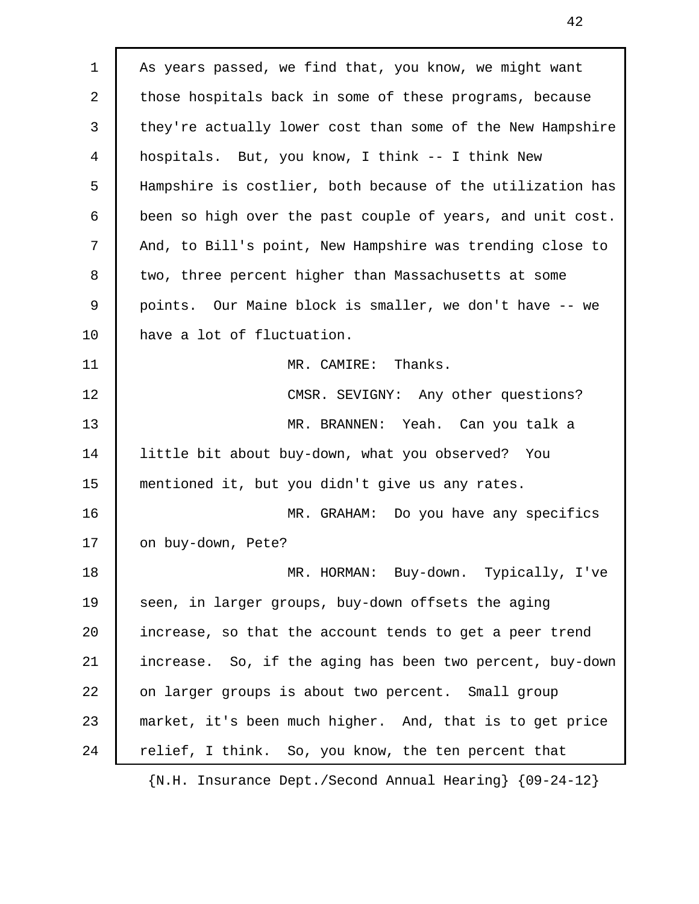1 | As years passed, we find that, you know, we might want 2 those hospitals back in some of these programs, because 3 they're actually lower cost than some of the New Hampshire 4 hospitals. But, you know, I think -- I think New 5 Hampshire is costlier, both because of the utilization has 6 been so high over the past couple of years, and unit cost. 7 | And, to Bill's point, New Hampshire was trending close to 8 two, three percent higher than Massachusetts at some 9 points. Our Maine block is smaller, we don't have -- we 10 have a lot of fluctuation. 11 MR. CAMIRE: Thanks. 12 CMSR. SEVIGNY: Any other questions? 13 MR. BRANNEN: Yeah. Can you talk a 14 little bit about buy-down, what you observed? You 15 mentioned it, but you didn't give us any rates. 16 MR. GRAHAM: Do you have any specifics 17 | on buy-down, Pete? 18 MR. HORMAN: Buy-down. Typically, I've 19 Seen, in larger groups, buy-down offsets the aging 20 increase, so that the account tends to get a peer trend 21 increase. So, if the aging has been two percent, buy-down 22 on larger groups is about two percent. Small group 23 market, it's been much higher. And, that is to get price 24 relief, I think. So, you know, the ten percent that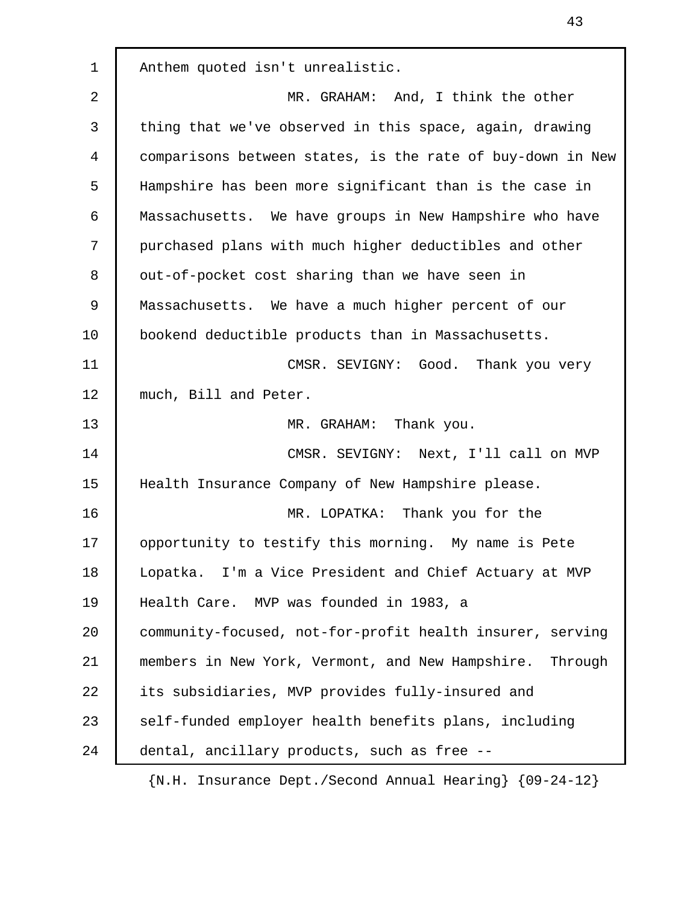2 NR. GRAHAM: And, I think the other 3 thing that we've observed in this space, again, drawing 4 comparisons between states, is the rate of buy-down in New 5 Hampshire has been more significant than is the case in 6 Massachusetts. We have groups in New Hampshire who have 7 purchased plans with much higher deductibles and other 8 | out-of-pocket cost sharing than we have seen in 9 Massachusetts. We have a much higher percent of our 10 bookend deductible products than in Massachusetts. 11 CMSR. SEVIGNY: Good. Thank you very 12 much, Bill and Peter. 13 MR. GRAHAM: Thank you. 14 CMSR. SEVIGNY: Next, I'll call on MVP 15 | Health Insurance Company of New Hampshire please. 16 MR. LOPATKA: Thank you for the 17 opportunity to testify this morning. My name is Pete 18 Lopatka. I'm a Vice President and Chief Actuary at MVP 19 Health Care. MVP was founded in 1983, a 20 community-focused, not-for-profit health insurer, serving 21 members in New York, Vermont, and New Hampshire. Through 22 its subsidiaries, MVP provides fully-insured and 23 self-funded employer health benefits plans, including 24 dental, ancillary products, such as free -- {N.H. Insurance Dept./Second Annual Hearing} {09-24-12}

1 Anthem quoted isn't unrealistic.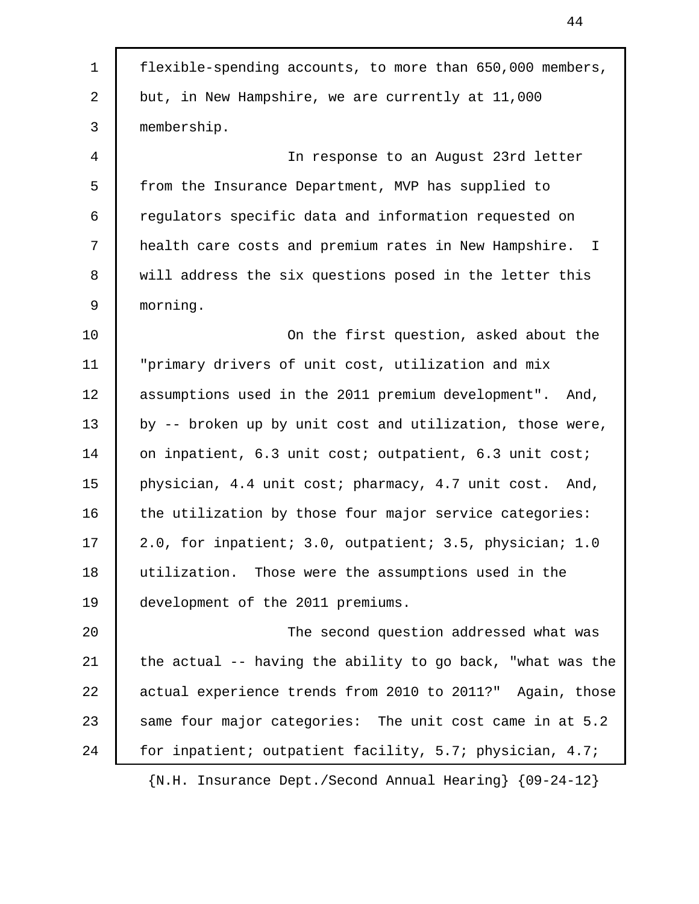| $\mathbf{1}$ | flexible-spending accounts, to more than 650,000 members,    |
|--------------|--------------------------------------------------------------|
| 2            | but, in New Hampshire, we are currently at 11,000            |
| 3            | membership.                                                  |
| 4            | In response to an August 23rd letter                         |
| 5            | from the Insurance Department, MVP has supplied to           |
| 6            | regulators specific data and information requested on        |
| 7            | health care costs and premium rates in New Hampshire. I      |
| 8            | will address the six questions posed in the letter this      |
| $\mathsf 9$  | morning.                                                     |
| 10           | On the first question, asked about the                       |
| 11           | "primary drivers of unit cost, utilization and mix           |
| 12           | assumptions used in the 2011 premium development". And,      |
| 13           | by -- broken up by unit cost and utilization, those were,    |
| 14           | on inpatient, 6.3 unit cost; outpatient, 6.3 unit cost;      |
| 15           | physician, 4.4 unit cost; pharmacy, 4.7 unit cost. And,      |
| 16           | the utilization by those four major service categories:      |
| 17           | 2.0, for inpatient; 3.0, outpatient; 3.5, physician; 1.0     |
| 18           | utilization. Those were the assumptions used in the          |
| 19           | development of the 2011 premiums.                            |
| 20           | The second question addressed what was                       |
| 21           | the actual -- having the ability to go back, "what was the   |
| 22           | actual experience trends from 2010 to 2011?" Again, those    |
| 23           | same four major categories: The unit cost came in at 5.2     |
| 24           | for inpatient; outpatient facility, 5.7; physician, 4.7;     |
|              | ${N.H.}$ Insurance Dept./Second Annual Hearing} ${09-24-12}$ |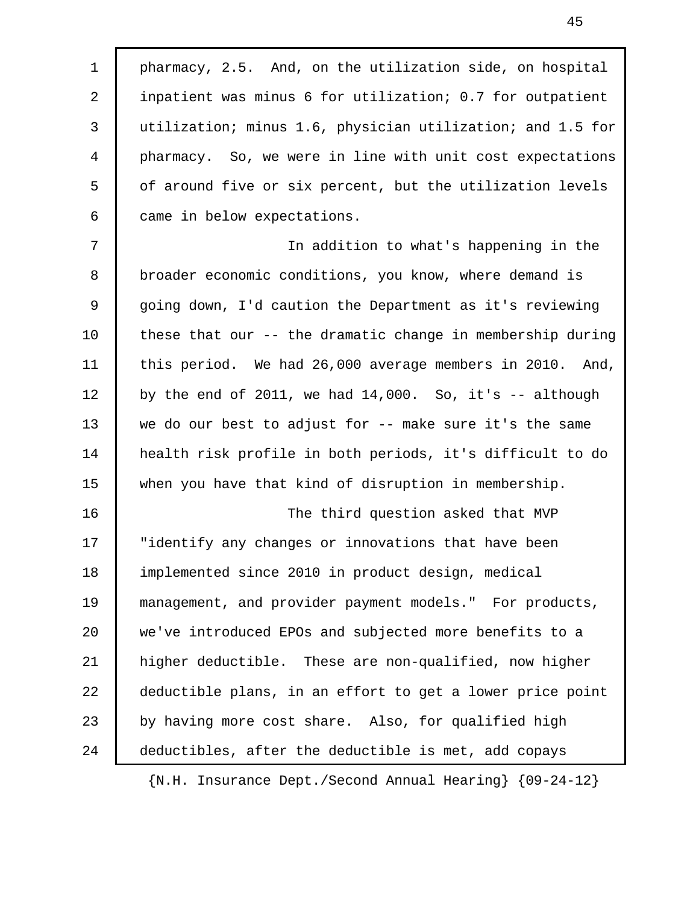1 | pharmacy, 2.5. And, on the utilization side, on hospital 2 inpatient was minus 6 for utilization; 0.7 for outpatient 3 utilization; minus 1.6, physician utilization; and 1.5 for 4 pharmacy. So, we were in line with unit cost expectations 5 of around five or six percent, but the utilization levels 6 came in below expectations.

 7 In addition to what's happening in the 8 broader economic conditions, you know, where demand is 9 going down, I'd caution the Department as it's reviewing 10 these that our -- the dramatic change in membership during 11 | this period. We had 26,000 average members in 2010. And, 12 by the end of 2011, we had  $14,000$ . So, it's  $-$  although 13 we do our best to adjust for -- make sure it's the same 14 health risk profile in both periods, it's difficult to do 15 when you have that kind of disruption in membership.

16 The third question asked that MVP 17 "identify any changes or innovations that have been 18 implemented since 2010 in product design, medical 19 management, and provider payment models." For products, 20 we've introduced EPOs and subjected more benefits to a 21 higher deductible. These are non-qualified, now higher 22 deductible plans, in an effort to get a lower price point 23 by having more cost share. Also, for qualified high 24 deductibles, after the deductible is met, add copays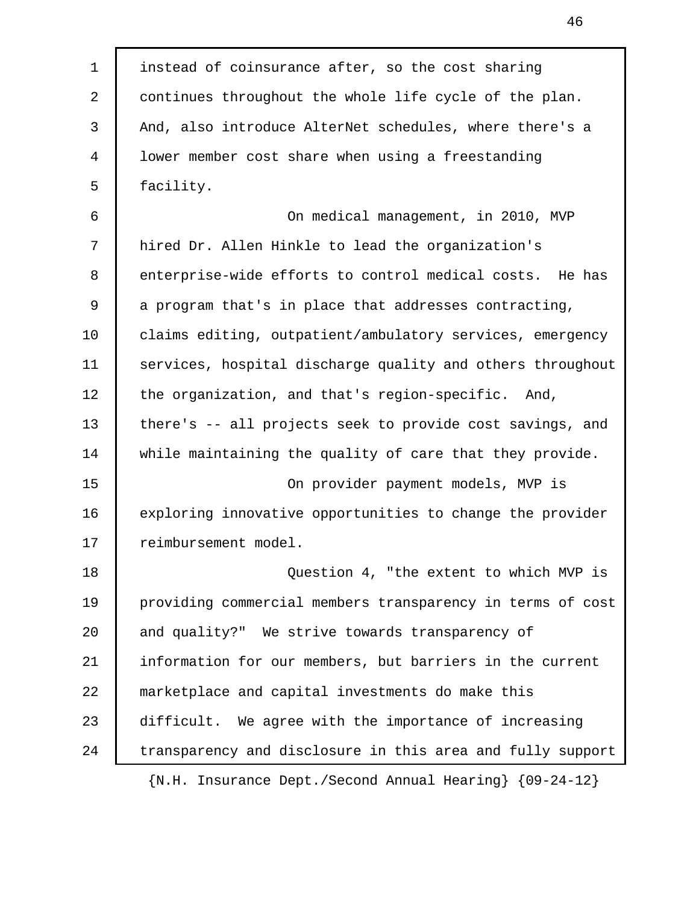1 instead of coinsurance after, so the cost sharing 2 continues throughout the whole life cycle of the plan. 3 And, also introduce AlterNet schedules, where there's a 4 lower member cost share when using a freestanding 5 | facility. 6 On medical management, in 2010, MVP 7 hired Dr. Allen Hinkle to lead the organization's 8 enterprise-wide efforts to control medical costs. He has 9 a program that's in place that addresses contracting, 10 | claims editing, outpatient/ambulatory services, emergency 11 services, hospital discharge quality and others throughout 12 the organization, and that's region-specific. And, 13 there's -- all projects seek to provide cost savings, and 14 while maintaining the quality of care that they provide. 15 On provider payment models, MVP is 16 exploring innovative opportunities to change the provider 17 | reimbursement model. 18 **Question 4, "the extent to which MVP is** 19 providing commercial members transparency in terms of cost 20 and quality?" We strive towards transparency of 21 information for our members, but barriers in the current 22 marketplace and capital investments do make this 23 difficult. We agree with the importance of increasing 24 transparency and disclosure in this area and fully support {N.H. Insurance Dept./Second Annual Hearing} {09-24-12}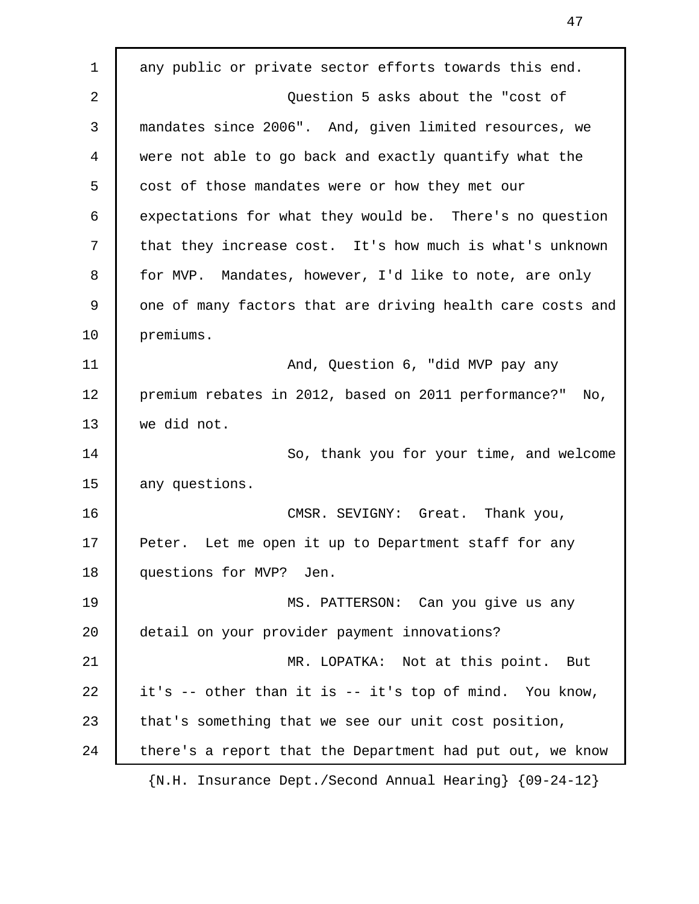1 any public or private sector efforts towards this end. 2 **Question 5 asks about the "cost of**  3 mandates since 2006". And, given limited resources, we 4 were not able to go back and exactly quantify what the 5 cost of those mandates were or how they met our 6 expectations for what they would be. There's no question 7 that they increase cost. It's how much is what's unknown 8 for MVP. Mandates, however, I'd like to note, are only 9 one of many factors that are driving health care costs and 10 premiums. 11 | And, Question 6, "did MVP pay any 12 | premium rebates in 2012, based on 2011 performance?" No, 13 we did not. 14 So, thank you for your time, and welcome 15 any questions. 16 CMSR. SEVIGNY: Great. Thank you, 17 Peter. Let me open it up to Department staff for any 18 | questions for MVP? Jen. 19 | MS. PATTERSON: Can you give us any 20 detail on your provider payment innovations? 21 MR. LOPATKA: Not at this point. But 22 it's -- other than it is -- it's top of mind. You know, 23 that's something that we see our unit cost position, 24 there's a report that the Department had put out, we know {N.H. Insurance Dept./Second Annual Hearing} {09-24-12}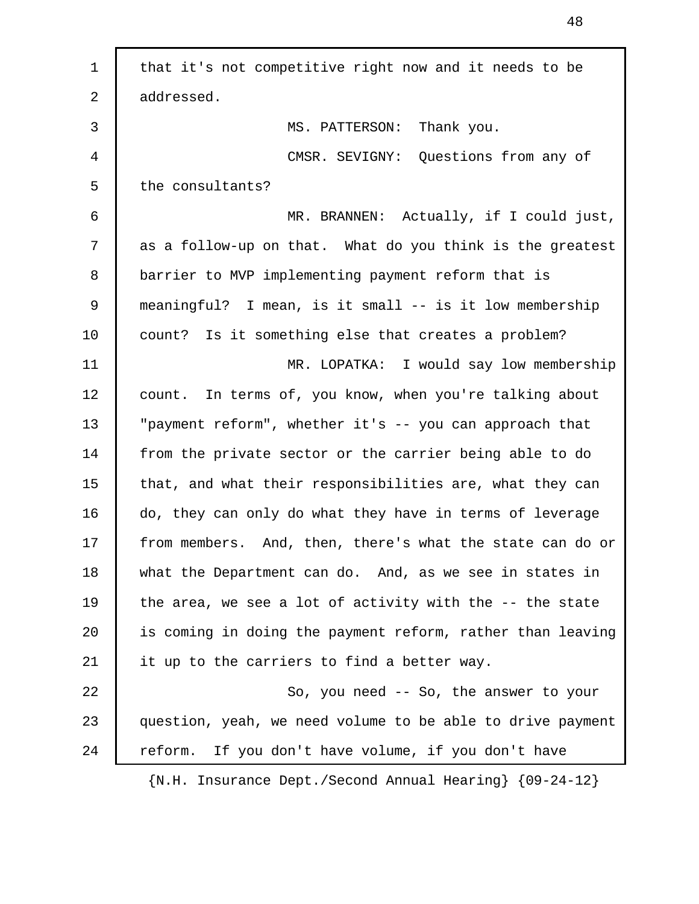| $\mathbf 1$ | that it's not competitive right now and it needs to be              |
|-------------|---------------------------------------------------------------------|
| 2           | addressed.                                                          |
| 3           | MS. PATTERSON: Thank you.                                           |
| 4           | CMSR. SEVIGNY: Questions from any of                                |
| 5           | the consultants?                                                    |
| 6           | MR. BRANNEN: Actually, if I could just,                             |
| 7           | as a follow-up on that. What do you think is the greatest           |
| 8           | barrier to MVP implementing payment reform that is                  |
| 9           | meaningful? I mean, is it small -- is it low membership             |
| 10          | count? Is it something else that creates a problem?                 |
| 11          | MR. LOPATKA: I would say low membership                             |
| 12          | count. In terms of, you know, when you're talking about             |
| 13          | "payment reform", whether it's -- you can approach that             |
| 14          | from the private sector or the carrier being able to do             |
| 15          | that, and what their responsibilities are, what they can            |
| 16          | do, they can only do what they have in terms of leverage            |
| 17          | from members. And, then, there's what the state can do or           |
| 18          | what the Department can do. And, as we see in states in             |
| 19          | the area, we see a lot of activity with the -- the state            |
| 20          | is coming in doing the payment reform, rather than leaving          |
| 21          | it up to the carriers to find a better way.                         |
| 22          | So, you need -- So, the answer to your                              |
| 23          | question, yeah, we need volume to be able to drive payment          |
| 24          | If you don't have volume, if you don't have<br>reform.              |
|             | $\{N.H. Insquare \in Def. / Second Annual Learning\ } \{09-24-12\}$ |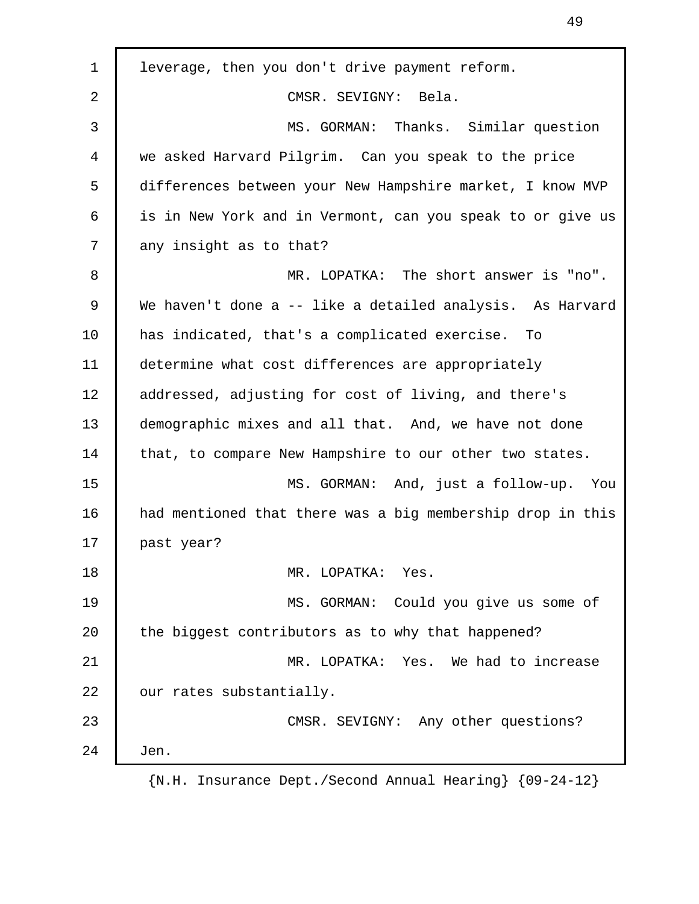| $\mathbf 1$ | leverage, then you don't drive payment reform.             |
|-------------|------------------------------------------------------------|
| 2           | CMSR. SEVIGNY: Bela.                                       |
| 3           | MS. GORMAN: Thanks. Similar question                       |
| 4           | we asked Harvard Pilgrim. Can you speak to the price       |
| 5           | differences between your New Hampshire market, I know MVP  |
| 6           | is in New York and in Vermont, can you speak to or give us |
| 7           | any insight as to that?                                    |
| 8           | MR. LOPATKA: The short answer is "no".                     |
| 9           | We haven't done a -- like a detailed analysis. As Harvard  |
| 10          | has indicated, that's a complicated exercise.<br>To        |
| 11          | determine what cost differences are appropriately          |
| 12          | addressed, adjusting for cost of living, and there's       |
| 13          | demographic mixes and all that. And, we have not done      |
| 14          | that, to compare New Hampshire to our other two states.    |
| 15          | MS. GORMAN: And, just a follow-up. You                     |
| 16          | had mentioned that there was a big membership drop in this |
| 17          | past year?                                                 |
| 18          | MR. LOPATKA:<br>Yes.                                       |
| 19          | MS. GORMAN: Could you give us some of                      |
| 20          | the biggest contributors as to why that happened?          |
| 21          | MR. LOPATKA: Yes. We had to increase                       |
| 22          | our rates substantially.                                   |
| 23          | CMSR. SEVIGNY: Any other questions?                        |
| 24          | Jen.                                                       |
|             | IN II Ingurango Dont (Sogond Annual Hoaring) (00 24 12)    |

49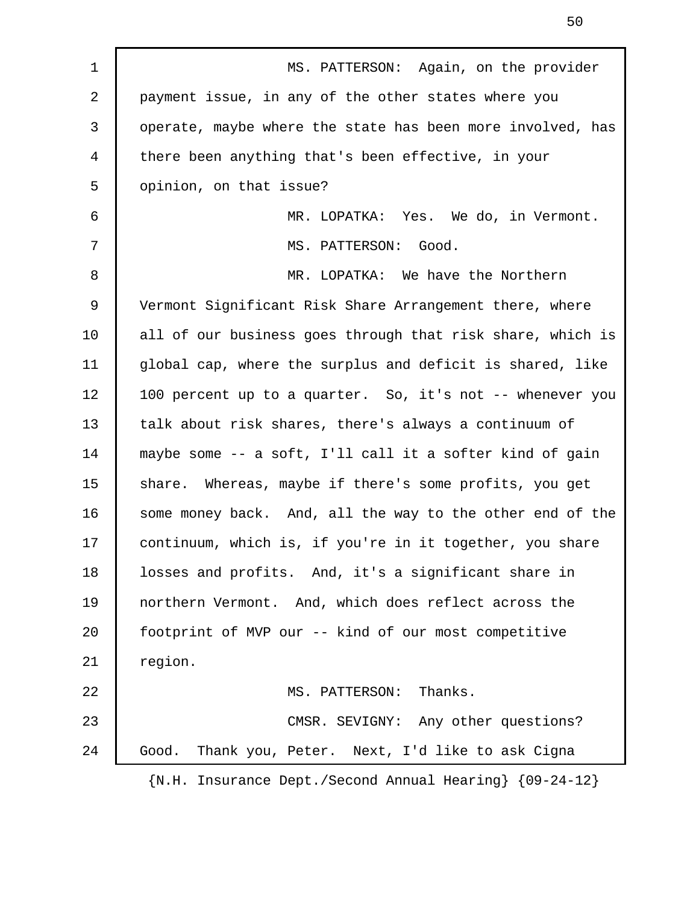| $\mathbf 1$ | MS. PATTERSON: Again, on the provider                                         |
|-------------|-------------------------------------------------------------------------------|
| 2           | payment issue, in any of the other states where you                           |
| 3           | operate, maybe where the state has been more involved, has                    |
| 4           | there been anything that's been effective, in your                            |
| 5           | opinion, on that issue?                                                       |
| 6           | MR. LOPATKA: Yes. We do, in Vermont.                                          |
| 7           | MS. PATTERSON: Good.                                                          |
| 8           | MR. LOPATKA: We have the Northern                                             |
| 9           | Vermont Significant Risk Share Arrangement there, where                       |
| 10          | all of our business goes through that risk share, which is                    |
| 11          | global cap, where the surplus and deficit is shared, like                     |
| 12          | 100 percent up to a quarter. So, it's not -- whenever you                     |
| 13          | talk about risk shares, there's always a continuum of                         |
| 14          | maybe some -- a soft, I'll call it a softer kind of gain                      |
| 15          | share. Whereas, maybe if there's some profits, you get                        |
| 16          | some money back. And, all the way to the other end of the                     |
| 17          | continuum, which is, if you're in it together, you share                      |
| 18          | losses and profits. And, it's a significant share in                          |
| 19          | northern Vermont. And, which does reflect across the                          |
| 20          | footprint of MVP our -- kind of our most competitive                          |
| 21          | region.                                                                       |
| 22          | MS. PATTERSON: Thanks.                                                        |
| 23          | CMSR. SEVIGNY: Any other questions?                                           |
| 24          | Good.<br>Thank you, Peter. Next, I'd like to ask Cigna                        |
|             | $\{N.H. Insquare \text{ Dept.}/\text{Second Annual Hearing}\}$ $\{09-24-12\}$ |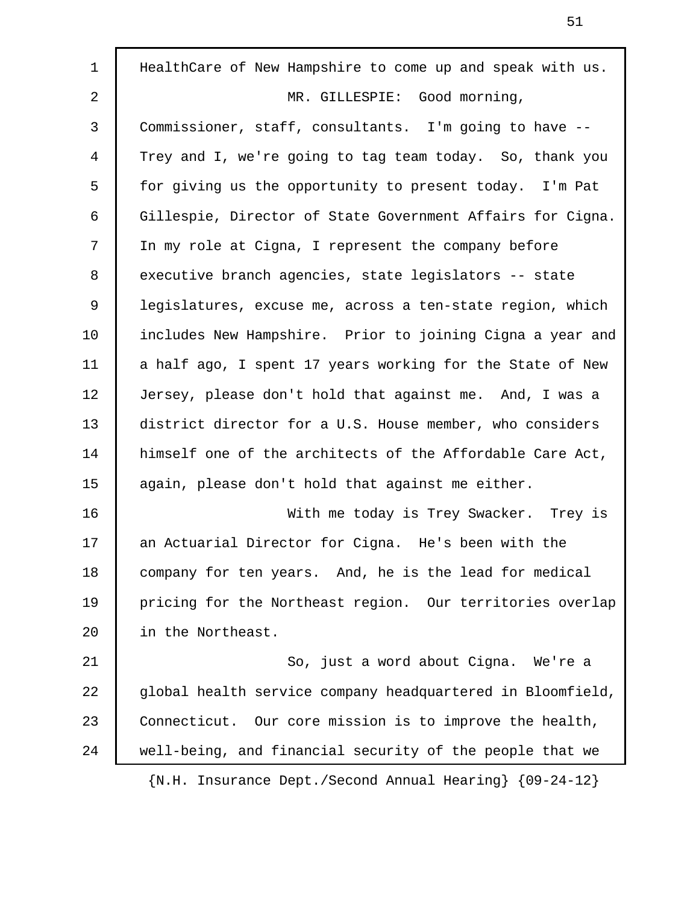| $\mathbf{1}$ | HealthCare of New Hampshire to come up and speak with us.                            |
|--------------|--------------------------------------------------------------------------------------|
| 2            | MR. GILLESPIE:<br>Good morning,                                                      |
| 3            | Commissioner, staff, consultants. I'm going to have --                               |
| 4            | Trey and I, we're going to tag team today. So, thank you                             |
| 5            | for giving us the opportunity to present today. I'm Pat                              |
| 6            | Gillespie, Director of State Government Affairs for Cigna.                           |
| 7            | In my role at Cigna, I represent the company before                                  |
| 8            | executive branch agencies, state legislators -- state                                |
| 9            | legislatures, excuse me, across a ten-state region, which                            |
| 10           | includes New Hampshire. Prior to joining Cigna a year and                            |
| 11           | a half ago, I spent 17 years working for the State of New                            |
| 12           | Jersey, please don't hold that against me. And, I was a                              |
| 13           | district director for a U.S. House member, who considers                             |
| 14           | himself one of the architects of the Affordable Care Act,                            |
| 15           | again, please don't hold that against me either.                                     |
| 16           | With me today is Trey Swacker. Trey is                                               |
| 17           | an Actuarial Director for Cigna. He's been with the                                  |
| 18           | company for ten years. And, he is the lead for medical                               |
| 19           | pricing for the Northeast region. Our territories overlap                            |
| 20           | in the Northeast.                                                                    |
| 21           | So, just a word about Cigna. We're a                                                 |
| 22           | global health service company headquartered in Bloomfield,                           |
| 23           | Connecticut. Our core mission is to improve the health,                              |
| 24           | well-being, and financial security of the people that we                             |
|              | $\{N.H. Insquare\ \text{Dept.}/\text{Second Annual} \text{Hearing}\}$ $\{09-24-12\}$ |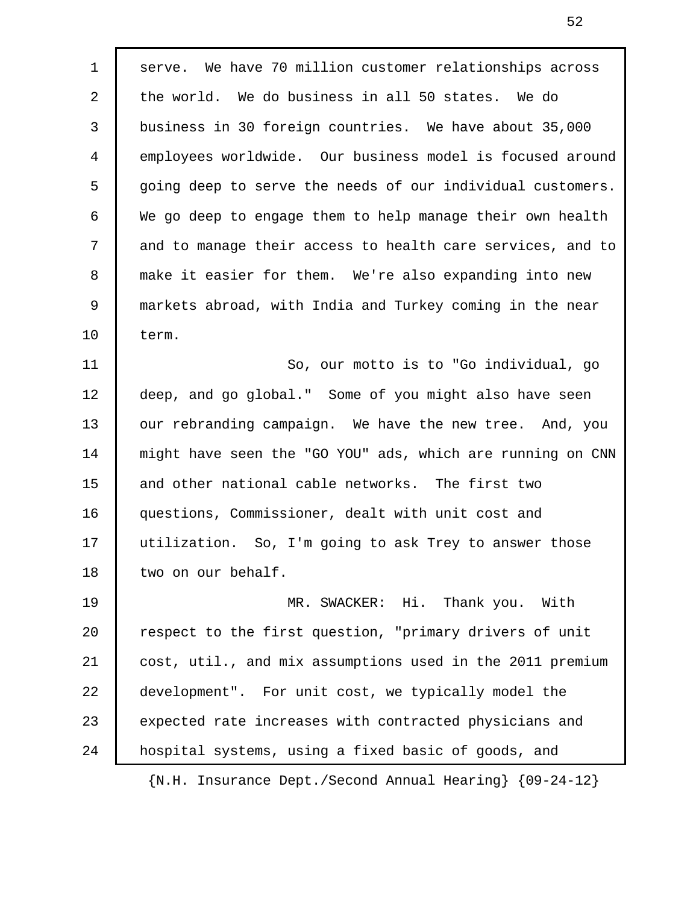1 serve. We have 70 million customer relationships across 2 the world. We do business in all 50 states. We do 3 business in 30 foreign countries. We have about 35,000 4 employees worldwide. Our business model is focused around 5 going deep to serve the needs of our individual customers. 6 We go deep to engage them to help manage their own health 7 and to manage their access to health care services, and to 8 make it easier for them. We're also expanding into new 9 markets abroad, with India and Turkey coming in the near 10 term.

11 So, our motto is to "Go individual, go 12 deep, and go global." Some of you might also have seen 13 | our rebranding campaign. We have the new tree. And, you 14 might have seen the "GO YOU" ads, which are running on CNN 15 and other national cable networks. The first two 16 questions, Commissioner, dealt with unit cost and 17 utilization. So, I'm going to ask Trey to answer those 18 two on our behalf.

19 | MR. SWACKER: Hi. Thank you. With 20 | respect to the first question, "primary drivers of unit 21 cost, util., and mix assumptions used in the 2011 premium 22 development". For unit cost, we typically model the 23 expected rate increases with contracted physicians and 24 hospital systems, using a fixed basic of goods, and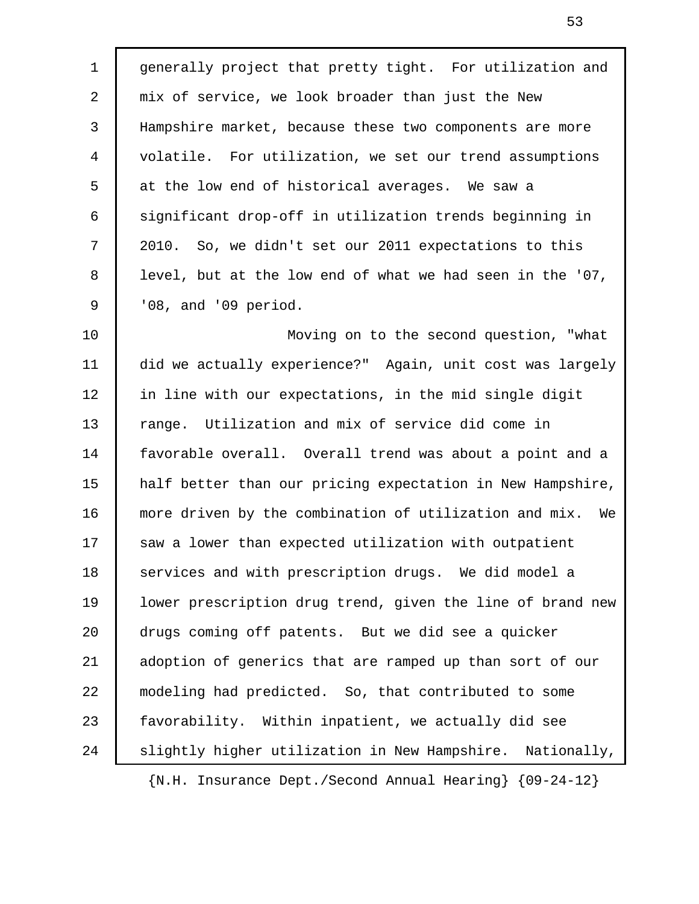1 generally project that pretty tight. For utilization and 2 mix of service, we look broader than just the New 3 Hampshire market, because these two components are more 4 volatile. For utilization, we set our trend assumptions 5 at the low end of historical averages. We saw a 6 significant drop-off in utilization trends beginning in 7 2010. So, we didn't set our 2011 expectations to this 8 | level, but at the low end of what we had seen in the '07, 9 | '08, and '09 period.

10 | Moving on to the second question, "what 11 did we actually experience?" Again, unit cost was largely 12 | in line with our expectations, in the mid single digit 13 range. Utilization and mix of service did come in 14 favorable overall. Overall trend was about a point and a 15 | half better than our pricing expectation in New Hampshire, 16 more driven by the combination of utilization and mix. We 17 saw a lower than expected utilization with outpatient 18 services and with prescription drugs. We did model a 19 | lower prescription drug trend, given the line of brand new 20 drugs coming off patents. But we did see a quicker 21 adoption of generics that are ramped up than sort of our 22 modeling had predicted. So, that contributed to some 23 favorability. Within inpatient, we actually did see 24 Slightly higher utilization in New Hampshire. Nationally,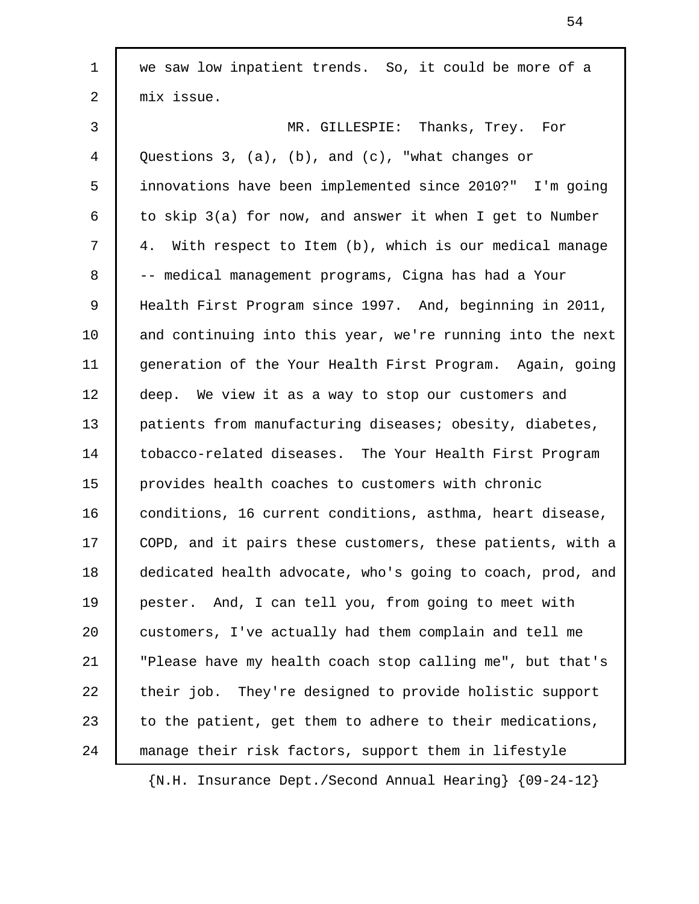1 we saw low inpatient trends. So, it could be more of a 2 mix issue. 3 MR. GILLESPIE: Thanks, Trey. For 4 Questions 3, (a), (b), and (c), "what changes or 5 innovations have been implemented since 2010?" I'm going 6 to skip  $3(a)$  for now, and answer it when I get to Number 7 4. With respect to Item (b), which is our medical manage 8 -- medical management programs, Cigna has had a Your 9 Health First Program since 1997. And, beginning in 2011, 10 and continuing into this year, we're running into the next 11 generation of the Your Health First Program. Again, going 12 deep. We view it as a way to stop our customers and 13 patients from manufacturing diseases; obesity, diabetes, 14 tobacco-related diseases. The Your Health First Program 15 provides health coaches to customers with chronic 16 conditions, 16 current conditions, asthma, heart disease, 17 COPD, and it pairs these customers, these patients, with a 18 dedicated health advocate, who's going to coach, prod, and 19 pester. And, I can tell you, from going to meet with 20 customers, I've actually had them complain and tell me 21 "Please have my health coach stop calling me", but that's 22 their job. They're designed to provide holistic support 23  $\vert$  to the patient, get them to adhere to their medications, 24 manage their risk factors, support them in lifestyle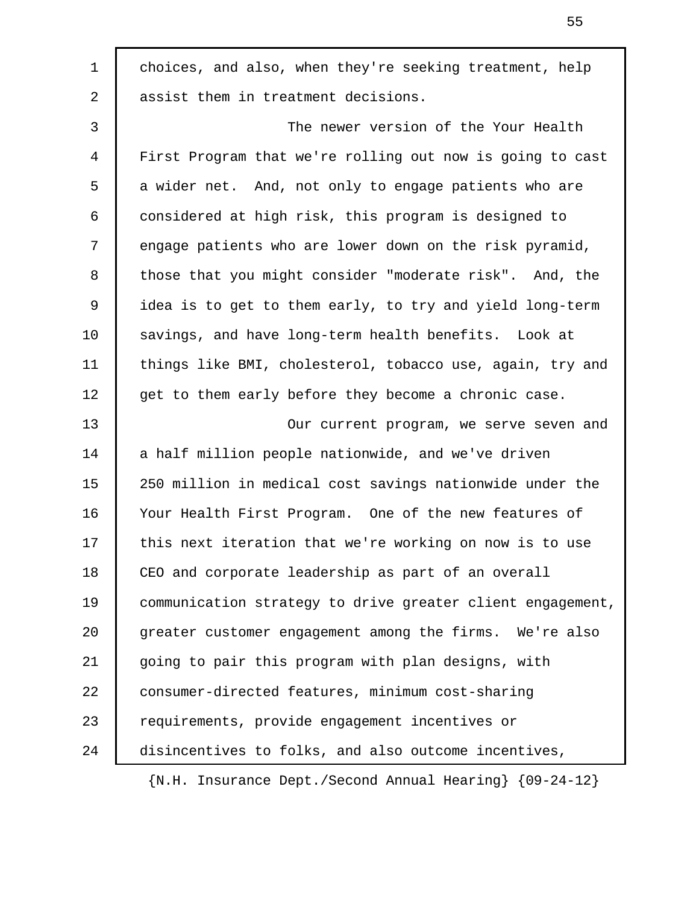1 choices, and also, when they're seeking treatment, help 2 assist them in treatment decisions. 3 The newer version of the Your Health 4 First Program that we're rolling out now is going to cast 5 a wider net. And, not only to engage patients who are 6 considered at high risk, this program is designed to 7 engage patients who are lower down on the risk pyramid, 8 those that you might consider "moderate risk". And, the 9 idea is to get to them early, to try and yield long-term 10 savings, and have long-term health benefits. Look at 11 things like BMI, cholesterol, tobacco use, again, try and 12 | get to them early before they become a chronic case. 13 **I** Our current program, we serve seven and 14 a half million people nationwide, and we've driven 15 250 million in medical cost savings nationwide under the 16 Your Health First Program. One of the new features of 17 this next iteration that we're working on now is to use 18 CEO and corporate leadership as part of an overall 19 communication strategy to drive greater client engagement, 20 greater customer engagement among the firms. We're also 21 going to pair this program with plan designs, with 22 consumer-directed features, minimum cost-sharing 23 | requirements, provide engagement incentives or 24 disincentives to folks, and also outcome incentives, {N.H. Insurance Dept./Second Annual Hearing} {09-24-12}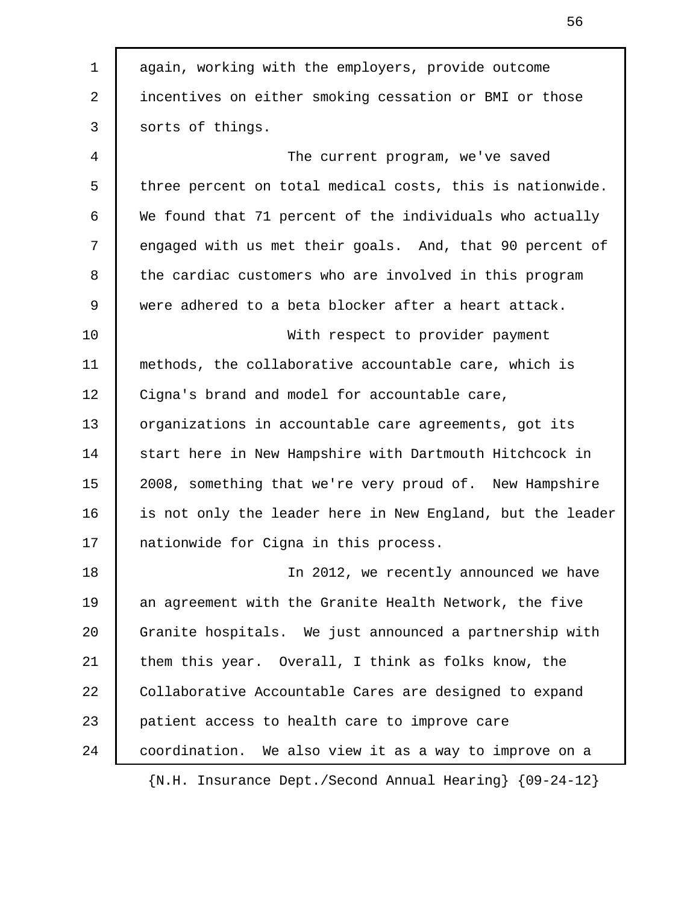1 again, working with the employers, provide outcome 2 incentives on either smoking cessation or BMI or those 3 sorts of things. 4 The current program, we've saved 5 three percent on total medical costs, this is nationwide. 6 We found that 71 percent of the individuals who actually 7 engaged with us met their goals. And, that 90 percent of 8 the cardiac customers who are involved in this program 9 were adhered to a beta blocker after a heart attack. 10 With respect to provider payment 11 methods, the collaborative accountable care, which is 12 | Cigna's brand and model for accountable care, 13 | organizations in accountable care agreements, got its 14 start here in New Hampshire with Dartmouth Hitchcock in 15 | 2008, something that we're very proud of. New Hampshire 16 is not only the leader here in New England, but the leader 17 nationwide for Cigna in this process. 18 In 2012, we recently announced we have 19 an agreement with the Granite Health Network, the five 20 Granite hospitals. We just announced a partnership with 21 them this year. Overall, I think as folks know, the 22 Collaborative Accountable Cares are designed to expand 23 patient access to health care to improve care 24 coordination. We also view it as a way to improve on a {N.H. Insurance Dept./Second Annual Hearing} {09-24-12}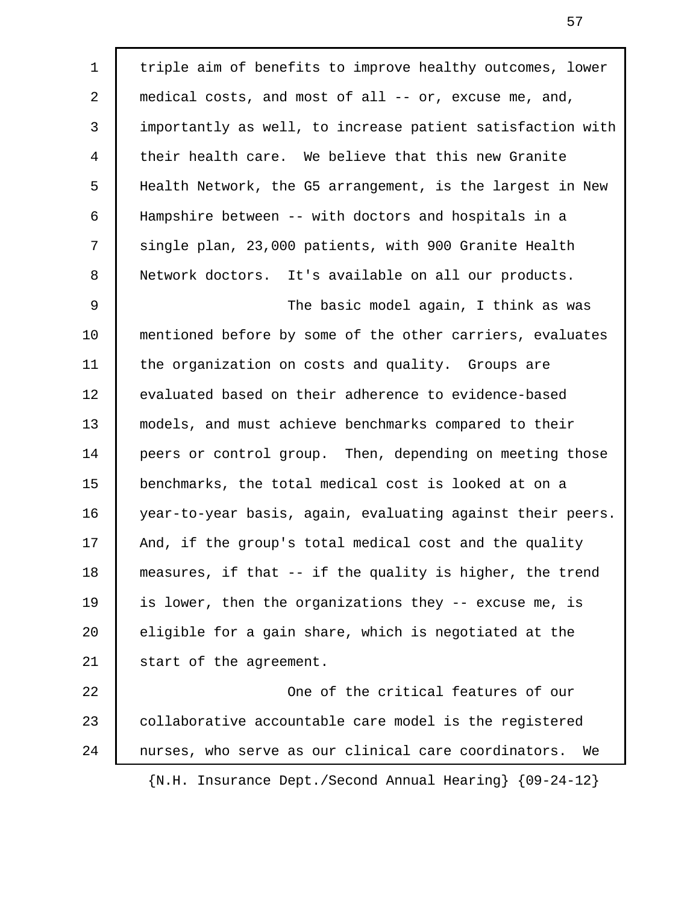1 | triple aim of benefits to improve healthy outcomes, lower 2 medical costs, and most of all -- or, excuse me, and, 3 importantly as well, to increase patient satisfaction with 4 their health care. We believe that this new Granite 5 Health Network, the G5 arrangement, is the largest in New 6 Hampshire between -- with doctors and hospitals in a 7 single plan, 23,000 patients, with 900 Granite Health 8 Network doctors. It's available on all our products. 9 | The basic model again, I think as was 10 mentioned before by some of the other carriers, evaluates 11 | the organization on costs and quality. Groups are 12 evaluated based on their adherence to evidence-based 13 models, and must achieve benchmarks compared to their 14 peers or control group. Then, depending on meeting those 15 benchmarks, the total medical cost is looked at on a 16 year-to-year basis, again, evaluating against their peers. 17 And, if the group's total medical cost and the quality 18 measures, if that -- if the quality is higher, the trend 19 is lower, then the organizations they -- excuse me, is 20 eligible for a gain share, which is negotiated at the 21 start of the agreement. 22 One of the critical features of our 23 | collaborative accountable care model is the registered 24 nurses, who serve as our clinical care coordinators. We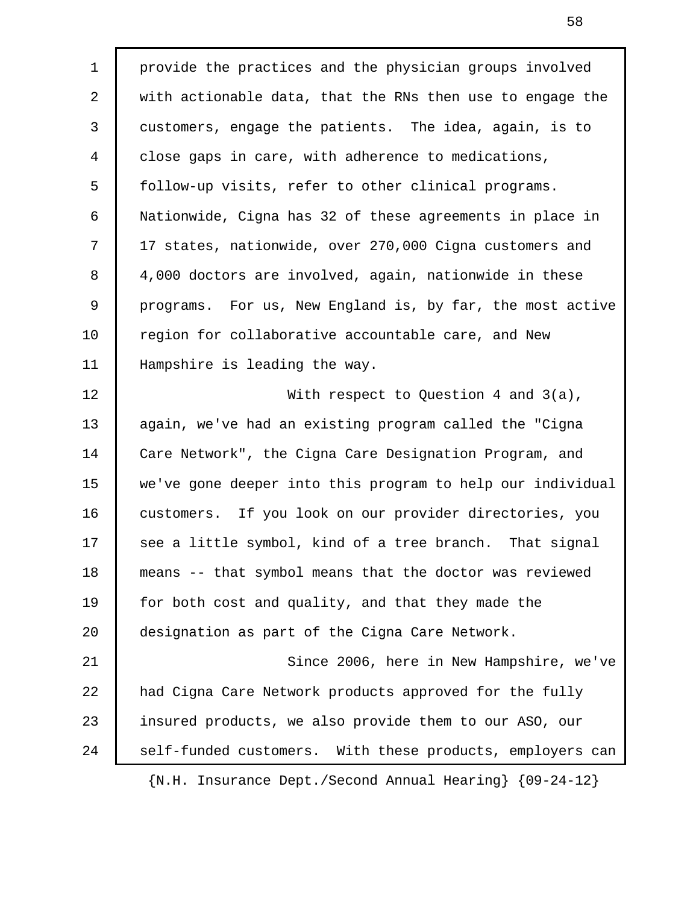1 provide the practices and the physician groups involved 2 with actionable data, that the RNs then use to engage the 3 customers, engage the patients. The idea, again, is to 4 close gaps in care, with adherence to medications, 5 follow-up visits, refer to other clinical programs. 6 Nationwide, Cigna has 32 of these agreements in place in 7 | 17 states, nationwide, over 270,000 Cigna customers and 8 4,000 doctors are involved, again, nationwide in these 9 programs. For us, New England is, by far, the most active 10 Tegion for collaborative accountable care, and New 11 Hampshire is leading the way. 12 With respect to Question 4 and 3(a), 13 again, we've had an existing program called the "Cigna 14 Care Network", the Cigna Care Designation Program, and 15 we've gone deeper into this program to help our individual 16 customers. If you look on our provider directories, you 17 | see a little symbol, kind of a tree branch. That signal 18 means -- that symbol means that the doctor was reviewed 19 for both cost and quality, and that they made the 20 designation as part of the Cigna Care Network. 21 Since 2006, here in New Hampshire, we've 22 had Cigna Care Network products approved for the fully 23 insured products, we also provide them to our ASO, our 24 | self-funded customers. With these products, employers can {N.H. Insurance Dept./Second Annual Hearing} {09-24-12}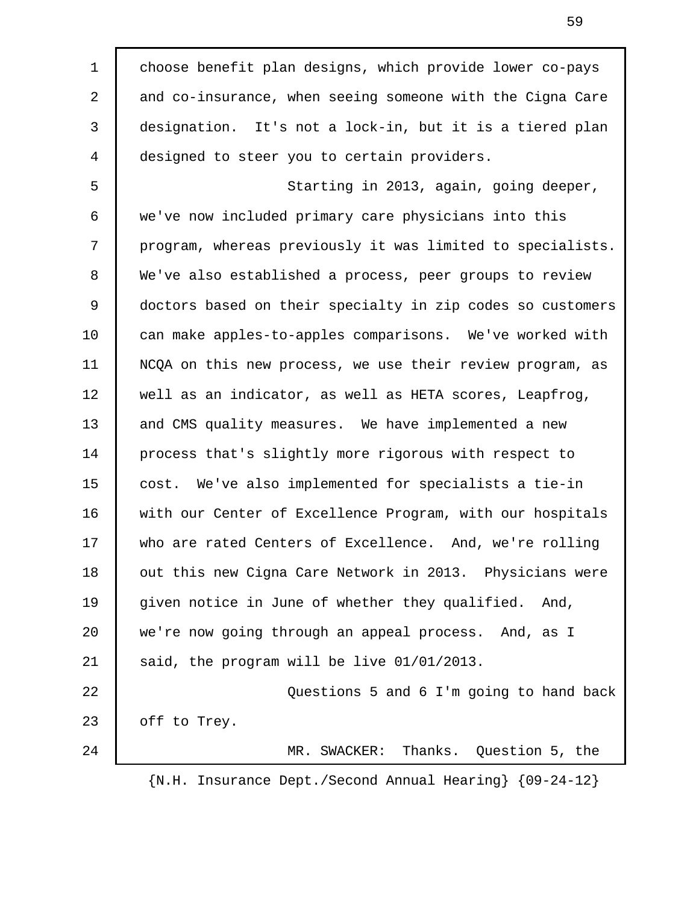1 choose benefit plan designs, which provide lower co-pays 2 and co-insurance, when seeing someone with the Cigna Care 3 designation. It's not a lock-in, but it is a tiered plan 4 designed to steer you to certain providers. 5 Starting in 2013, again, going deeper, 6 we've now included primary care physicians into this 7 program, whereas previously it was limited to specialists. 8 We've also established a process, peer groups to review 9 doctors based on their specialty in zip codes so customers 10 can make apples-to-apples comparisons. We've worked with 11 NCQA on this new process, we use their review program, as 12 well as an indicator, as well as HETA scores, Leapfrog, 13 and CMS quality measures. We have implemented a new 14 process that's slightly more rigorous with respect to 15 cost. We've also implemented for specialists a tie-in 16 with our Center of Excellence Program, with our hospitals 17 who are rated Centers of Excellence. And, we're rolling 18 | out this new Cigna Care Network in 2013. Physicians were 19 | given notice in June of whether they qualified. And, 20 we're now going through an appeal process. And, as I 21 said, the program will be live 01/01/2013. 22 Questions 5 and 6 I'm going to hand back 23 | off to Trey. 24 MR. SWACKER: Thanks. Question 5, the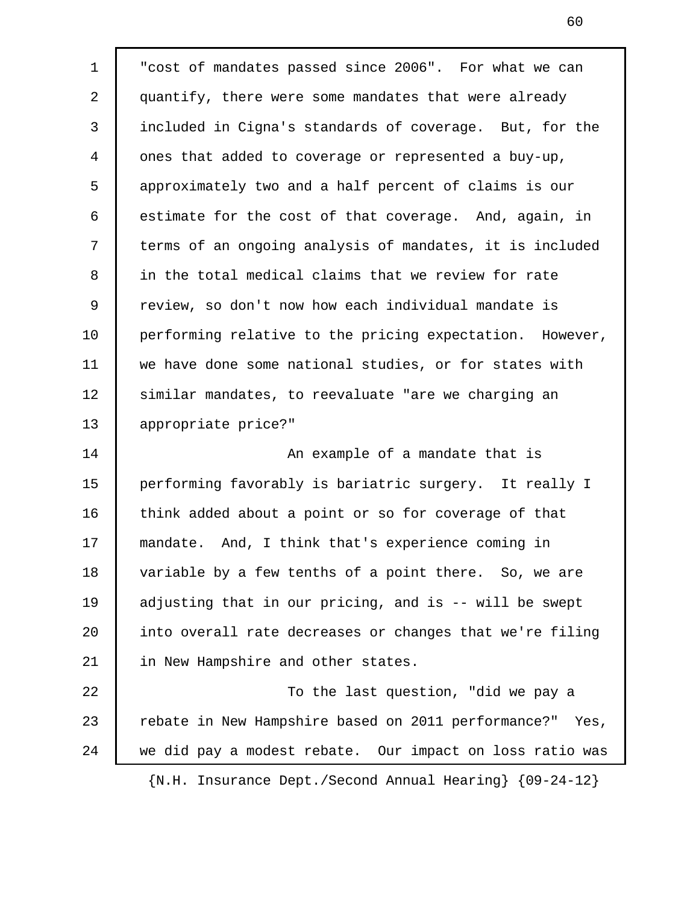1 "cost of mandates passed since 2006". For what we can 2 quantify, there were some mandates that were already 3 included in Cigna's standards of coverage. But, for the 4 ones that added to coverage or represented a buy-up, 5 approximately two and a half percent of claims is our 6 estimate for the cost of that coverage. And, again, in 7 terms of an ongoing analysis of mandates, it is included 8 in the total medical claims that we review for rate 9 review, so don't now how each individual mandate is 10 performing relative to the pricing expectation. However, 11 we have done some national studies, or for states with 12 | similar mandates, to reevaluate "are we charging an 13 appropriate price?" 14 **An example of a mandate that is** 15 performing favorably is bariatric surgery. It really I 16 think added about a point or so for coverage of that 17 mandate. And, I think that's experience coming in 18 variable by a few tenths of a point there. So, we are 19 adjusting that in our pricing, and is -- will be swept 20 into overall rate decreases or changes that we're filing 21 in New Hampshire and other states. 22 | To the last question, "did we pay a 23 Tebate in New Hampshire based on 2011 performance?" Yes, 24 we did pay a modest rebate. Our impact on loss ratio was {N.H. Insurance Dept./Second Annual Hearing} {09-24-12}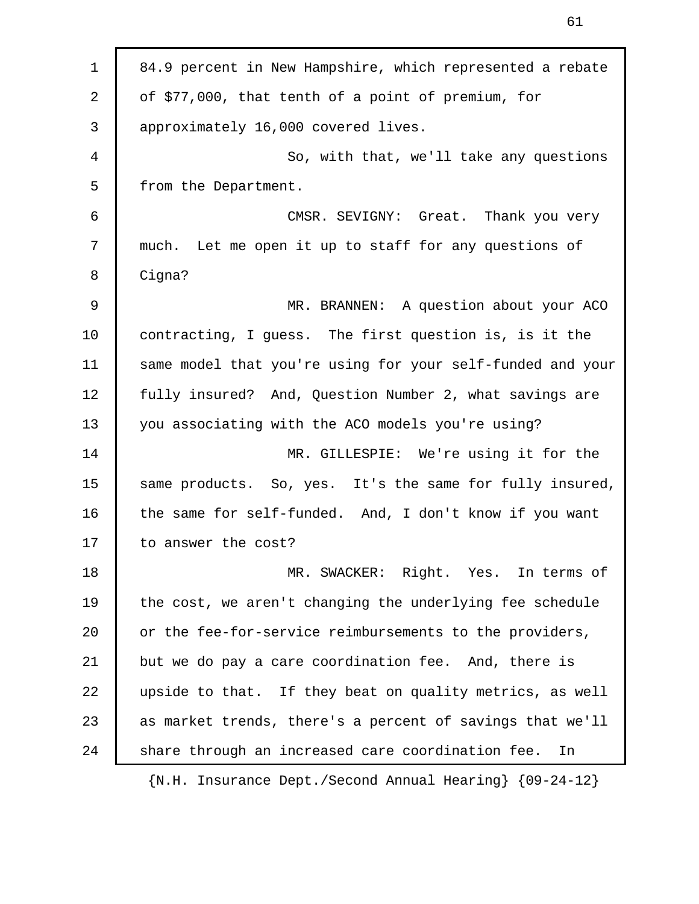| $\mathbf 1$ | 84.9 percent in New Hampshire, which represented a rebate                                  |
|-------------|--------------------------------------------------------------------------------------------|
| 2           | of \$77,000, that tenth of a point of premium, for                                         |
| 3           | approximately 16,000 covered lives.                                                        |
| 4           | So, with that, we'll take any questions                                                    |
| 5           | from the Department.                                                                       |
| 6           | CMSR. SEVIGNY: Great. Thank you very                                                       |
| 7           | much. Let me open it up to staff for any questions of                                      |
| 8           | Cigna?                                                                                     |
| $\mathsf 9$ | MR. BRANNEN: A question about your ACO                                                     |
| 10          | contracting, I guess. The first question is, is it the                                     |
| 11          | same model that you're using for your self-funded and your                                 |
| 12          | fully insured? And, Question Number 2, what savings are                                    |
| 13          | you associating with the ACO models you're using?                                          |
| 14          | MR. GILLESPIE: We're using it for the                                                      |
| 15          | same products. So, yes. It's the same for fully insured,                                   |
| 16          | the same for self-funded. And, I don't know if you want                                    |
| 17          | to answer the cost?                                                                        |
| 18          | MR. SWACKER: Right. Yes. In terms of                                                       |
| 19          | the cost, we aren't changing the underlying fee schedule                                   |
| 20          | or the fee-for-service reimbursements to the providers,                                    |
| 21          | but we do pay a care coordination fee. And, there is                                       |
| 22          | upside to that. If they beat on quality metrics, as well                                   |
| 23          | as market trends, there's a percent of savings that we'll                                  |
| 24          | share through an increased care coordination fee.<br>In                                    |
|             | $\{N.H. Insquare\ \texttt{Dept.}/\texttt{Second Annual} \texttt{Hearing}\}$ $\{09-24-12\}$ |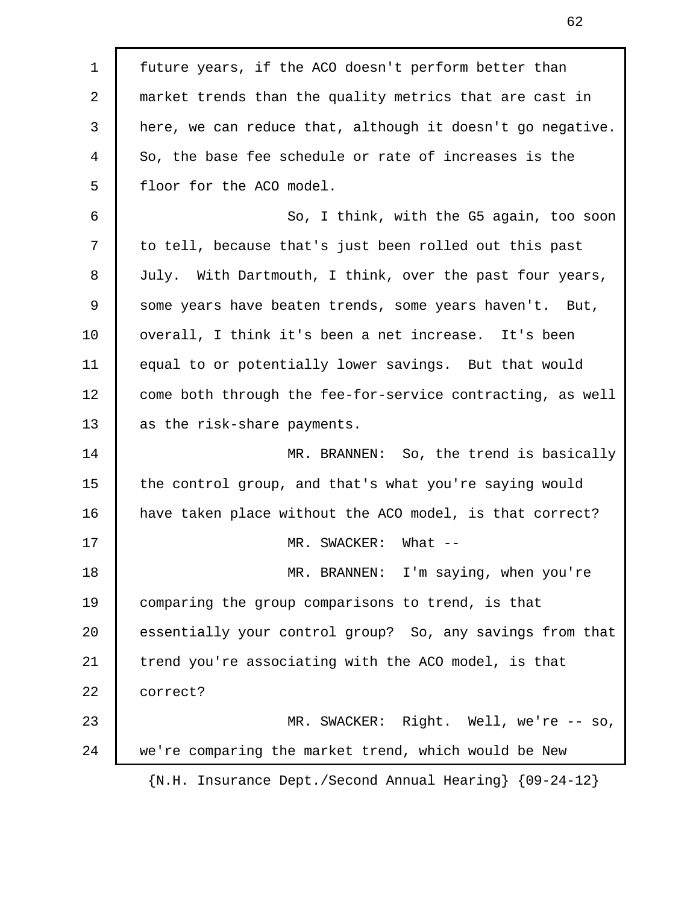1 future years, if the ACO doesn't perform better than 2 market trends than the quality metrics that are cast in 3 here, we can reduce that, although it doesn't go negative. 4 So, the base fee schedule or rate of increases is the 5 | floor for the ACO model. 6 So, I think, with the G5 again, too soon 7 to tell, because that's just been rolled out this past 8 July. With Dartmouth, I think, over the past four years, 9 some years have beaten trends, some years haven't. But, 10 | overall, I think it's been a net increase. It's been 11 equal to or potentially lower savings. But that would 12 | come both through the fee-for-service contracting, as well 13 as the risk-share payments. 14 MR. BRANNEN: So, the trend is basically 15 the control group, and that's what you're saying would 16 | have taken place without the ACO model, is that correct? 17 MR. SWACKER: What --18 MR. BRANNEN: I'm saying, when you're 19 comparing the group comparisons to trend, is that 20 essentially your control group? So, any savings from that 21 trend you're associating with the ACO model, is that 22 correct? 23 MR. SWACKER: Right. Well, we're -- so, 24 we're comparing the market trend, which would be New {N.H. Insurance Dept./Second Annual Hearing} {09-24-12}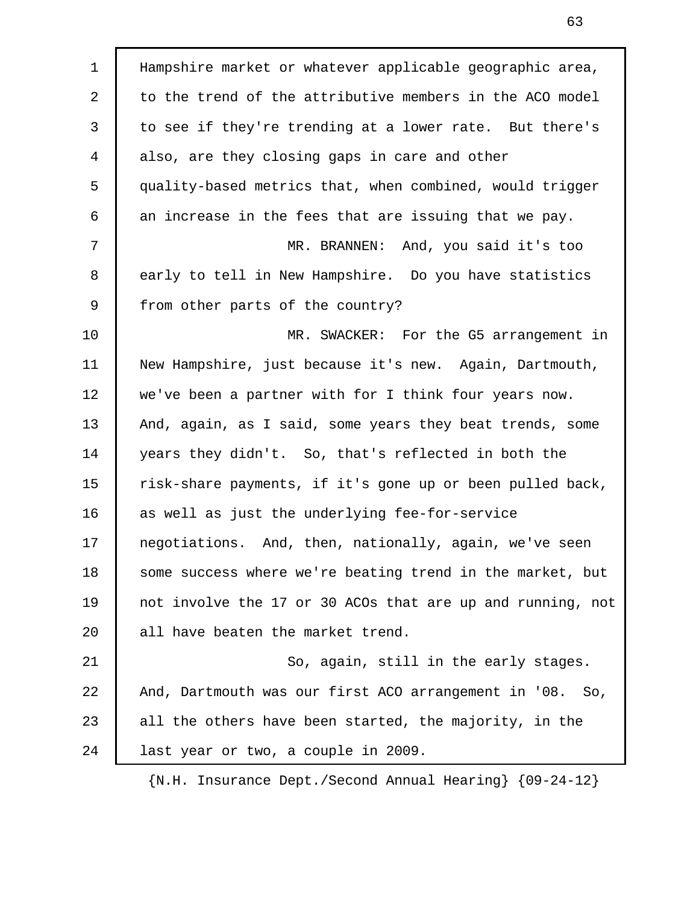1 Hampshire market or whatever applicable geographic area, 2 to the trend of the attributive members in the ACO model 3 to see if they're trending at a lower rate. But there's 4 also, are they closing gaps in care and other 5 quality-based metrics that, when combined, would trigger 6 | an increase in the fees that are issuing that we pay. 7 MR. BRANNEN: And, you said it's too 8 early to tell in New Hampshire. Do you have statistics 9 | from other parts of the country? 10 **MR. SWACKER:** For the G5 arrangement in 11 New Hampshire, just because it's new. Again, Dartmouth, 12 we've been a partner with for I think four years now. 13 And, again, as I said, some years they beat trends, some 14 years they didn't. So, that's reflected in both the 15 risk-share payments, if it's gone up or been pulled back, 16 as well as just the underlying fee-for-service 17 negotiations. And, then, nationally, again, we've seen 18 some success where we're beating trend in the market, but 19 not involve the 17 or 30 ACOs that are up and running, not 20 all have beaten the market trend. 21 So, again, still in the early stages. 22 And, Dartmouth was our first ACO arrangement in '08. So, 23 all the others have been started, the majority, in the 24 alast year or two, a couple in 2009.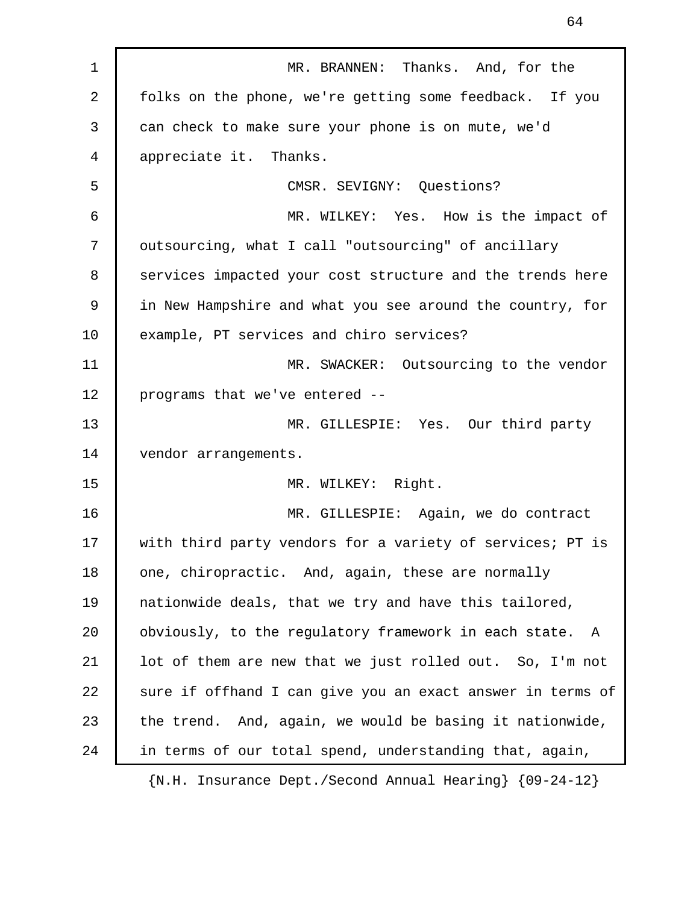1 **MR. BRANNEN:** Thanks. And, for the 2 folks on the phone, we're getting some feedback. If you 3 can check to make sure your phone is on mute, we'd 4 appreciate it. Thanks. 5 CMSR. SEVIGNY: Questions? 6 MR. WILKEY: Yes. How is the impact of 7 | outsourcing, what I call "outsourcing" of ancillary 8 services impacted your cost structure and the trends here 9 in New Hampshire and what you see around the country, for 10 example, PT services and chiro services? 11 MR. SWACKER: Outsourcing to the vendor 12 programs that we've entered -- 13 MR. GILLESPIE: Yes. Our third party 14 | vendor arrangements. 15 MR. WILKEY: Right. 16 MR. GILLESPIE: Again, we do contract 17 with third party vendors for a variety of services; PT is 18 one, chiropractic. And, again, these are normally 19 nationwide deals, that we try and have this tailored, 20 obviously, to the regulatory framework in each state. A 21 lot of them are new that we just rolled out. So, I'm not 22 sure if offhand I can give you an exact answer in terms of 23 the trend. And, again, we would be basing it nationwide, 24 in terms of our total spend, understanding that, again,

64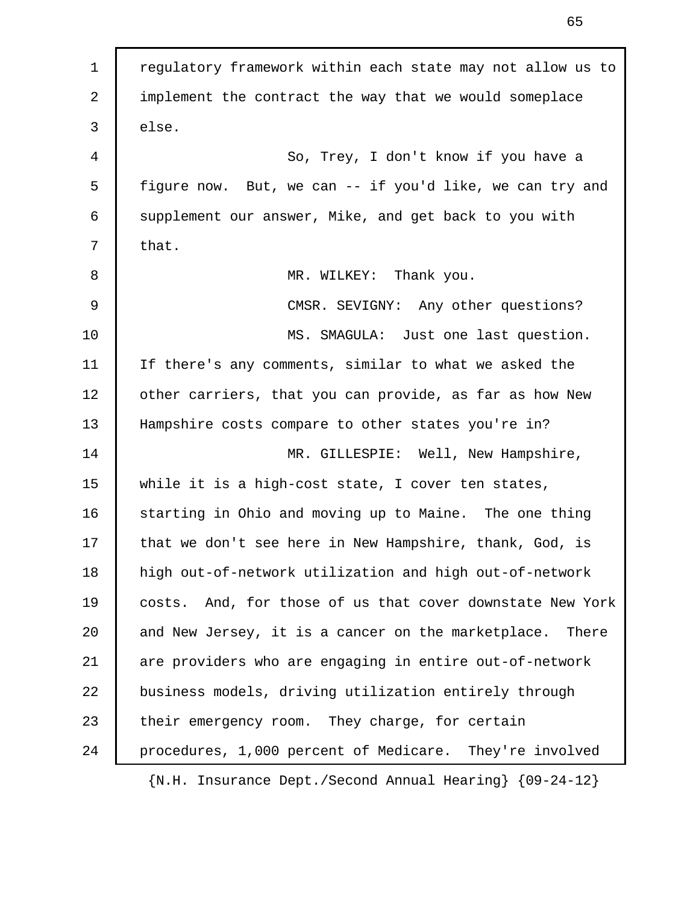1 regulatory framework within each state may not allow us to 2 implement the contract the way that we would someplace 3 else. 4 So, Trey, I don't know if you have a 5 figure now. But, we can -- if you'd like, we can try and 6 | supplement our answer, Mike, and get back to you with  $7$  that. 8 MR. WILKEY: Thank you. 9 CMSR. SEVIGNY: Any other questions? 10 MS. SMAGULA: Just one last question. 11 If there's any comments, similar to what we asked the 12 | other carriers, that you can provide, as far as how New 13 Hampshire costs compare to other states you're in? 14 MR. GILLESPIE: Well, New Hampshire, 15 while it is a high-cost state, I cover ten states, 16 starting in Ohio and moving up to Maine. The one thing 17 | that we don't see here in New Hampshire, thank, God, is 18 high out-of-network utilization and high out-of-network 19 costs. And, for those of us that cover downstate New York 20 and New Jersey, it is a cancer on the marketplace. There 21 are providers who are engaging in entire out-of-network 22 business models, driving utilization entirely through 23 their emergency room. They charge, for certain 24 procedures, 1,000 percent of Medicare. They're involved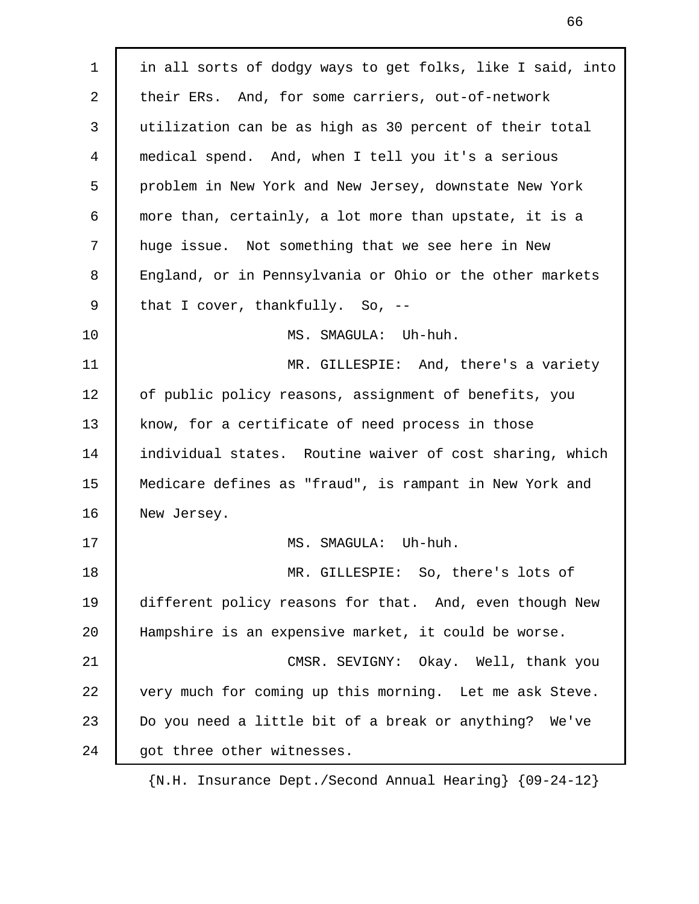1 | in all sorts of dodgy ways to get folks, like I said, into 2 their ERs. And, for some carriers, out-of-network 3 utilization can be as high as 30 percent of their total 4 medical spend. And, when I tell you it's a serious 5 problem in New York and New Jersey, downstate New York 6 more than, certainly, a lot more than upstate, it is a 7 huge issue. Not something that we see here in New 8 England, or in Pennsylvania or Ohio or the other markets 9 that I cover, thankfully. So, --10 MS. SMAGULA: Uh-huh. 11 MR. GILLESPIE: And, there's a variety 12 | of public policy reasons, assignment of benefits, you 13 know, for a certificate of need process in those 14 individual states. Routine waiver of cost sharing, which 15 Medicare defines as "fraud", is rampant in New York and 16 New Jersey. 17 | MS. SMAGULA: Uh-huh. 18 MR. GILLESPIE: So, there's lots of 19 different policy reasons for that. And, even though New 20 Hampshire is an expensive market, it could be worse. 21 CMSR. SEVIGNY: Okay. Well, thank you 22 very much for coming up this morning. Let me ask Steve. 23 Do you need a little bit of a break or anything? We've 24 | got three other witnesses.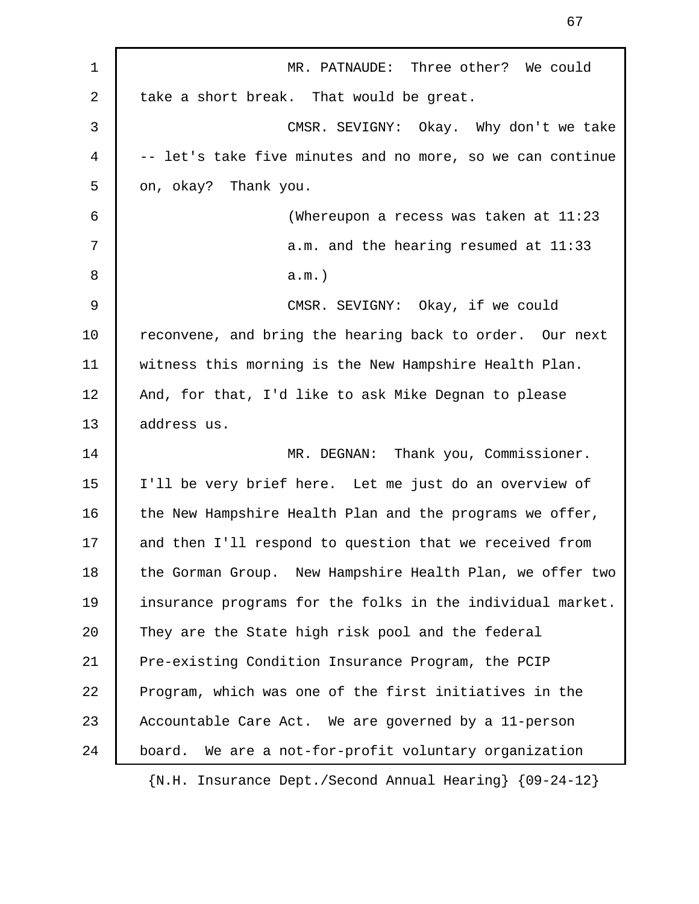| $\mathbf 1$ | MR. PATNAUDE: Three other? We could                                        |
|-------------|----------------------------------------------------------------------------|
| 2           | take a short break. That would be great.                                   |
| 3           | CMSR. SEVIGNY: Okay. Why don't we take                                     |
| 4           | -- let's take five minutes and no more, so we can continue                 |
| 5           | on, okay? Thank you.                                                       |
| 6           | (Whereupon a recess was taken at 11:23                                     |
| 7           | a.m. and the hearing resumed at 11:33                                      |
| 8           | $a.m.$ )                                                                   |
| 9           | CMSR. SEVIGNY: Okay, if we could                                           |
| 10          | reconvene, and bring the hearing back to order. Our next                   |
| 11          | witness this morning is the New Hampshire Health Plan.                     |
| 12          | And, for that, I'd like to ask Mike Degnan to please                       |
| 13          | address us.                                                                |
| 14          | MR. DEGNAN: Thank you, Commissioner.                                       |
| 15          | I'll be very brief here. Let me just do an overview of                     |
| 16          | the New Hampshire Health Plan and the programs we offer,                   |
| 17          | and then I'll respond to question that we received from                    |
| 18          | the Gorman Group. New Hampshire Health Plan, we offer two                  |
| 19          | insurance programs for the folks in the individual market.                 |
| 20          | They are the State high risk pool and the federal                          |
| 21          | Pre-existing Condition Insurance Program, the PCIP                         |
| 22          | Program, which was one of the first initiatives in the                     |
| 23          | Accountable Care Act. We are governed by a 11-person                       |
| 24          | We are a not-for-profit voluntary organization<br>board.                   |
|             | $\{N.H. Insquare\ \text{Dept.}/\text{Second Annual Hearing}\ \{09-24-12\}$ |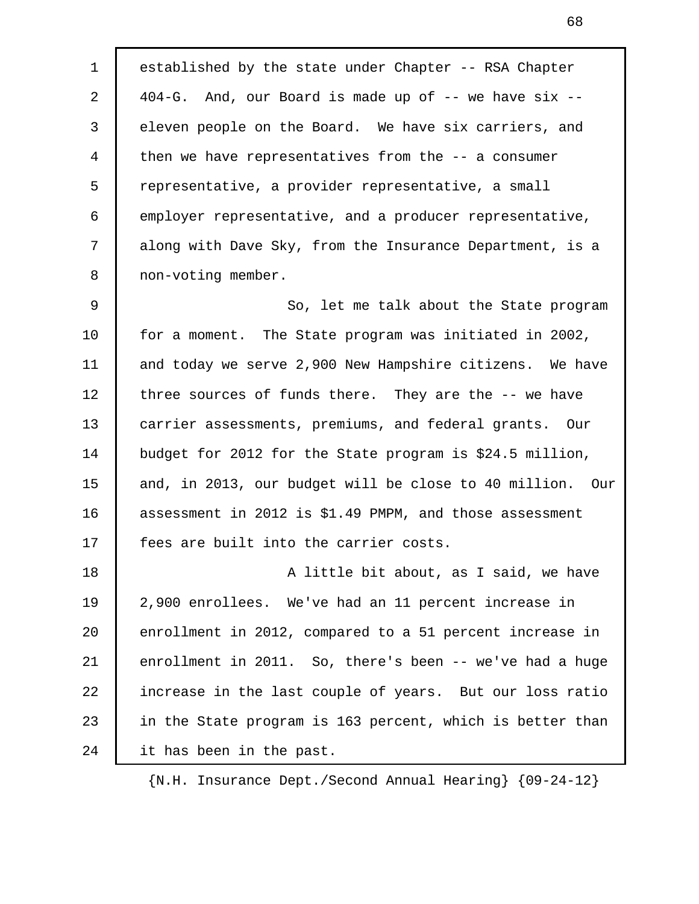1 established by the state under Chapter -- RSA Chapter 2 404-G. And, our Board is made up of -- we have six -- 3 eleven people on the Board. We have six carriers, and 4 then we have representatives from the -- a consumer 5 representative, a provider representative, a small 6 employer representative, and a producer representative, 7 along with Dave Sky, from the Insurance Department, is a 8 non-voting member.

9 So, let me talk about the State program 10 for a moment. The State program was initiated in 2002, 11 and today we serve 2,900 New Hampshire citizens. We have 12 three sources of funds there. They are the -- we have 13 carrier assessments, premiums, and federal grants. Our 14 budget for 2012 for the State program is \$24.5 million, 15 and, in 2013, our budget will be close to 40 million. Our 16 assessment in 2012 is \$1.49 PMPM, and those assessment 17 | fees are built into the carrier costs.

18 **A** little bit about, as I said, we have 19 2,900 enrollees. We've had an 11 percent increase in 20 enrollment in 2012, compared to a 51 percent increase in 21 enrollment in 2011. So, there's been -- we've had a huge 22 increase in the last couple of years. But our loss ratio 23 in the State program is 163 percent, which is better than 24 it has been in the past.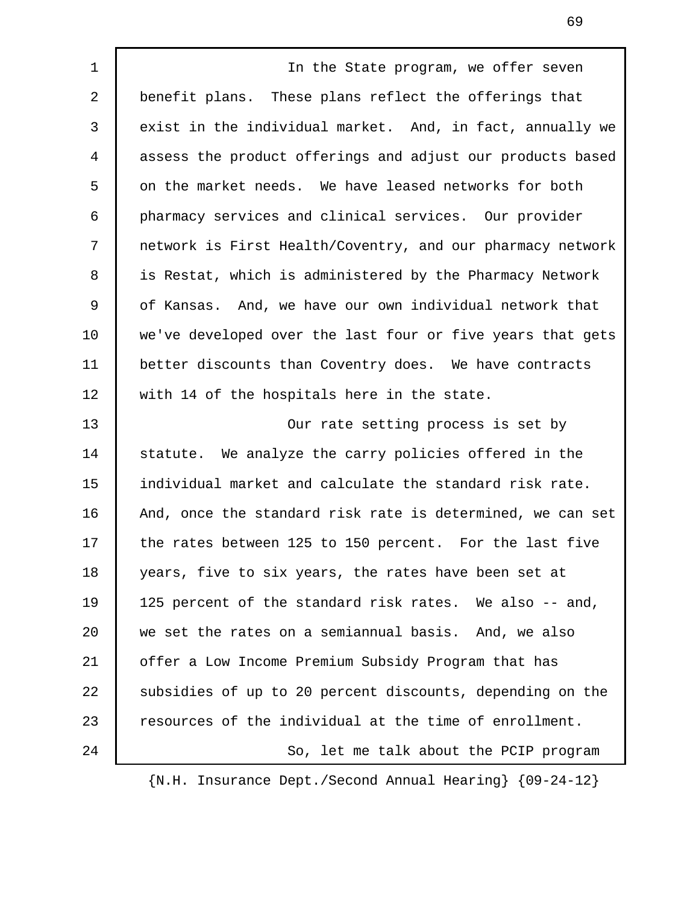1 | The State program, we offer seven 2 benefit plans. These plans reflect the offerings that 3 exist in the individual market. And, in fact, annually we 4 assess the product offerings and adjust our products based 5 on the market needs. We have leased networks for both 6 pharmacy services and clinical services. Our provider 7 network is First Health/Coventry, and our pharmacy network 8 is Restat, which is administered by the Pharmacy Network 9 of Kansas. And, we have our own individual network that 10 we've developed over the last four or five years that gets 11 better discounts than Coventry does. We have contracts 12 with 14 of the hospitals here in the state. 13 Our rate setting process is set by 14 statute. We analyze the carry policies offered in the 15 individual market and calculate the standard risk rate. 16 And, once the standard risk rate is determined, we can set 17 | the rates between 125 to 150 percent. For the last five 18 years, five to six years, the rates have been set at 19 125 percent of the standard risk rates. We also -- and, 20 we set the rates on a semiannual basis. And, we also 21 offer a Low Income Premium Subsidy Program that has 22 Subsidies of up to 20 percent discounts, depending on the 23 resources of the individual at the time of enrollment. 24 So, let me talk about the PCIP program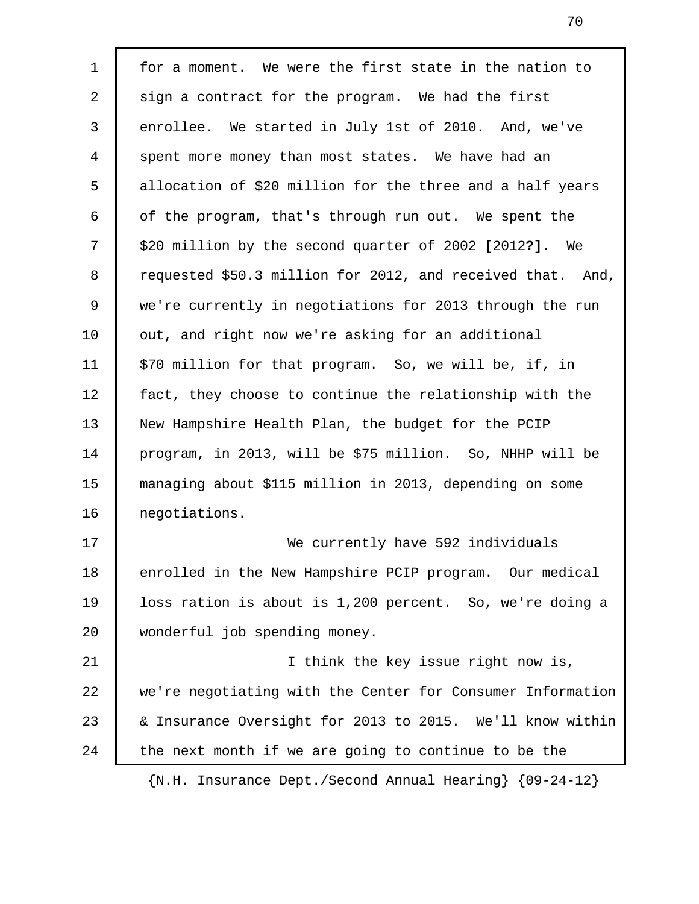1 for a moment. We were the first state in the nation to 2 sign a contract for the program. We had the first 3 enrollee. We started in July 1st of 2010. And, we've 4 spent more money than most states. We have had an 5 allocation of \$20 million for the three and a half years  $6 \mid$  of the program, that's through run out. We spent the 7 \$20 million by the second quarter of 2002 **[**2012**?]**. We 8 requested \$50.3 million for 2012, and received that. And, 9 we're currently in negotiations for 2013 through the run 10 | out, and right now we're asking for an additional 11 | \$70 million for that program. So, we will be, if, in 12 fact, they choose to continue the relationship with the 13 New Hampshire Health Plan, the budget for the PCIP 14 program, in 2013, will be \$75 million. So, NHHP will be 15 managing about \$115 million in 2013, depending on some 16 negotiations. 17 We currently have 592 individuals 18 enrolled in the New Hampshire PCIP program. Our medical 19 loss ration is about is 1,200 percent. So, we're doing a 20 wonderful job spending money. 21 | I think the key issue right now is, 22 we're negotiating with the Center for Consumer Information 23 & Insurance Oversight for 2013 to 2015. We'll know within  $24$  the next month if we are going to continue to be the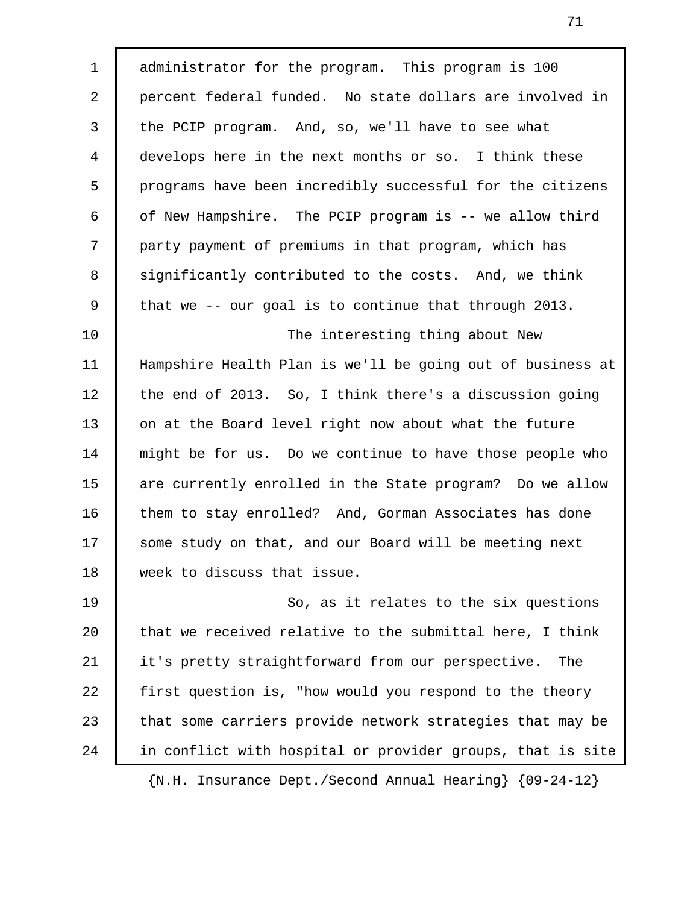1 administrator for the program. This program is 100 2 percent federal funded. No state dollars are involved in 3 the PCIP program. And, so, we'll have to see what 4 develops here in the next months or so. I think these 5 programs have been incredibly successful for the citizens 6 of New Hampshire. The PCIP program is -- we allow third 7 party payment of premiums in that program, which has 8 significantly contributed to the costs. And, we think 9 that we -- our goal is to continue that through 2013. 10 The interesting thing about New 11 Hampshire Health Plan is we'll be going out of business at 12 the end of 2013. So, I think there's a discussion going 13 on at the Board level right now about what the future 14 might be for us. Do we continue to have those people who 15 are currently enrolled in the State program? Do we allow 16 them to stay enrolled? And, Gorman Associates has done 17 Some study on that, and our Board will be meeting next 18 week to discuss that issue. 19 | So, as it relates to the six questions 20 that we received relative to the submittal here, I think 21 it's pretty straightforward from our perspective. The 22 first question is, "how would you respond to the theory 23 that some carriers provide network strategies that may be 24 in conflict with hospital or provider groups, that is site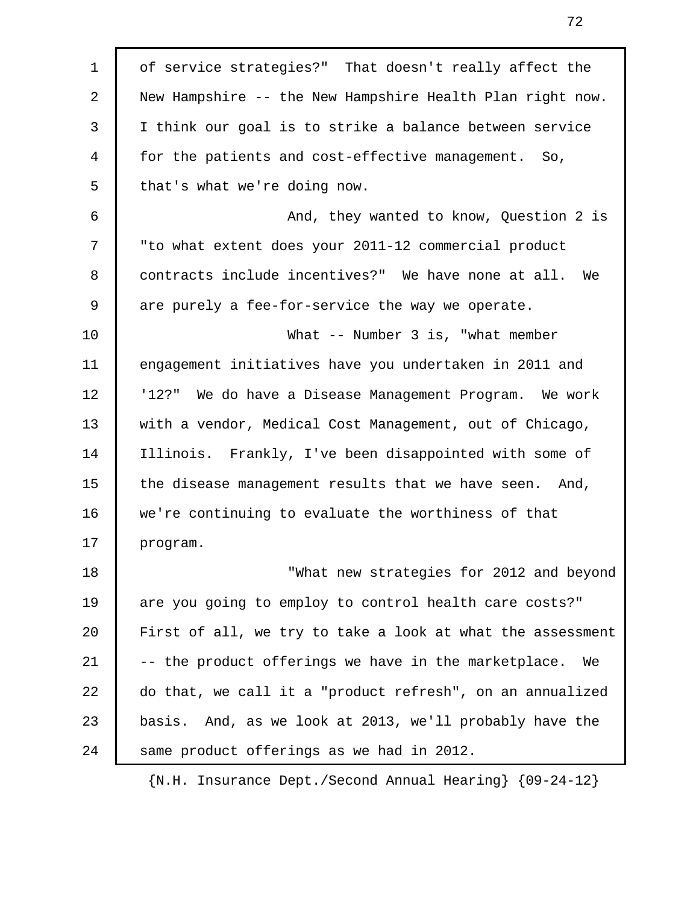| $\mathbf 1$ | of service strategies?" That doesn't really affect the     |
|-------------|------------------------------------------------------------|
| 2           | New Hampshire -- the New Hampshire Health Plan right now.  |
| 3           | I think our goal is to strike a balance between service    |
| 4           | for the patients and cost-effective management. So,        |
| 5           | that's what we're doing now.                               |
| 6           | And, they wanted to know, Question 2 is                    |
| 7           | "to what extent does your 2011-12 commercial product       |
| 8           | contracts include incentives?" We have none at all. We     |
| 9           | are purely a fee-for-service the way we operate.           |
| 10          | What $--$ Number 3 is, "what member                        |
| 11          | engagement initiatives have you undertaken in 2011 and     |
| 12          | '12?" We do have a Disease Management Program. We work     |
| 13          | with a vendor, Medical Cost Management, out of Chicago,    |
| 14          | Illinois. Frankly, I've been disappointed with some of     |
| 15          | the disease management results that we have seen. And,     |
| 16          | we're continuing to evaluate the worthiness of that        |
| 17          | program.                                                   |
| 18          | "What new strategies for 2012 and beyond                   |
| 19          | are you going to employ to control health care costs?"     |
| 20          | First of all, we try to take a look at what the assessment |
| 21          | -- the product offerings we have in the marketplace.<br>We |
| 22          | do that, we call it a "product refresh", on an annualized  |
| 23          | basis. And, as we look at 2013, we'll probably have the    |
| 24          | same product offerings as we had in 2012.                  |
|             |                                                            |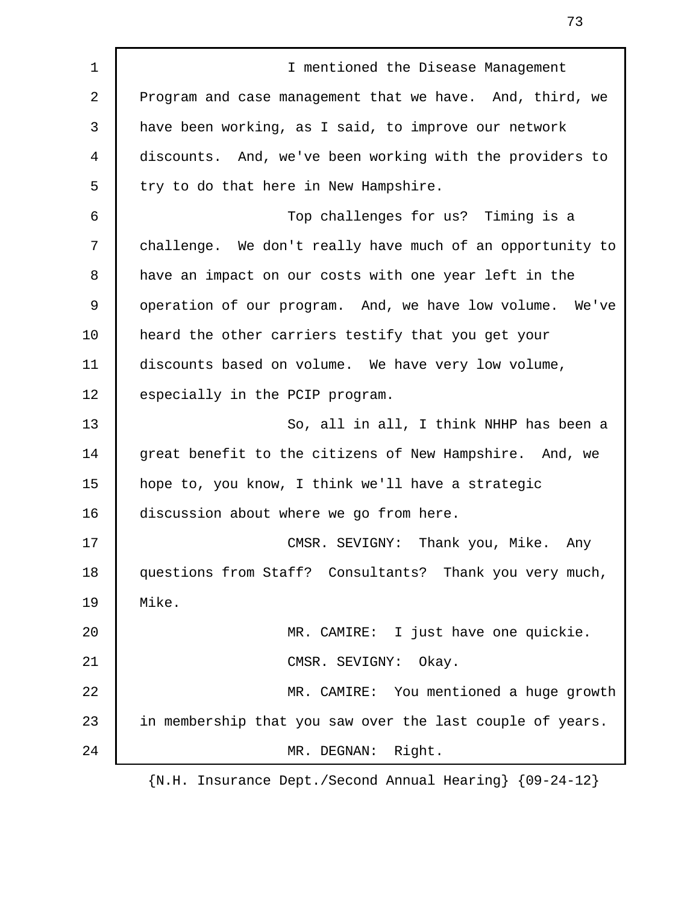1 **I** I mentioned the Disease Management 2 Program and case management that we have. And, third, we 3 have been working, as I said, to improve our network 4 discounts. And, we've been working with the providers to 5 try to do that here in New Hampshire. 6 Top challenges for us? Timing is a 7 challenge. We don't really have much of an opportunity to 8 have an impact on our costs with one year left in the 9 operation of our program. And, we have low volume. We've 10 heard the other carriers testify that you get your 11 discounts based on volume. We have very low volume, 12 | especially in the PCIP program. 13 So, all in all, I think NHHP has been a 14 great benefit to the citizens of New Hampshire. And, we 15 hope to, you know, I think we'll have a strategic 16 discussion about where we go from here. 17 CMSR. SEVIGNY: Thank you, Mike. Any 18 questions from Staff? Consultants? Thank you very much, 19 Mike. 20 MR. CAMIRE: I just have one quickie. 21 CMSR. SEVIGNY: Okay. 22 MR. CAMIRE: You mentioned a huge growth 23 in membership that you saw over the last couple of years. 24 MR. DEGNAN: Right.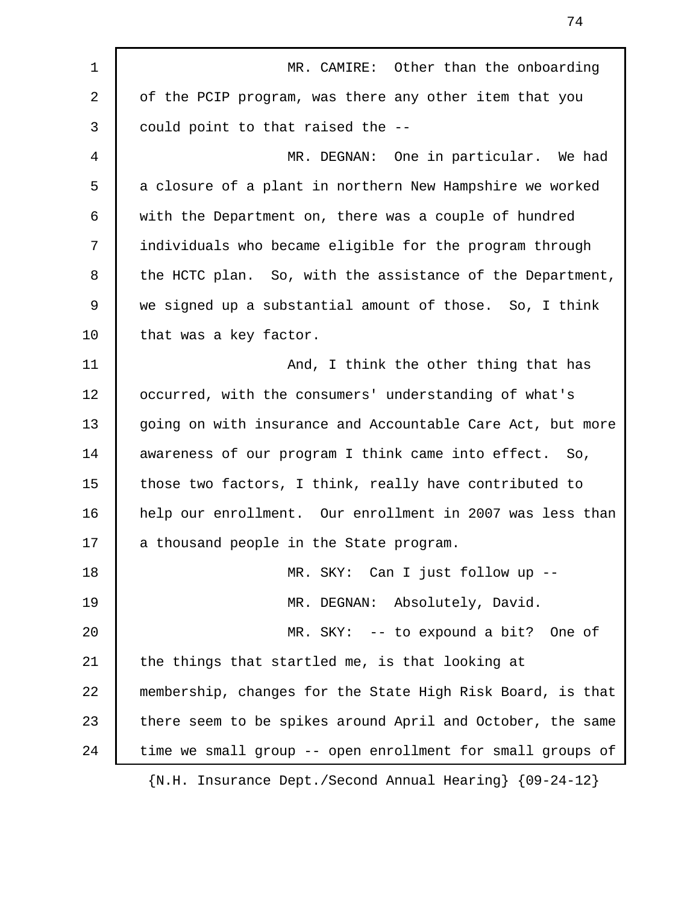| $\mathbf 1$ | MR. CAMIRE: Other than the onboarding                           |
|-------------|-----------------------------------------------------------------|
| 2           | of the PCIP program, was there any other item that you          |
| 3           | could point to that raised the --                               |
| 4           | MR. DEGNAN: One in particular. We had                           |
| 5           | a closure of a plant in northern New Hampshire we worked        |
| 6           | with the Department on, there was a couple of hundred           |
| 7           | individuals who became eligible for the program through         |
| 8           | the HCTC plan. So, with the assistance of the Department,       |
| 9           | we signed up a substantial amount of those. So, I think         |
| 10          | that was a key factor.                                          |
| 11          | And, I think the other thing that has                           |
| 12          | occurred, with the consumers' understanding of what's           |
| 13          | going on with insurance and Accountable Care Act, but more      |
| 14          | awareness of our program I think came into effect. So,          |
| 15          | those two factors, I think, really have contributed to          |
| 16          | help our enrollment. Our enrollment in 2007 was less than       |
| 17          | a thousand people in the State program.                         |
| 18          | MR. SKY: Can I just follow up --                                |
| 19          | MR. DEGNAN: Absolutely, David.                                  |
| 20          | MR. SKY: -- to expound a bit? One of                            |
| 21          | the things that startled me, is that looking at                 |
| 22          | membership, changes for the State High Risk Board, is that      |
| 23          | there seem to be spikes around April and October, the same      |
| 24          | time we small group -- open enrollment for small groups of      |
|             | $\{N.H. Insurance Dept./Second Annual Hearing\}$ $\{09-24-12\}$ |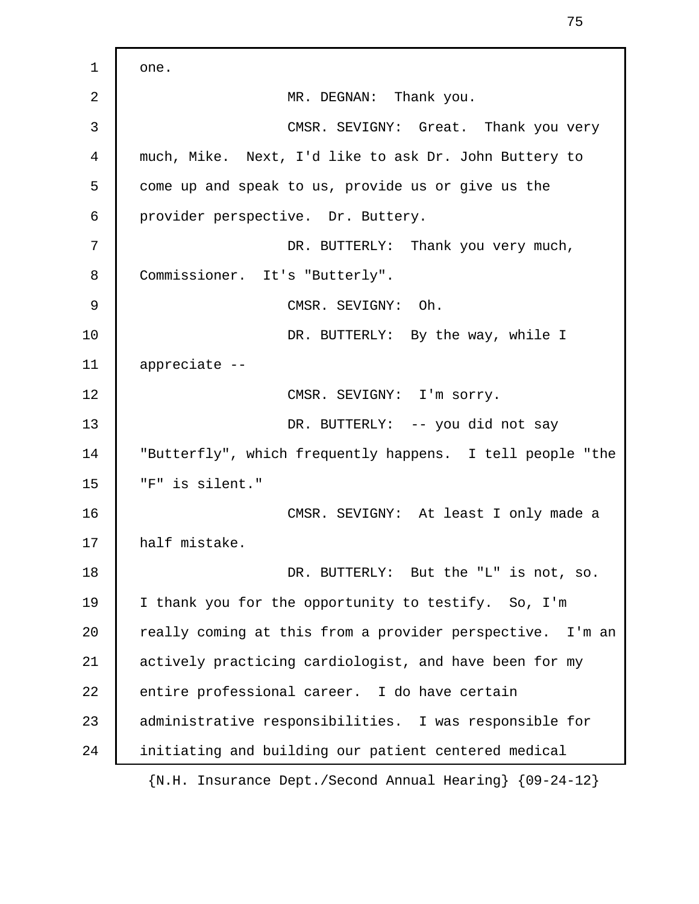1 one. 2 MR. DEGNAN: Thank you. 3 CMSR. SEVIGNY: Great. Thank you very 4 much, Mike. Next, I'd like to ask Dr. John Buttery to 5 come up and speak to us, provide us or give us the 6 provider perspective. Dr. Buttery. 7 **DR. BUTTERLY:** Thank you very much, 8 Commissioner. It's "Butterly". 9 CMSR. SEVIGNY: Oh. 10 | DR. BUTTERLY: By the way, while I 11 appreciate -- 12 CMSR. SEVIGNY: I'm sorry. 13 DR. BUTTERLY: -- you did not say 14 "Butterfly", which frequently happens. I tell people "the 15 "F" is silent." 16 CMSR. SEVIGNY: At least I only made a 17 | half mistake. 18 **DR. BUTTERLY:** But the "L" is not, so. 19 I thank you for the opportunity to testify. So, I'm 20 really coming at this from a provider perspective. I'm an 21 actively practicing cardiologist, and have been for my 22 entire professional career. I do have certain 23 administrative responsibilities. I was responsible for 24 initiating and building our patient centered medical {N.H. Insurance Dept./Second Annual Hearing} {09-24-12}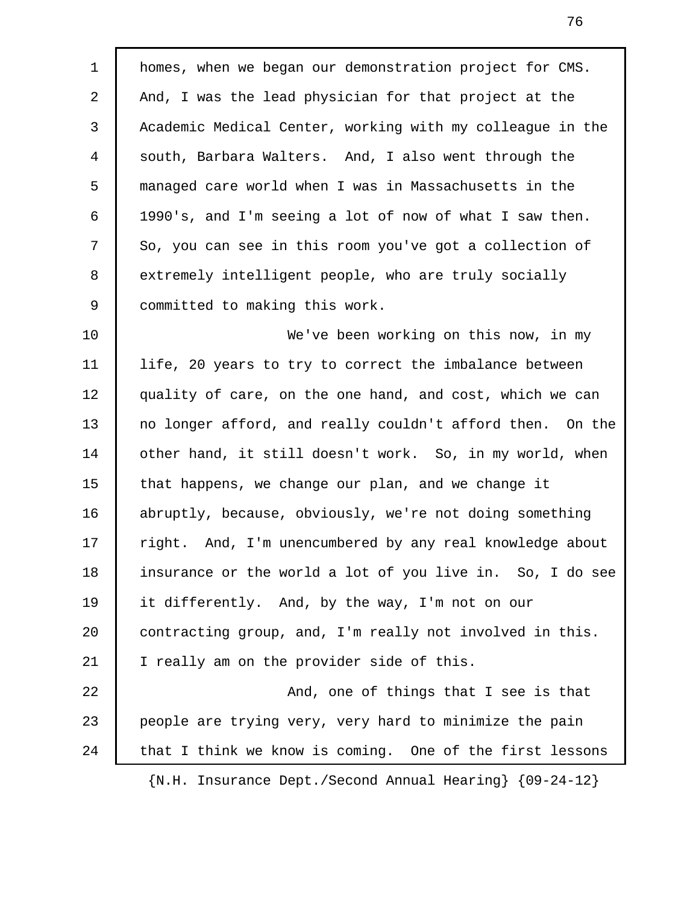1 homes, when we began our demonstration project for CMS. 2 And, I was the lead physician for that project at the 3 Academic Medical Center, working with my colleague in the 4 south, Barbara Walters. And, I also went through the 5 managed care world when I was in Massachusetts in the 6 1990's, and I'm seeing a lot of now of what I saw then. 7 So, you can see in this room you've got a collection of 8 extremely intelligent people, who are truly socially 9 committed to making this work.

10 We've been working on this now, in my 11 life, 20 years to try to correct the imbalance between 12 | quality of care, on the one hand, and cost, which we can 13 no longer afford, and really couldn't afford then. On the 14 other hand, it still doesn't work. So, in my world, when 15 that happens, we change our plan, and we change it 16 abruptly, because, obviously, we're not doing something 17 | right. And, I'm unencumbered by any real knowledge about 18 insurance or the world a lot of you live in. So, I do see 19 it differently. And, by the way, I'm not on our 20 contracting group, and, I'm really not involved in this. 21 | I really am on the provider side of this. 22 **And, one of things that I see is that** 23 people are trying very, very hard to minimize the pain 24 that I think we know is coming. One of the first lessons

{N.H. Insurance Dept./Second Annual Hearing} {09-24-12}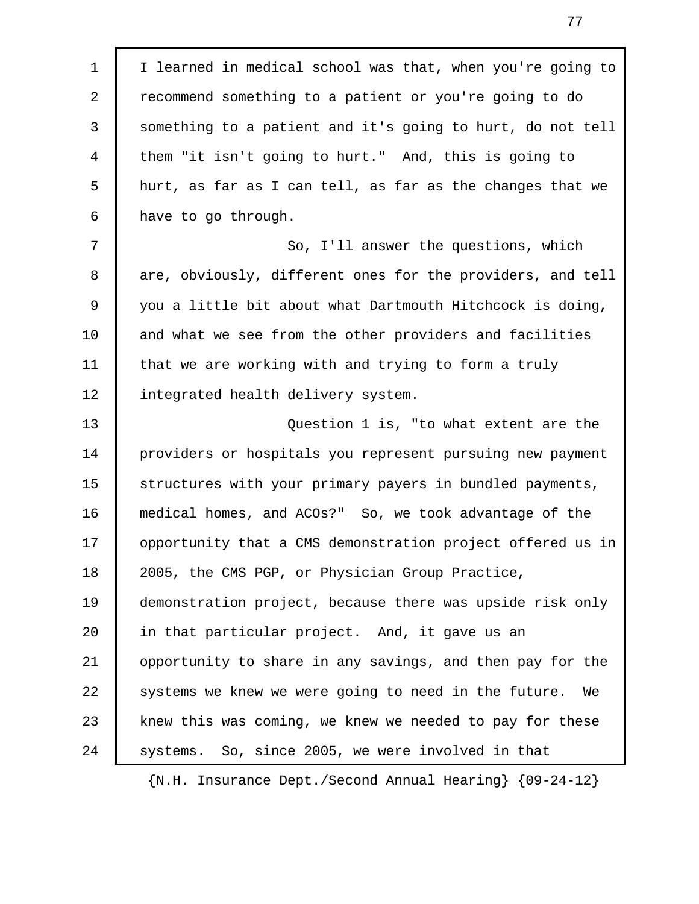1 I learned in medical school was that, when you're going to 2 recommend something to a patient or you're going to do 3 something to a patient and it's going to hurt, do not tell 4 them "it isn't going to hurt." And, this is going to 5 hurt, as far as I can tell, as far as the changes that we 6 have to go through. 7 So, I'll answer the questions, which 8 are, obviously, different ones for the providers, and tell 9 you a little bit about what Dartmouth Hitchcock is doing, 10 and what we see from the other providers and facilities 11 that we are working with and trying to form a truly 12 integrated health delivery system. 13 Question 1 is, "to what extent are the 14 providers or hospitals you represent pursuing new payment 15 structures with your primary payers in bundled payments, 16 medical homes, and ACOs?" So, we took advantage of the 17 | opportunity that a CMS demonstration project offered us in 18 2005, the CMS PGP, or Physician Group Practice, 19 demonstration project, because there was upside risk only 20 in that particular project. And, it gave us an 21 opportunity to share in any savings, and then pay for the 22 systems we knew we were going to need in the future. We 23 knew this was coming, we knew we needed to pay for these 24 | systems. So, since 2005, we were involved in that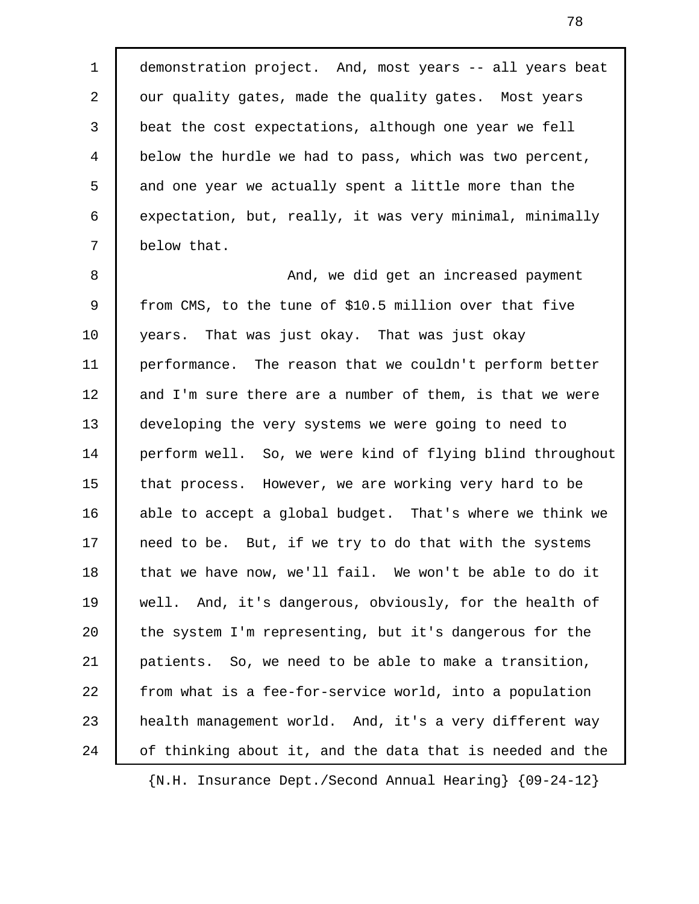1 demonstration project. And, most years -- all years beat 2 | our quality gates, made the quality gates. Most years 3 beat the cost expectations, although one year we fell 4 below the hurdle we had to pass, which was two percent, 5 and one year we actually spent a little more than the 6 expectation, but, really, it was very minimal, minimally 7 below that.

8 And, we did get an increased payment 9 from CMS, to the tune of \$10.5 million over that five 10 years. That was just okay. That was just okay 11 performance. The reason that we couldn't perform better 12 and I'm sure there are a number of them, is that we were 13 developing the very systems we were going to need to 14 perform well. So, we were kind of flying blind throughout 15 | that process. However, we are working very hard to be 16 able to accept a global budget. That's where we think we 17 | need to be. But, if we try to do that with the systems 18 | that we have now, we'll fail. We won't be able to do it 19 well. And, it's dangerous, obviously, for the health of 20 the system I'm representing, but it's dangerous for the 21 patients. So, we need to be able to make a transition, 22 from what is a fee-for-service world, into a population 23 | health management world. And, it's a very different way 24 of thinking about it, and the data that is needed and the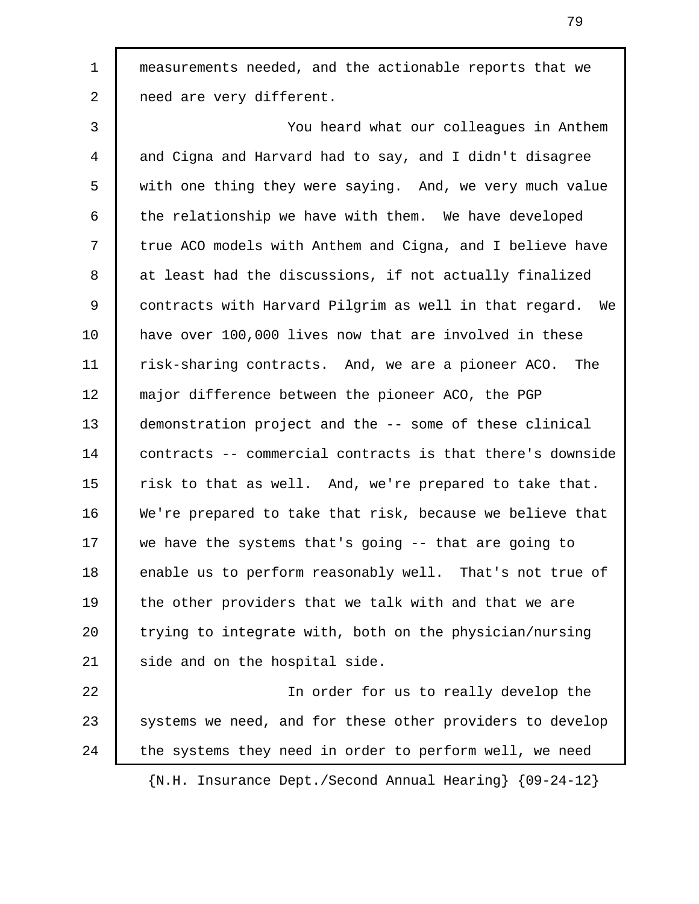1 measurements needed, and the actionable reports that we 2 need are very different.

 3 You heard what our colleagues in Anthem 4 and Cigna and Harvard had to say, and I didn't disagree 5 with one thing they were saying. And, we very much value 6 the relationship we have with them. We have developed 7 true ACO models with Anthem and Cigna, and I believe have 8 at least had the discussions, if not actually finalized 9 contracts with Harvard Pilgrim as well in that regard. We 10 have over 100,000 lives now that are involved in these 11 risk-sharing contracts. And, we are a pioneer ACO. The 12 major difference between the pioneer ACO, the PGP 13 demonstration project and the -- some of these clinical 14 contracts -- commercial contracts is that there's downside 15 | risk to that as well. And, we're prepared to take that. 16 We're prepared to take that risk, because we believe that 17 we have the systems that's going -- that are going to 18 enable us to perform reasonably well. That's not true of 19 the other providers that we talk with and that we are 20 trying to integrate with, both on the physician/nursing 21 | side and on the hospital side.

22 In order for us to really develop the 23 Systems we need, and for these other providers to develop 24 the systems they need in order to perform well, we need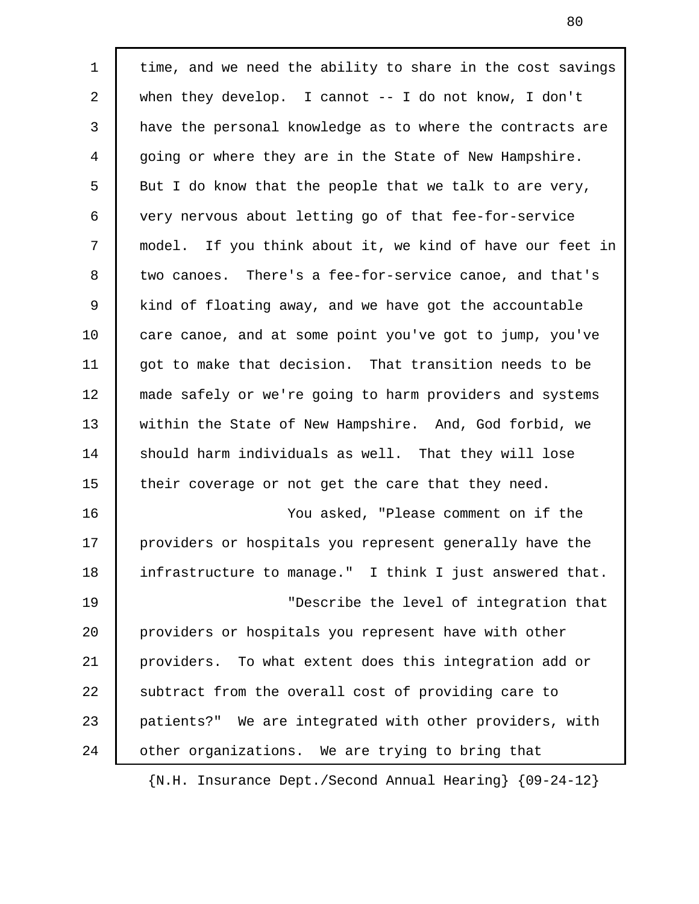1 | time, and we need the ability to share in the cost savings 2 when they develop. I cannot -- I do not know, I don't 3 have the personal knowledge as to where the contracts are 4 going or where they are in the State of New Hampshire. 5 But I do know that the people that we talk to are very, 6 very nervous about letting go of that fee-for-service 7 model. If you think about it, we kind of have our feet in 8 two canoes. There's a fee-for-service canoe, and that's 9 kind of floating away, and we have got the accountable 10 care canoe, and at some point you've got to jump, you've 11 got to make that decision. That transition needs to be 12 made safely or we're going to harm providers and systems 13 within the State of New Hampshire. And, God forbid, we 14 should harm individuals as well. That they will lose 15 their coverage or not get the care that they need. 16 You asked, "Please comment on if the 17 providers or hospitals you represent generally have the 18 infrastructure to manage." I think I just answered that. 19 | November 19 | November 19 | November 19 | November 19 | November 19 | November 19 | November 19 | November 19 | November 19 | November 19 | November 19 | November 19 | November 19 | November 19 | November 19 | Novembe 20 providers or hospitals you represent have with other 21 providers. To what extent does this integration add or 22 subtract from the overall cost of providing care to 23 patients?" We are integrated with other providers, with 24 other organizations. We are trying to bring that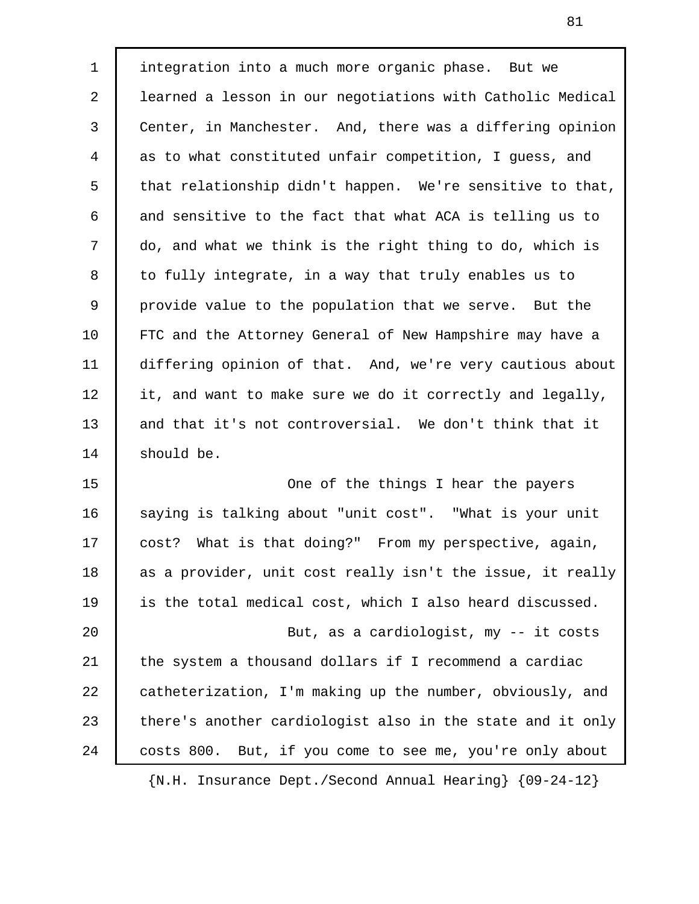1 integration into a much more organic phase. But we 2 learned a lesson in our negotiations with Catholic Medical 3 Center, in Manchester. And, there was a differing opinion 4 as to what constituted unfair competition, I guess, and 5 that relationship didn't happen. We're sensitive to that, 6 and sensitive to the fact that what ACA is telling us to 7 do, and what we think is the right thing to do, which is 8 to fully integrate, in a way that truly enables us to 9 provide value to the population that we serve. But the 10 FTC and the Attorney General of New Hampshire may have a 11 differing opinion of that. And, we're very cautious about 12 it, and want to make sure we do it correctly and legally, 13 and that it's not controversial. We don't think that it 14 Should be. 15 | One of the things I hear the payers

16 | saying is talking about "unit cost". "What is your unit 17 | cost? What is that doing?" From my perspective, again, 18 as a provider, unit cost really isn't the issue, it really 19 is the total medical cost, which I also heard discussed. 20 But, as a cardiologist, my -- it costs 21 | the system a thousand dollars if I recommend a cardiac 22 | catheterization, I'm making up the number, obviously, and 23 there's another cardiologist also in the state and it only 24 | costs 800. But, if you come to see me, you're only about

{N.H. Insurance Dept./Second Annual Hearing} {09-24-12}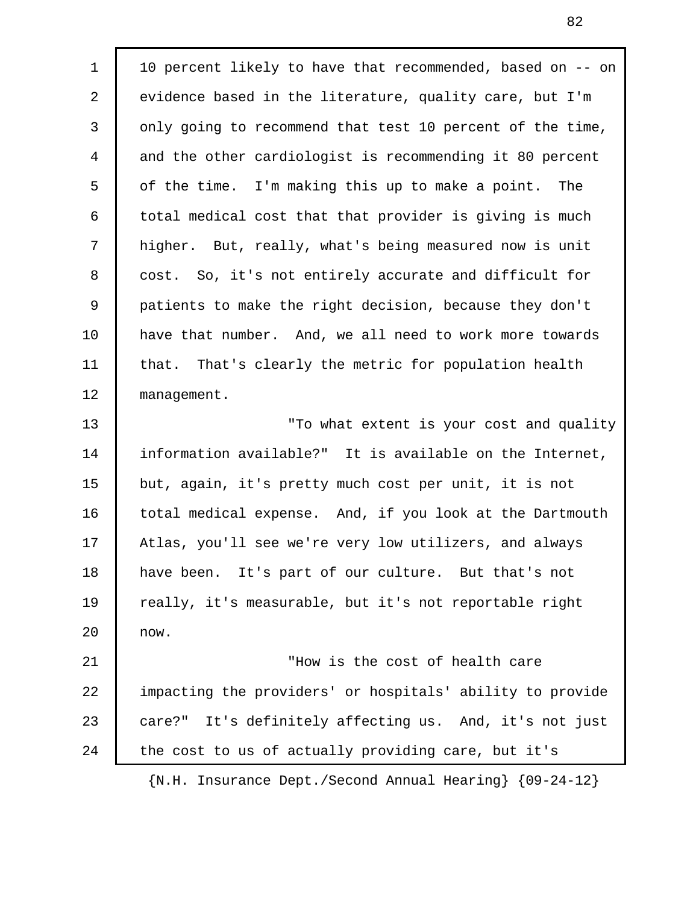1 10 percent likely to have that recommended, based on -- on 2 evidence based in the literature, quality care, but I'm 3 only going to recommend that test 10 percent of the time, 4 and the other cardiologist is recommending it 80 percent 5 of the time. I'm making this up to make a point. The 6 total medical cost that that provider is giving is much 7 higher. But, really, what's being measured now is unit 8 cost. So, it's not entirely accurate and difficult for 9 patients to make the right decision, because they don't 10 have that number. And, we all need to work more towards 11 that. That's clearly the metric for population health 12 | management. 13 **The Communist Contract State Extent** is your cost and quality 14 information available?" It is available on the Internet, 15 but, again, it's pretty much cost per unit, it is not 16 | total medical expense. And, if you look at the Dartmouth 17 Atlas, you'll see we're very low utilizers, and always 18 have been. It's part of our culture. But that's not 19 | really, it's measurable, but it's not reportable right 20 now. 21 **Now is the cost of health care** 22 | impacting the providers' or hospitals' ability to provide 23 care?" It's definitely affecting us. And, it's not just 24 the cost to us of actually providing care, but it's {N.H. Insurance Dept./Second Annual Hearing} {09-24-12}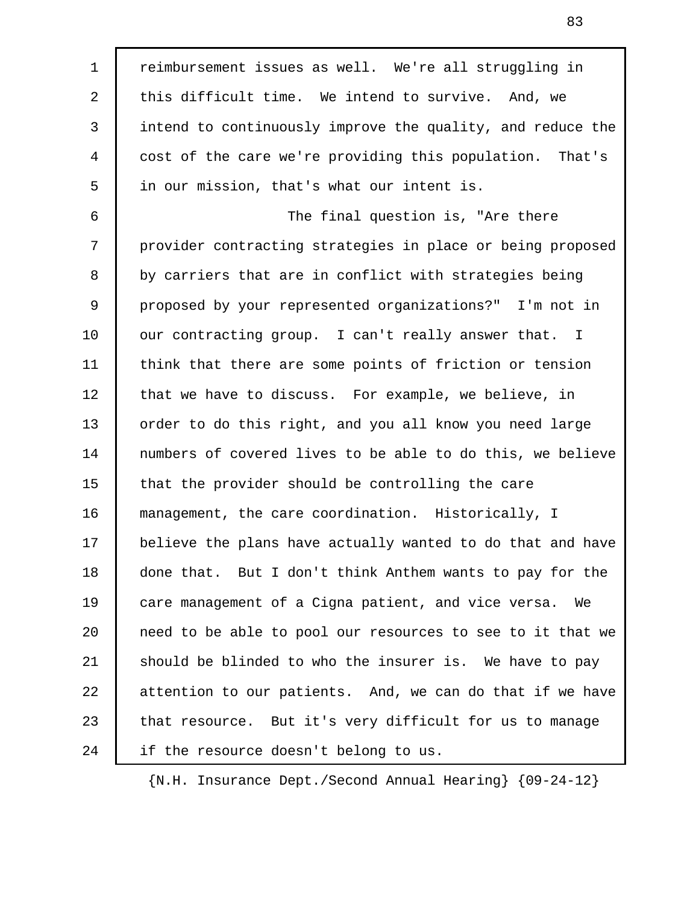1 | reimbursement issues as well. We're all struggling in 2 this difficult time. We intend to survive. And, we 3 intend to continuously improve the quality, and reduce the 4 cost of the care we're providing this population. That's 5 in our mission, that's what our intent is. 6 The final question is, "Are there 7 provider contracting strategies in place or being proposed 8 by carriers that are in conflict with strategies being 9 proposed by your represented organizations?" I'm not in 10 our contracting group. I can't really answer that. I 11 think that there are some points of friction or tension 12 | that we have to discuss. For example, we believe, in 13 order to do this right, and you all know you need large 14 numbers of covered lives to be able to do this, we believe 15 that the provider should be controlling the care 16 management, the care coordination. Historically, I 17 believe the plans have actually wanted to do that and have 18 done that. But I don't think Anthem wants to pay for the 19 care management of a Cigna patient, and vice versa. We 20 need to be able to pool our resources to see to it that we 21 should be blinded to who the insurer is. We have to pay 22 attention to our patients. And, we can do that if we have 23 that resource. But it's very difficult for us to manage 24 | if the resource doesn't belong to us.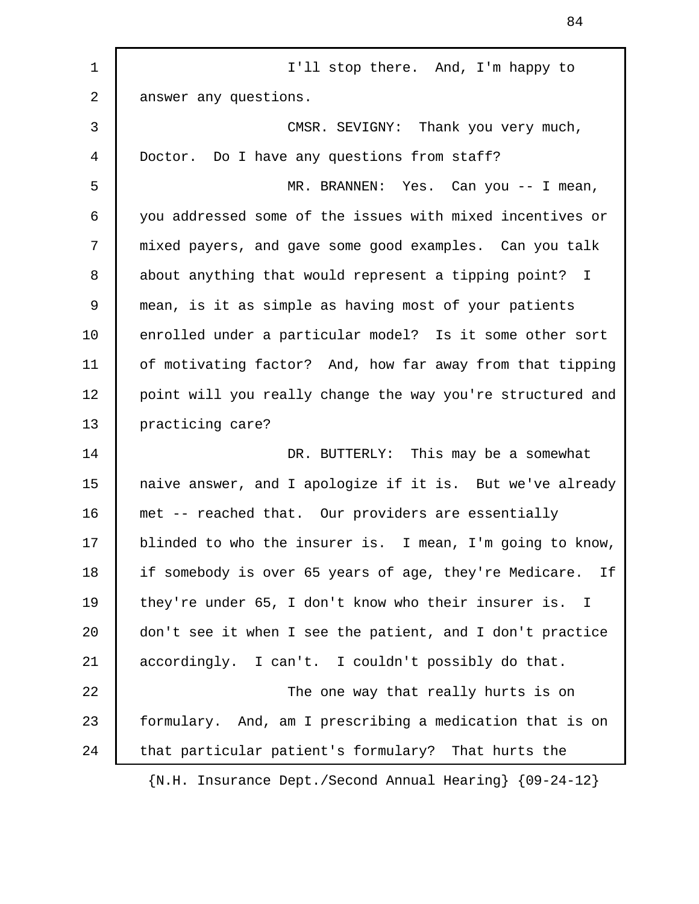1 | I'll stop there. And, I'm happy to 2 answer any questions. 3 CMSR. SEVIGNY: Thank you very much, 4 Doctor. Do I have any questions from staff? 5 MR. BRANNEN: Yes. Can you -- I mean, 6 you addressed some of the issues with mixed incentives or 7 mixed payers, and gave some good examples. Can you talk 8 about anything that would represent a tipping point? I 9 mean, is it as simple as having most of your patients 10 enrolled under a particular model? Is it some other sort 11 | of motivating factor? And, how far away from that tipping 12 | point will you really change the way you're structured and 13 | practicing care? 14 DR. BUTTERLY: This may be a somewhat 15 | naive answer, and I apologize if it is. But we've already 16 met -- reached that. Our providers are essentially 17 blinded to who the insurer is. I mean, I'm going to know, 18 if somebody is over 65 years of age, they're Medicare. If 19 they're under 65, I don't know who their insurer is. I 20 don't see it when I see the patient, and I don't practice 21 accordingly. I can't. I couldn't possibly do that. 22 The one way that really hurts is on 23 formulary. And, am I prescribing a medication that is on 24 | that particular patient's formulary? That hurts the {N.H. Insurance Dept./Second Annual Hearing} {09-24-12}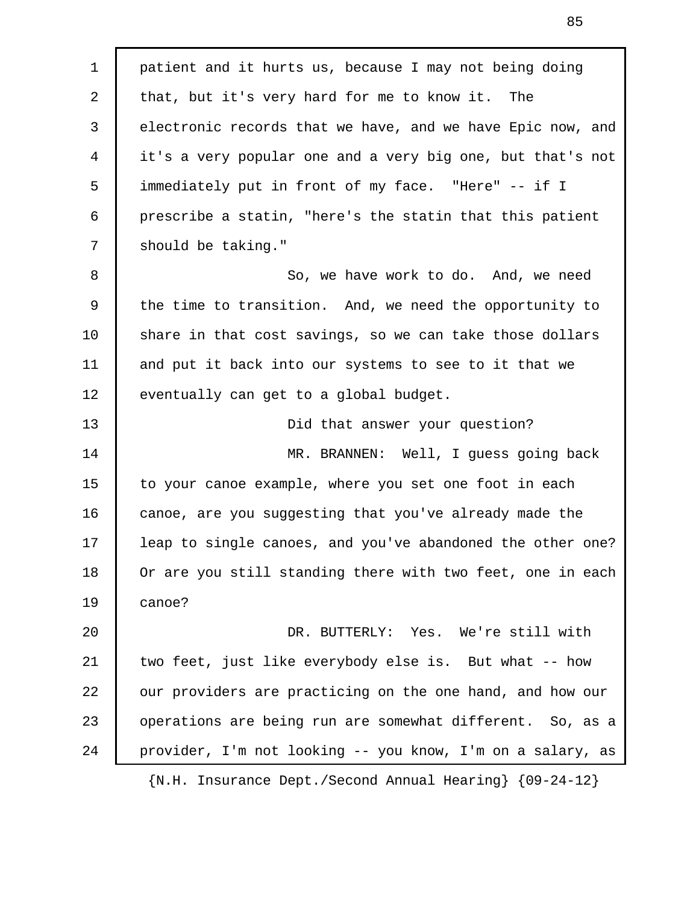1 patient and it hurts us, because I may not being doing 2 that, but it's very hard for me to know it. The 3 electronic records that we have, and we have Epic now, and 4 it's a very popular one and a very big one, but that's not 5 immediately put in front of my face. "Here" -- if I 6 prescribe a statin, "here's the statin that this patient 7 should be taking." 8 So, we have work to do. And, we need 9 the time to transition. And, we need the opportunity to 10 share in that cost savings, so we can take those dollars 11 and put it back into our systems to see to it that we 12 eventually can get to a global budget. 13 **Did that answer your question?** 14 MR. BRANNEN: Well, I guess going back 15 to your canoe example, where you set one foot in each 16 canoe, are you suggesting that you've already made the 17 | leap to single canoes, and you've abandoned the other one? 18 Or are you still standing there with two feet, one in each 19 canoe? 20 DR. BUTTERLY: Yes. We're still with 21 two feet, just like everybody else is. But what -- how 22 our providers are practicing on the one hand, and how our 23 | operations are being run are somewhat different. So, as a 24 provider, I'm not looking -- you know, I'm on a salary, as {N.H. Insurance Dept./Second Annual Hearing} {09-24-12}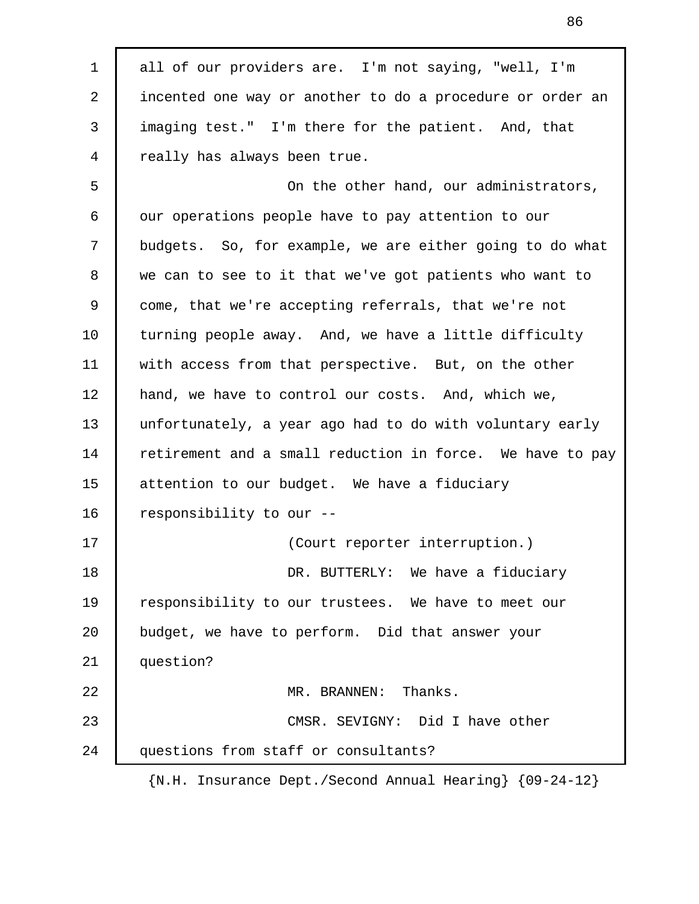1 all of our providers are. I'm not saying, "well, I'm 2 incented one way or another to do a procedure or order an 3 imaging test." I'm there for the patient. And, that 4 really has always been true. 5 On the other hand, our administrators, 6 | our operations people have to pay attention to our 7 budgets. So, for example, we are either going to do what 8 we can to see to it that we've got patients who want to 9 come, that we're accepting referrals, that we're not 10 turning people away. And, we have a little difficulty 11 with access from that perspective. But, on the other 12 | hand, we have to control our costs. And, which we, 13 unfortunately, a year ago had to do with voluntary early 14 retirement and a small reduction in force. We have to pay 15 attention to our budget. We have a fiduciary 16 responsibility to our --17 (Court reporter interruption.) 18 DR. BUTTERLY: We have a fiduciary 19 responsibility to our trustees. We have to meet our 20 budget, we have to perform. Did that answer your 21 | question? 22 MR. BRANNEN: Thanks. 23 CMSR. SEVIGNY: Did I have other 24 questions from staff or consultants?